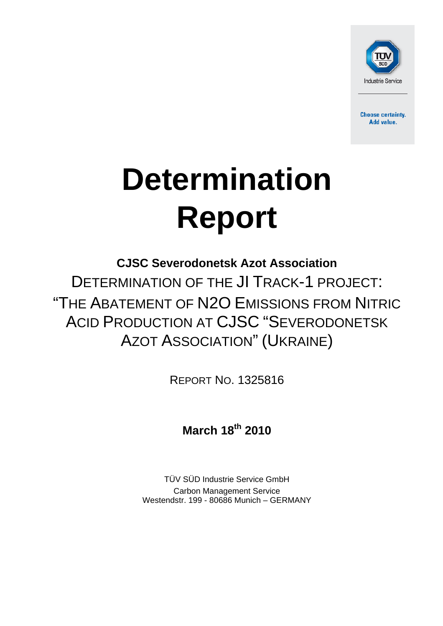

**Choose certainty.** Add value.

# **Determination Report**

**CJSC Severodonetsk Azot Association**  DETERMINATION OF THE JI TRACK-1 PROJECT: "THE ABATEMENT OF N2O EMISSIONS FROM NITRIC ACID PRODUCTION AT CJSC "SEVERODONETSK AZOT ASSOCIATION" (UKRAINE)

REPORT NO. 1325816

**March 18th 2010**

TÜV SÜD Industrie Service GmbH Carbon Management Service Westendstr. 199 - 80686 Munich – GERMANY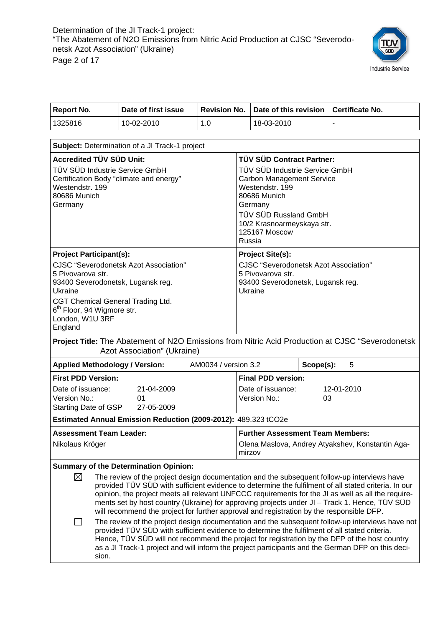

| <b>Report No.</b> | l Date of first issue |     | Revision No. Date of this revision Certificate No. |  |
|-------------------|-----------------------|-----|----------------------------------------------------|--|
| 1325816           | 10-02-2010            | 1.0 | 18-03-2010                                         |  |

| Subject: Determination of a JI Track-1 project                                                                                                                                                                                                                   |                                                                                                                                                                                                                                                                                                                                                                                                                                                                                                                                                                                                                                                                                                                                                                                                                                                                                                                  |
|------------------------------------------------------------------------------------------------------------------------------------------------------------------------------------------------------------------------------------------------------------------|------------------------------------------------------------------------------------------------------------------------------------------------------------------------------------------------------------------------------------------------------------------------------------------------------------------------------------------------------------------------------------------------------------------------------------------------------------------------------------------------------------------------------------------------------------------------------------------------------------------------------------------------------------------------------------------------------------------------------------------------------------------------------------------------------------------------------------------------------------------------------------------------------------------|
| <b>Accredited TÜV SÜD Unit:</b><br>TÜV SÜD Industrie Service GmbH<br>Certification Body "climate and energy"<br>Westendstr, 199<br>80686 Munich<br>Germany                                                                                                       | TÜV SÜD Contract Partner:<br>TÜV SÜD Industrie Service GmbH<br><b>Carbon Management Service</b><br>Westendstr, 199<br>80686 Munich<br>Germany<br>TÜV SÜD Russland GmbH<br>10/2 Krasnoarmeyskaya str.<br>125167 Moscow<br>Russia                                                                                                                                                                                                                                                                                                                                                                                                                                                                                                                                                                                                                                                                                  |
| <b>Project Participant(s):</b><br><b>CJSC</b> "Severodonetsk Azot Association"<br>5 Pivovarova str.<br>93400 Severodonetsk, Lugansk reg.<br>Ukraine<br>CGT Chemical General Trading Ltd.<br>6 <sup>th</sup> Floor, 94 Wigmore str.<br>London, W1U 3RF<br>England | <b>Project Site(s):</b><br><b>CJSC</b> "Severodonetsk Azot Association"<br>5 Pivovarova str.<br>93400 Severodonetsk, Lugansk reg.<br>Ukraine                                                                                                                                                                                                                                                                                                                                                                                                                                                                                                                                                                                                                                                                                                                                                                     |
| Project Title: The Abatement of N2O Emissions from Nitric Acid Production at CJSC "Severodonetsk<br>Azot Association" (Ukraine)                                                                                                                                  |                                                                                                                                                                                                                                                                                                                                                                                                                                                                                                                                                                                                                                                                                                                                                                                                                                                                                                                  |
| AM0034 / version 3.2<br><b>Applied Methodology / Version:</b>                                                                                                                                                                                                    | Scope(s):<br>5                                                                                                                                                                                                                                                                                                                                                                                                                                                                                                                                                                                                                                                                                                                                                                                                                                                                                                   |
| <b>First PDD Version:</b><br>Date of issuance:<br>21-04-2009<br>Version No.:<br>01<br>Starting Date of GSP<br>27-05-2009                                                                                                                                         | <b>Final PDD version:</b><br>Date of issuance:<br>12-01-2010<br>Version No.:<br>03                                                                                                                                                                                                                                                                                                                                                                                                                                                                                                                                                                                                                                                                                                                                                                                                                               |
| Estimated Annual Emission Reduction (2009-2012): 489,323 tCO2e                                                                                                                                                                                                   |                                                                                                                                                                                                                                                                                                                                                                                                                                                                                                                                                                                                                                                                                                                                                                                                                                                                                                                  |
| <b>Assessment Team Leader:</b><br>Nikolaus Kröger                                                                                                                                                                                                                | <b>Further Assessment Team Members:</b><br>Olena Maslova, Andrey Atyakshev, Konstantin Aga-<br>mirzov                                                                                                                                                                                                                                                                                                                                                                                                                                                                                                                                                                                                                                                                                                                                                                                                            |
| <b>Summary of the Determination Opinion:</b>                                                                                                                                                                                                                     |                                                                                                                                                                                                                                                                                                                                                                                                                                                                                                                                                                                                                                                                                                                                                                                                                                                                                                                  |
| $\boxtimes$<br>⊔<br>sion.                                                                                                                                                                                                                                        | The review of the project design documentation and the subsequent follow-up interviews have<br>provided TÜV SÜD with sufficient evidence to determine the fulfilment of all stated criteria. In our<br>opinion, the project meets all relevant UNFCCC requirements for the JI as well as all the require-<br>ments set by host country (Ukraine) for approving projects under JI – Track 1. Hence, TÜV SÜD<br>will recommend the project for further approval and registration by the responsible DFP.<br>The review of the project design documentation and the subsequent follow-up interviews have not<br>provided TÜV SÜD with sufficient evidence to determine the fulfilment of all stated criteria.<br>Hence, TUV SUD will not recommend the project for registration by the DFP of the host country<br>as a JI Track-1 project and will inform the project participants and the German DFP on this deci- |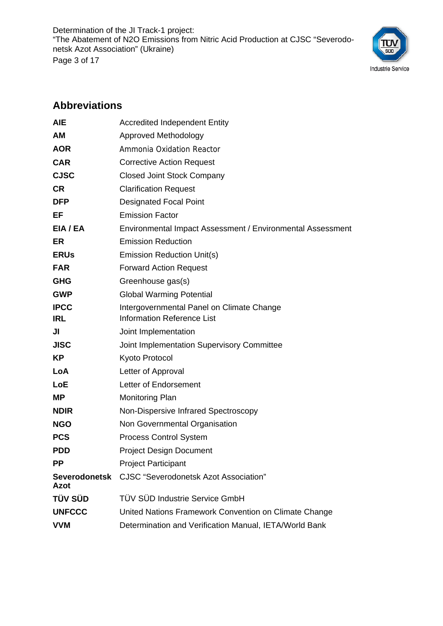Determination of the JI Track-1 project: "The Abatement of N2O Emissions from Nitric Acid Production at CJSC "Severodonetsk Azot Association" (Ukraine) Page 3 of 17



## **Abbreviations**

| <b>AIE</b>            | <b>Accredited Independent Entity</b>                       |
|-----------------------|------------------------------------------------------------|
| AM                    | <b>Approved Methodology</b>                                |
| <b>AOR</b>            | Ammonia Oxidation Reactor                                  |
| <b>CAR</b>            | <b>Corrective Action Request</b>                           |
| <b>CJSC</b>           | <b>Closed Joint Stock Company</b>                          |
| <b>CR</b>             | <b>Clarification Request</b>                               |
| <b>DFP</b>            | <b>Designated Focal Point</b>                              |
| EF                    | <b>Emission Factor</b>                                     |
| EIA / EA              | Environmental Impact Assessment / Environmental Assessment |
| ER                    | <b>Emission Reduction</b>                                  |
| <b>ERUs</b>           | <b>Emission Reduction Unit(s)</b>                          |
| <b>FAR</b>            | <b>Forward Action Request</b>                              |
| <b>GHG</b>            | Greenhouse gas(s)                                          |
| <b>GWP</b>            | <b>Global Warming Potential</b>                            |
| <b>IPCC</b>           | Intergovernmental Panel on Climate Change                  |
| <b>IRL</b>            | <b>Information Reference List</b>                          |
| JI                    | Joint Implementation                                       |
| <b>JISC</b>           | Joint Implementation Supervisory Committee                 |
| KP                    | Kyoto Protocol                                             |
| LoA                   | Letter of Approval                                         |
| LoE                   | Letter of Endorsement                                      |
| <b>MP</b>             | <b>Monitoring Plan</b>                                     |
| <b>NDIR</b>           | Non-Dispersive Infrared Spectroscopy                       |
| <b>NGO</b>            | Non Governmental Organisation                              |
| <b>PCS</b>            | <b>Process Control System</b>                              |
| <b>PDD</b>            | <b>Project Design Document</b>                             |
| <b>PP</b>             | <b>Project Participant</b>                                 |
| Severodonetsk<br>Azot | <b>CJSC</b> "Severodonetsk Azot Association"               |
| <b>TÜV SÜD</b>        | <b>TÜV SÜD Industrie Service GmbH</b>                      |
| <b>UNFCCC</b>         | United Nations Framework Convention on Climate Change      |
| <b>VVM</b>            | Determination and Verification Manual, IETA/World Bank     |
|                       |                                                            |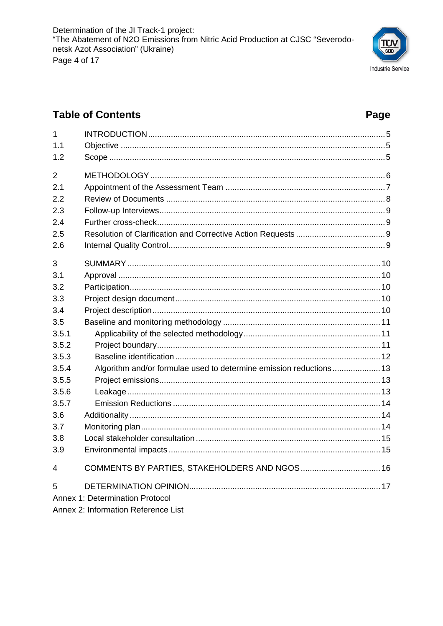

Page

## **Table of Contents**

| 1              |                                                                    |  |
|----------------|--------------------------------------------------------------------|--|
| 1.1            |                                                                    |  |
| 1.2            |                                                                    |  |
| $\overline{2}$ |                                                                    |  |
| 2.1            |                                                                    |  |
| 2.2            |                                                                    |  |
| 2.3            |                                                                    |  |
| 2.4            |                                                                    |  |
| 2.5            |                                                                    |  |
| 2.6            |                                                                    |  |
| 3              |                                                                    |  |
| 3.1            |                                                                    |  |
| 3.2            |                                                                    |  |
| 3.3            |                                                                    |  |
| 3.4            |                                                                    |  |
| 3.5            |                                                                    |  |
| 3.5.1          |                                                                    |  |
| 3.5.2          |                                                                    |  |
| 3.5.3          |                                                                    |  |
| 3.5.4          | Algorithm and/or formulae used to determine emission reductions 13 |  |
| 3.5.5          |                                                                    |  |
| 3.5.6          |                                                                    |  |
| 3.5.7          |                                                                    |  |
| 3.6            |                                                                    |  |
| 3.7            |                                                                    |  |
| 3.8            |                                                                    |  |
| 3.9            |                                                                    |  |
| 4              | COMMENTS BY PARTIES, STAKEHOLDERS AND NGOS 16                      |  |
| 5              |                                                                    |  |
|                | <b>Annex 1: Determination Protocol</b>                             |  |
|                | Annex 2: Information Reference List                                |  |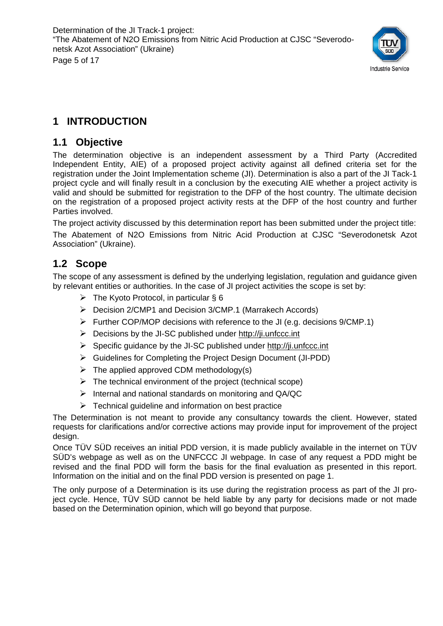

## **1 INTRODUCTION**

#### **1.1 Objective**

The determination objective is an independent assessment by a Third Party (Accredited Independent Entity, AIE) of a proposed project activity against all defined criteria set for the registration under the Joint Implementation scheme (JI). Determination is also a part of the JI Tack-1 project cycle and will finally result in a conclusion by the executing AIE whether a project activity is valid and should be submitted for registration to the DFP of the host country. The ultimate decision on the registration of a proposed project activity rests at the DFP of the host country and further Parties involved.

The project activity discussed by this determination report has been submitted under the project title: The Abatement of N2O Emissions from Nitric Acid Production at CJSC "Severodonetsk Azot Association" (Ukraine).

## **1.2 Scope**

The scope of any assessment is defined by the underlying legislation, regulation and guidance given by relevant entities or authorities. In the case of JI project activities the scope is set by:

- $\triangleright$  The Kyoto Protocol, in particular § 6
- ¾ Decision 2/CMP1 and Decision 3/CMP.1 (Marrakech Accords)
- ¾ Further COP/MOP decisions with reference to the JI (e.g. decisions 9/CMP.1)
- $\triangleright$  Decisions by the JI-SC published under http://ji.unfccc.int
- $\triangleright$  Specific guidance by the JI-SC published under http://ji.unfccc.int
- ¾ Guidelines for Completing the Project Design Document (JI-PDD)
- $\triangleright$  The applied approved CDM methodology(s)
- $\triangleright$  The technical environment of the project (technical scope)
- $\triangleright$  Internal and national standards on monitoring and QA/QC
- $\triangleright$  Technical guideline and information on best practice

The Determination is not meant to provide any consultancy towards the client. However, stated requests for clarifications and/or corrective actions may provide input for improvement of the project design.

Once TÜV SÜD receives an initial PDD version, it is made publicly available in the internet on TÜV SÜD's webpage as well as on the UNFCCC JI webpage. In case of any request a PDD might be revised and the final PDD will form the basis for the final evaluation as presented in this report. Information on the initial and on the final PDD version is presented on page 1.

The only purpose of a Determination is its use during the registration process as part of the JI project cycle. Hence, TÜV SÜD cannot be held liable by any party for decisions made or not made based on the Determination opinion, which will go beyond that purpose.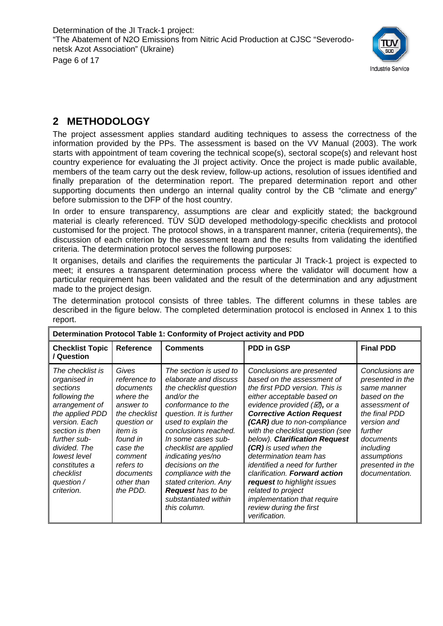

## **2 METHODOLOGY**

The project assessment applies standard auditing techniques to assess the correctness of the information provided by the PPs. The assessment is based on the VV Manual (2003). The work starts with appointment of team covering the technical scope(s), sectoral scope(s) and relevant host country experience for evaluating the JI project activity. Once the project is made public available, members of the team carry out the desk review, follow-up actions, resolution of issues identified and finally preparation of the determination report. The prepared determination report and other supporting documents then undergo an internal quality control by the CB "climate and energy" before submission to the DFP of the host country.

In order to ensure transparency, assumptions are clear and explicitly stated; the background material is clearly referenced. TÜV SÜD developed methodology-specific checklists and protocol customised for the project. The protocol shows, in a transparent manner, criteria (requirements), the discussion of each criterion by the assessment team and the results from validating the identified criteria. The determination protocol serves the following purposes:

It organises, details and clarifies the requirements the particular JI Track-1 project is expected to meet; it ensures a transparent determination process where the validator will document how a particular requirement has been validated and the result of the determination and any adjustment made to the project design.

|                                                                                                                                                                                                                                                  |                                                                                                                                                                                                       | Determination Protocol Table 1: Conformity of Project activity and PDD                                                                                                                                                                                                                                                                                                                              |                                                                                                                                                                                                                                                                                                                                                                                                                                                                                                                                                                         |                                                                                                                                                                                                               |
|--------------------------------------------------------------------------------------------------------------------------------------------------------------------------------------------------------------------------------------------------|-------------------------------------------------------------------------------------------------------------------------------------------------------------------------------------------------------|-----------------------------------------------------------------------------------------------------------------------------------------------------------------------------------------------------------------------------------------------------------------------------------------------------------------------------------------------------------------------------------------------------|-------------------------------------------------------------------------------------------------------------------------------------------------------------------------------------------------------------------------------------------------------------------------------------------------------------------------------------------------------------------------------------------------------------------------------------------------------------------------------------------------------------------------------------------------------------------------|---------------------------------------------------------------------------------------------------------------------------------------------------------------------------------------------------------------|
| <b>Checklist Topic</b><br>/ Question                                                                                                                                                                                                             | <b>Reference</b>                                                                                                                                                                                      | <b>Comments</b>                                                                                                                                                                                                                                                                                                                                                                                     | <b>PDD in GSP</b>                                                                                                                                                                                                                                                                                                                                                                                                                                                                                                                                                       | <b>Final PDD</b>                                                                                                                                                                                              |
| The checklist is<br>organised in<br>sections<br>following the<br>arrangement of<br>the applied PDD<br>version. Each<br>section is then<br>further sub-<br>divided. The<br>lowest level<br>constitutes a<br>checklist<br>question /<br>criterion. | Gives<br>reference to<br>documents<br>where the<br>answer to<br>the checklist<br>question or<br><i>item is</i><br>found in<br>case the<br>comment<br>refers to<br>documents<br>other than<br>the PDD. | The section is used to<br>elaborate and discuss<br>the checklist question<br>and/or the<br>conformance to the<br>question. It is further<br>used to explain the<br>conclusions reached.<br>In some cases sub-<br>checklist are applied<br>indicating yes/no<br>decisions on the<br>compliance with the<br>stated criterion. Any<br><b>Request</b> has to be<br>substantiated within<br>this column. | Conclusions are presented<br>based on the assessment of<br>the first PDD version. This is<br>either acceptable based on<br>evidence provided $(\varnothing)$ , or a<br><b>Corrective Action Request</b><br>(CAR) due to non-compliance<br>with the checklist question (see<br>below). Clarification Request<br>(CR) is used when the<br>determination team has<br>identified a need for further<br>clarification. Forward action<br>request to highlight issues<br>related to project<br><i>implementation that require</i><br>review during the first<br>verification. | Conclusions are<br>presented in the<br>same manner<br>based on the<br>assessment of<br>the final PDD<br>version and<br>further<br>documents<br>including<br>assumptions<br>presented in the<br>documentation. |

The determination protocol consists of three tables. The different columns in these tables are described in the figure below. The completed determination protocol is enclosed in Annex 1 to this report.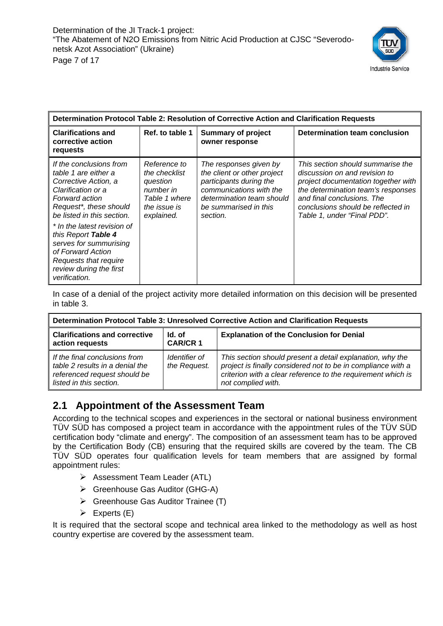

| Determination Protocol Table 2: Resolution of Corrective Action and Clarification Requests                                                                              |                                                                                                       |                                                                                                                                                                               |                                                                                                                                                                                                                                                    |  |  |  |
|-------------------------------------------------------------------------------------------------------------------------------------------------------------------------|-------------------------------------------------------------------------------------------------------|-------------------------------------------------------------------------------------------------------------------------------------------------------------------------------|----------------------------------------------------------------------------------------------------------------------------------------------------------------------------------------------------------------------------------------------------|--|--|--|
| <b>Clarifications and</b><br>corrective action<br>requests                                                                                                              | Ref. to table 1                                                                                       | <b>Summary of project</b><br>owner response                                                                                                                                   | Determination team conclusion                                                                                                                                                                                                                      |  |  |  |
| If the conclusions from<br>table 1 are either a<br>Corrective Action, a<br>Clarification or a<br>Forward action<br>Request*, these should<br>be listed in this section. | Reference to<br>the checklist<br>question<br>number in<br>Table 1 where<br>the issue is<br>explained. | The responses given by<br>the client or other project<br>participants during the<br>communications with the<br>determination team should<br>be summarised in this<br>section. | This section should summarise the<br>discussion on and revision to<br>project documentation together with<br>the determination team's responses<br>and final conclusions. The<br>conclusions should be reflected in<br>Table 1, under "Final PDD". |  |  |  |
| * In the latest revision of<br>this Report Table 4<br>serves for summurising<br>of Forward Action<br>Requests that require<br>review during the first<br>verification.  |                                                                                                       |                                                                                                                                                                               |                                                                                                                                                                                                                                                    |  |  |  |

In case of a denial of the project activity more detailed information on this decision will be presented in table 3.

| Determination Protocol Table 3: Unresolved Corrective Action and Clarification Requests                                     |                               |                                                                                                                                                                                                                 |  |  |  |  |
|-----------------------------------------------------------------------------------------------------------------------------|-------------------------------|-----------------------------------------------------------------------------------------------------------------------------------------------------------------------------------------------------------------|--|--|--|--|
| <b>Clarifications and corrective</b><br>action requests                                                                     | Id. of<br><b>CAR/CR1</b>      | <b>Explanation of the Conclusion for Denial</b>                                                                                                                                                                 |  |  |  |  |
| If the final conclusions from<br>table 2 results in a denial the<br>referenced request should be<br>listed in this section. | Identifier of<br>the Request. | This section should present a detail explanation, why the<br>project is finally considered not to be in compliance with a<br>criterion with a clear reference to the requirement which is<br>not complied with. |  |  |  |  |

#### **2.1 Appointment of the Assessment Team**

According to the technical scopes and experiences in the sectoral or national business environment TÜV SÜD has composed a project team in accordance with the appointment rules of the TÜV SÜD certification body "climate and energy". The composition of an assessment team has to be approved by the Certification Body (CB) ensuring that the required skills are covered by the team. The CB TÜV SÜD operates four qualification levels for team members that are assigned by formal appointment rules:

- $\triangleright$  Assessment Team Leader (ATL)
- ¾ Greenhouse Gas Auditor (GHG-A)
- $\triangleright$  Greenhouse Gas Auditor Trainee (T)
- $\triangleright$  Experts (E)

It is required that the sectoral scope and technical area linked to the methodology as well as host country expertise are covered by the assessment team.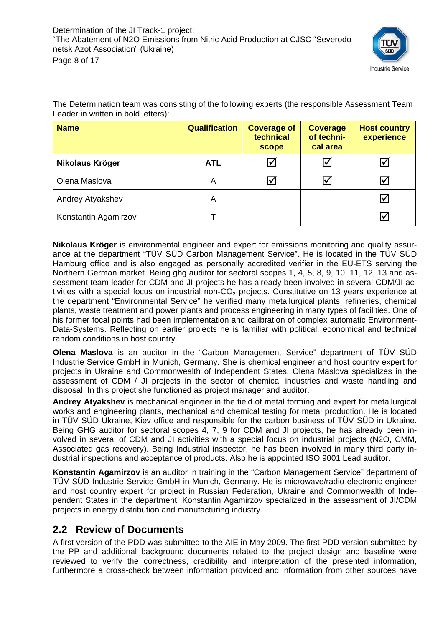

The Determination team was consisting of the following experts (the responsible Assessment Team Leader in written in bold letters):

| <b>Name</b>          | <b>Qualification</b> | <b>Coverage of</b><br>technical<br>scope | <b>Coverage</b><br>of techni-<br>cal area | <b>Host country</b><br>experience |
|----------------------|----------------------|------------------------------------------|-------------------------------------------|-----------------------------------|
| Nikolaus Kröger      | <b>ATL</b>           | 冈                                        | ⊻                                         | $\blacktriangledown$              |
| Olena Maslova        | A                    |                                          | $\blacktriangledown$                      | $\blacktriangleright$             |
| Andrey Atyakshev     | A                    |                                          |                                           | $\bm \nabla$                      |
| Konstantin Agamirzov |                      |                                          |                                           | $\blacktriangledown$              |

**Nikolaus Kröger** is environmental engineer and expert for emissions monitoring and quality assurance at the department "TÜV SÜD Carbon Management Service". He is located in the TÜV SÜD Hamburg office and is also engaged as personally accredited verifier in the EU-ETS serving the Northern German market. Being ghg auditor for sectoral scopes 1, 4, 5, 8, 9, 10, 11, 12, 13 and assessment team leader for CDM and JI projects he has already been involved in several CDM/JI activities with a special focus on industrial non-CO<sub>2</sub> projects. Constitutive on 13 years experience at the department "Environmental Service" he verified many metallurgical plants, refineries, chemical plants, waste treatment and power plants and process engineering in many types of facilities. One of his former focal points had been implementation and calibration of complex automatic Environment-Data-Systems. Reflecting on earlier projects he is familiar with political, economical and technical random conditions in host country.

**Olena Maslova** is an auditor in the "Carbon Management Service" department of TÜV SÜD Industrie Service GmbH in Munich, Germany. She is chemical engineer and host country expert for projects in Ukraine and Commonwealth of Independent States. Olena Maslova specializes in the assessment of CDM / JI projects in the sector of chemical industries and waste handling and disposal. In this project she functioned as project manager and auditor.

**Andrey Atyakshev** is mechanical engineer in the field of metal forming and expert for metallurgical works and engineering plants, mechanical and chemical testing for metal production. He is located in TÜV SÜD Ukraine, Kiev office and responsible for the carbon business of TÜV SÜD in Ukraine. Being GHG auditor for sectoral scopes 4, 7, 9 for CDM and JI projects, he has already been involved in several of CDM and JI activities with a special focus on industrial projects (N2O, CMM, Associated gas recovery). Being Industrial inspector, he has been involved in many third party industrial inspections and acceptance of products. Also he is appointed ISO 9001 Lead auditor.

**Konstantin Agamirzov** is an auditor in training in the "Carbon Management Service" department of TÜV SÜD Industrie Service GmbH in Munich, Germany. He is microwave/radio electronic engineer and host country expert for project in Russian Federation, Ukraine and Commonwealth of Independent States in the department. Konstantin Agamirzov specialized in the assessment of JI/CDM projects in energy distribution and manufacturing industry.

#### **2.2 Review of Documents**

A first version of the PDD was submitted to the AIE in May 2009. The first PDD version submitted by the PP and additional background documents related to the project design and baseline were reviewed to verify the correctness, credibility and interpretation of the presented information, furthermore a cross-check between information provided and information from other sources have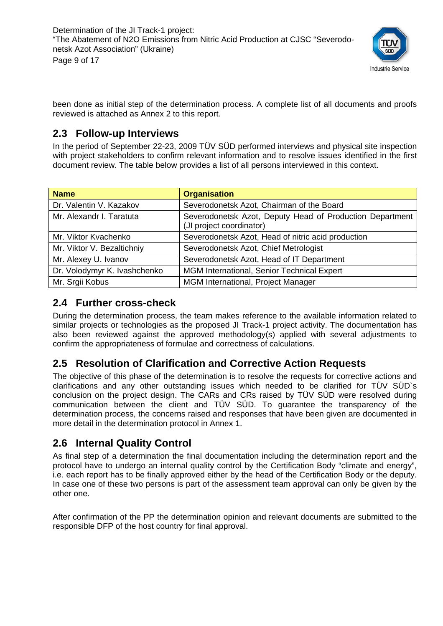

been done as initial step of the determination process. A complete list of all documents and proofs reviewed is attached as Annex 2 to this report.

#### **2.3 Follow-up Interviews**

In the period of September 22-23, 2009 TÜV SÜD performed interviews and physical site inspection with project stakeholders to confirm relevant information and to resolve issues identified in the first document review. The table below provides a list of all persons interviewed in this context.

| <b>Name</b>                  | <b>Organisation</b>                                                                  |
|------------------------------|--------------------------------------------------------------------------------------|
| Dr. Valentin V. Kazakov      | Severodonetsk Azot, Chairman of the Board                                            |
| Mr. Alexandr I. Taratuta     | Severodonetsk Azot, Deputy Head of Production Department<br>(JI project coordinator) |
| Mr. Viktor Kvachenko         | Severodonetsk Azot, Head of nitric acid production                                   |
| Mr. Viktor V. Bezaltichniy   | Severodonetsk Azot, Chief Metrologist                                                |
| Mr. Alexey U. Ivanov         | Severodonetsk Azot, Head of IT Department                                            |
| Dr. Volodymyr K. Ivashchenko | MGM International, Senior Technical Expert                                           |
| Mr. Srgii Kobus              | MGM International, Project Manager                                                   |

#### **2.4 Further cross-check**

During the determination process, the team makes reference to the available information related to similar projects or technologies as the proposed JI Track-1 project activity. The documentation has also been reviewed against the approved methodology(s) applied with several adjustments to confirm the appropriateness of formulae and correctness of calculations.

## **2.5 Resolution of Clarification and Corrective Action Requests**

The objective of this phase of the determination is to resolve the requests for corrective actions and clarifications and any other outstanding issues which needed to be clarified for TÜV SÜD`s conclusion on the project design. The CARs and CRs raised by TÜV SÜD were resolved during communication between the client and TÜV SÜD. To guarantee the transparency of the determination process, the concerns raised and responses that have been given are documented in more detail in the determination protocol in Annex 1.

## **2.6 Internal Quality Control**

As final step of a determination the final documentation including the determination report and the protocol have to undergo an internal quality control by the Certification Body "climate and energy", i.e. each report has to be finally approved either by the head of the Certification Body or the deputy. In case one of these two persons is part of the assessment team approval can only be given by the other one.

After confirmation of the PP the determination opinion and relevant documents are submitted to the responsible DFP of the host country for final approval.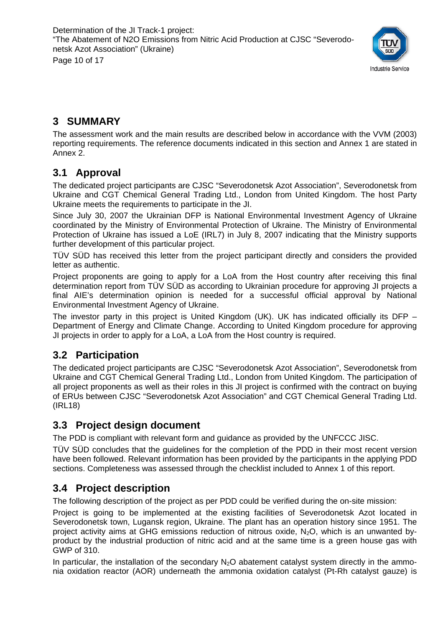

## **3 SUMMARY**

The assessment work and the main results are described below in accordance with the VVM (2003) reporting requirements. The reference documents indicated in this section and Annex 1 are stated in Annex 2.

## **3.1 Approval**

The dedicated project participants are CJSC "Severodonetsk Azot Association", Severodonetsk from Ukraine and CGT Chemical General Trading Ltd., London from United Kingdom. The host Party Ukraine meets the requirements to participate in the JI.

Since July 30, 2007 the Ukrainian DFP is National Environmental Investment Agency of Ukraine coordinated by the Ministry of Environmental Protection of Ukraine. The Ministry of Environmental Protection of Ukraine has issued a LoE (IRL7) in July 8, 2007 indicating that the Ministry supports further development of this particular project.

TÜV SÜD has received this letter from the project participant directly and considers the provided letter as authentic.

Project proponents are going to apply for a LoA from the Host country after receiving this final determination report from TÜV SÜD as according to Ukrainian procedure for approving JI projects a final AIE's determination opinion is needed for a successful official approval by National Environmental Investment Agency of Ukraine.

The investor party in this project is United Kingdom (UK). UK has indicated officially its DFP – Department of Energy and Climate Change. According to United Kingdom procedure for approving JI projects in order to apply for a LoA, a LoA from the Host country is required.

## **3.2 Participation**

The dedicated project participants are CJSC "Severodonetsk Azot Association", Severodonetsk from Ukraine and CGT Chemical General Trading Ltd., London from United Kingdom. The participation of all project proponents as well as their roles in this JI project is confirmed with the contract on buying of ERUs between CJSC "Severodonetsk Azot Association" and CGT Chemical General Trading Ltd. (IRL18)

## **3.3 Project design document**

The PDD is compliant with relevant form and guidance as provided by the UNFCCC JISC.

TÜV SÜD concludes that the guidelines for the completion of the PDD in their most recent version have been followed. Relevant information has been provided by the participants in the applying PDD sections. Completeness was assessed through the checklist included to Annex 1 of this report.

## **3.4 Project description**

The following description of the project as per PDD could be verified during the on-site mission:

Project is going to be implemented at the existing facilities of Severodonetsk Azot located in Severodonetsk town, Lugansk region, Ukraine. The plant has an operation history since 1951. The project activity aims at GHG emissions reduction of nitrous oxide,  $N_2O$ , which is an unwanted byproduct by the industrial production of nitric acid and at the same time is a green house gas with GWP of 310.

In particular, the installation of the secondary  $N_2O$  abatement catalyst system directly in the ammonia oxidation reactor (AOR) underneath the ammonia oxidation catalyst (Pt-Rh catalyst gauze) is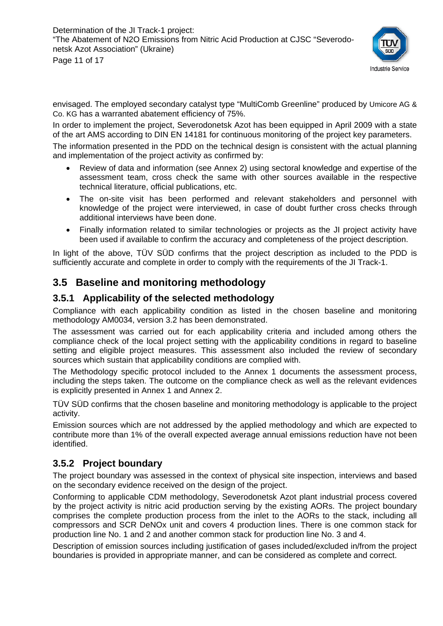

envisaged. The employed secondary catalyst type "MultiComb Greenline" produced by Umicore AG & Co. KG has a warranted abatement efficiency of 75%.

In order to implement the project, Severodonetsk Azot has been equipped in April 2009 with a state of the art AMS according to DIN EN 14181 for continuous monitoring of the project key parameters.

The information presented in the PDD on the technical design is consistent with the actual planning and implementation of the project activity as confirmed by:

- Review of data and information (see Annex 2) using sectoral knowledge and expertise of the assessment team, cross check the same with other sources available in the respective technical literature, official publications, etc.
- The on-site visit has been performed and relevant stakeholders and personnel with knowledge of the project were interviewed, in case of doubt further cross checks through additional interviews have been done.
- Finally information related to similar technologies or projects as the JI project activity have been used if available to confirm the accuracy and completeness of the project description.

In light of the above, TÜV SÜD confirms that the project description as included to the PDD is sufficiently accurate and complete in order to comply with the requirements of the JI Track-1.

### **3.5 Baseline and monitoring methodology**

#### **3.5.1 Applicability of the selected methodology**

Compliance with each applicability condition as listed in the chosen baseline and monitoring methodology AM0034, version 3.2 has been demonstrated.

The assessment was carried out for each applicability criteria and included among others the compliance check of the local project setting with the applicability conditions in regard to baseline setting and eligible project measures. This assessment also included the review of secondary sources which sustain that applicability conditions are complied with.

The Methodology specific protocol included to the Annex 1 documents the assessment process, including the steps taken. The outcome on the compliance check as well as the relevant evidences is explicitly presented in Annex 1 and Annex 2.

TÜV SÜD confirms that the chosen baseline and monitoring methodology is applicable to the project activity.

Emission sources which are not addressed by the applied methodology and which are expected to contribute more than 1% of the overall expected average annual emissions reduction have not been identified.

#### **3.5.2 Project boundary**

The project boundary was assessed in the context of physical site inspection, interviews and based on the secondary evidence received on the design of the project.

Conforming to applicable CDM methodology, Severodonetsk Azot plant industrial process covered by the project activity is nitric acid production serving by the existing AORs. The project boundary comprises the complete production process from the inlet to the AORs to the stack, including all compressors and SCR DeNOx unit and covers 4 production lines. There is one common stack for production line No. 1 and 2 and another common stack for production line No. 3 and 4.

Description of emission sources including justification of gases included/excluded in/from the project boundaries is provided in appropriate manner, and can be considered as complete and correct.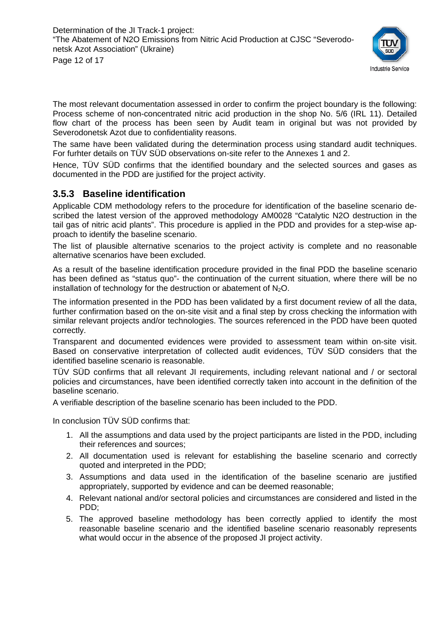

The most relevant documentation assessed in order to confirm the project boundary is the following: Process scheme of non-concentrated nitric acid production in the shop No. 5/6 (IRL 11). Detailed flow chart of the process has been seen by Audit team in original but was not provided by Severodonetsk Azot due to confidentiality reasons.

The same have been validated during the determination process using standard audit techniques. For furhter details on TÜV SÜD observations on-site refer to the Annexes 1 and 2.

Hence, TÜV SÜD confirms that the identified boundary and the selected sources and gases as documented in the PDD are justified for the project activity.

#### **3.5.3 Baseline identification**

Applicable CDM methodology refers to the procedure for identification of the baseline scenario described the latest version of the approved methodology AM0028 "Catalytic N2O destruction in the tail gas of nitric acid plants". This procedure is applied in the PDD and provides for a step-wise approach to identify the baseline scenario.

The list of plausible alternative scenarios to the project activity is complete and no reasonable alternative scenarios have been excluded.

As a result of the baseline identification procedure provided in the final PDD the baseline scenario has been defined as "status quo"- the continuation of the current situation, where there will be no installation of technology for the destruction or abatement of  $N_2O$ .

The information presented in the PDD has been validated by a first document review of all the data, further confirmation based on the on-site visit and a final step by cross checking the information with similar relevant projects and/or technologies. The sources referenced in the PDD have been quoted correctly.

Transparent and documented evidences were provided to assessment team within on-site visit. Based on conservative interpretation of collected audit evidences, TÜV SÜD considers that the identified baseline scenario is reasonable.

TÜV SÜD confirms that all relevant JI requirements, including relevant national and / or sectoral policies and circumstances, have been identified correctly taken into account in the definition of the baseline scenario.

A verifiable description of the baseline scenario has been included to the PDD.

In conclusion TÜV SÜD confirms that:

- 1. All the assumptions and data used by the project participants are listed in the PDD, including their references and sources;
- 2. All documentation used is relevant for establishing the baseline scenario and correctly quoted and interpreted in the PDD;
- 3. Assumptions and data used in the identification of the baseline scenario are justified appropriately, supported by evidence and can be deemed reasonable;
- 4. Relevant national and/or sectoral policies and circumstances are considered and listed in the PDD;
- 5. The approved baseline methodology has been correctly applied to identify the most reasonable baseline scenario and the identified baseline scenario reasonably represents what would occur in the absence of the proposed JI project activity.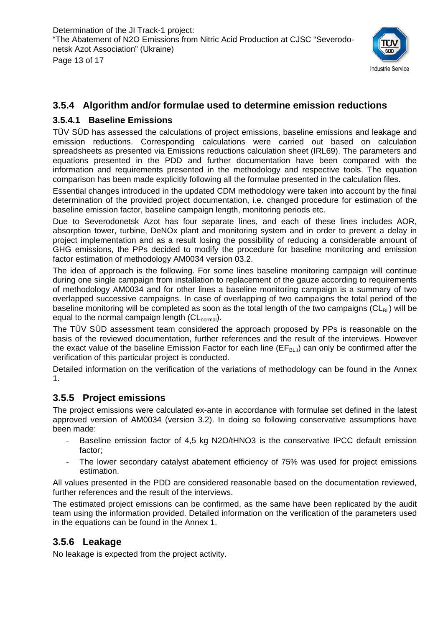

#### **3.5.4 Algorithm and/or formulae used to determine emission reductions**

#### **3.5.4.1 Baseline Emissions**

TÜV SÜD has assessed the calculations of project emissions, baseline emissions and leakage and emission reductions. Corresponding calculations were carried out based on calculation spreadsheets as presented via Emissions reductions calculation sheet (IRL69). The parameters and equations presented in the PDD and further documentation have been compared with the information and requirements presented in the methodology and respective tools. The equation comparison has been made explicitly following all the formulae presented in the calculation files.

Essential changes introduced in the updated CDM methodology were taken into account by the final determination of the provided project documentation, i.e. changed procedure for estimation of the baseline emission factor, baseline campaign length, monitoring periods etc.

Due to Severodonetsk Azot has four separate lines, and each of these lines includes AOR, absorption tower, turbine, DeNOx plant and monitoring system and in order to prevent a delay in project implementation and as a result losing the possibility of reducing a considerable amount of GHG emissions, the PPs decided to modify the procedure for baseline monitoring and emission factor estimation of methodology AM0034 version 03.2.

The idea of approach is the following. For some lines baseline monitoring campaign will continue during one single campaign from installation to replacement of the gauze according to requirements of methodology AM0034 and for other lines a baseline monitoring campaign is a summary of two overlapped successive campaigns. In case of overlapping of two campaigns the total period of the baseline monitoring will be completed as soon as the total length of the two campaigns ( $CL<sub>BI</sub>$ ) will be equal to the normal campaign length  $(CL_{normal})$ .

The TÜV SÜD assessment team considered the approach proposed by PPs is reasonable on the basis of the reviewed documentation, further references and the result of the interviews. However the exact value of the baseline Emission Factor for each line ( $EF_{B1}$ ) can only be confirmed after the verification of this particular project is conducted.

Detailed information on the verification of the variations of methodology can be found in the Annex 1.

#### **3.5.5 Project emissions**

The project emissions were calculated ex-ante in accordance with formulae set defined in the latest approved version of AM0034 (version 3.2). In doing so following conservative assumptions have been made:

- Baseline emission factor of 4,5 kg N2O/tHNO3 is the conservative IPCC default emission factor;
- The lower secondary catalyst abatement efficiency of 75% was used for project emissions estimation.

All values presented in the PDD are considered reasonable based on the documentation reviewed, further references and the result of the interviews.

The estimated project emissions can be confirmed, as the same have been replicated by the audit team using the information provided. Detailed information on the verification of the parameters used in the equations can be found in the Annex 1.

#### **3.5.6 Leakage**

No leakage is expected from the project activity.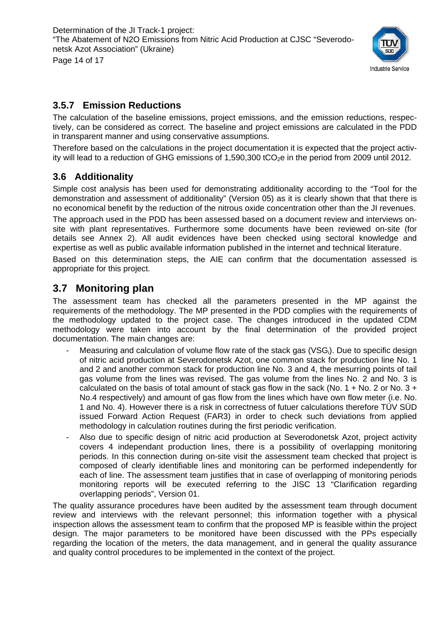

#### **3.5.7 Emission Reductions**

The calculation of the baseline emissions, project emissions, and the emission reductions, respectively, can be considered as correct. The baseline and project emissions are calculated in the PDD in transparent manner and using conservative assumptions.

Therefore based on the calculations in the project documentation it is expected that the project activity will lead to a reduction of GHG emissions of 1,590,300 tCO<sub>2</sub>e in the period from 2009 until 2012.

#### **3.6 Additionality**

Simple cost analysis has been used for demonstrating additionality according to the "Tool for the demonstration and assessment of additionality" (Version 05) as it is clearly shown that that there is no economical benefit by the reduction of the nitrous oxide concentration other than the JI revenues.

The approach used in the PDD has been assessed based on a document review and interviews onsite with plant representatives. Furthermore some documents have been reviewed on-site (for details see Annex 2). All audit evidences have been checked using sectoral knowledge and expertise as well as public available information published in the internet and technical literature.

Based on this determination steps, the AIE can confirm that the documentation assessed is appropriate for this project.

#### **3.7 Monitoring plan**

The assessment team has checked all the parameters presented in the MP against the requirements of the methodology. The MP presented in the PDD complies with the requirements of the methodology updated to the project case. The changes introduced in the updated CDM methodology were taken into account by the final determination of the provided project documentation. The main changes are:

- Measuring and calculation of volume flow rate of the stack gas ( $VSG_i$ ). Due to specific design of nitric acid production at Severodonetsk Azot, one common stack for production line No. 1 and 2 and another common stack for production line No. 3 and 4, the mesurring points of tail gas volume from the lines was revised. The gas volume from the lines No. 2 and No. 3 is calculated on the basis of total amount of stack gas flow in the sack (No.  $1 +$  No. 2 or No.  $3 +$ No.4 respectively) and amount of gas flow from the lines which have own flow meter (i.e. No. 1 and No. 4). However there is a risk in correctness of futuer calculations therefore TÜV SÜD issued Forward Action Request (FAR3) in order to check such deviations from applied methodology in calculation routines during the first periodic verification.
- Also due to specific design of nitric acid production at Severodonetsk Azot, project activity covers 4 independant production lines, there is a possibility of overlapping monitoring periods. In this connection during on-site visit the assessment team checked that project is composed of clearly identifiable lines and monitoring can be performed independently for each of line. The assessment team justifies that in case of overlapping of monitoring periods monitoring reports will be executed referring to the JISC 13 "Clarification regarding overlapping periods", Version 01.

The quality assurance procedures have been audited by the assessment team through document review and interviews with the relevant personnel; this information together with a physical inspection allows the assessment team to confirm that the proposed MP is feasible within the project design. The major parameters to be monitored have been discussed with the PPs especially regarding the location of the meters, the data management, and in general the quality assurance and quality control procedures to be implemented in the context of the project.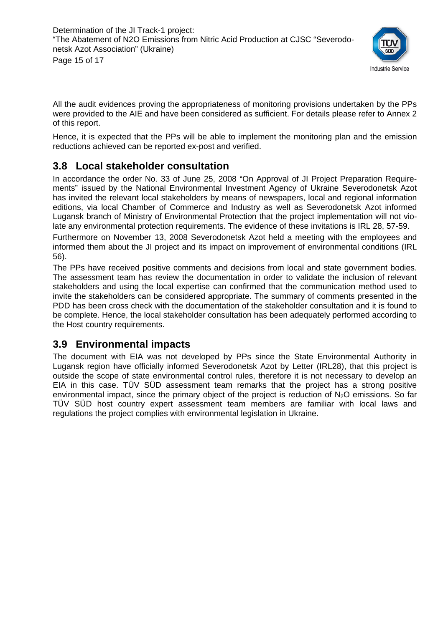

All the audit evidences proving the appropriateness of monitoring provisions undertaken by the PPs were provided to the AIE and have been considered as sufficient. For details please refer to Annex 2 of this report.

Hence, it is expected that the PPs will be able to implement the monitoring plan and the emission reductions achieved can be reported ex-post and verified.

## **3.8 Local stakeholder consultation**

In accordance the order No. 33 of June 25, 2008 "On Approval of JI Project Preparation Requirements" issued by the National Environmental Investment Agency of Ukraine Severodonetsk Azot has invited the relevant local stakeholders by means of newspapers, local and regional information editions, via local Chamber of Commerce and Industry as well as Severodonetsk Azot informed Lugansk branch of Ministry of Environmental Protection that the project implementation will not violate any environmental protection requirements. The evidence of these invitations is IRL 28, 57-59.

Furthermore on November 13, 2008 Severodonetsk Azot held a meeting with the employees and informed them about the JI project and its impact on improvement of environmental conditions (IRL 56).

The PPs have received positive comments and decisions from local and state government bodies. The assessment team has review the documentation in order to validate the inclusion of relevant stakeholders and using the local expertise can confirmed that the communication method used to invite the stakeholders can be considered appropriate. The summary of comments presented in the PDD has been cross check with the documentation of the stakeholder consultation and it is found to be complete. Hence, the local stakeholder consultation has been adequately performed according to the Host country requirements.

#### **3.9 Environmental impacts**

The document with EIA was not developed by PPs since the State Environmental Authority in Lugansk region have officially informed Severodonetsk Azot by Letter (IRL28), that this project is outside the scope of state environmental control rules, therefore it is not necessary to develop an EIA in this case. TÜV SÜD assessment team remarks that the project has a strong positive environmental impact, since the primary object of the project is reduction of  $N<sub>2</sub>O$  emissions. So far TÜV SÜD host country expert assessment team members are familiar with local laws and regulations the project complies with environmental legislation in Ukraine.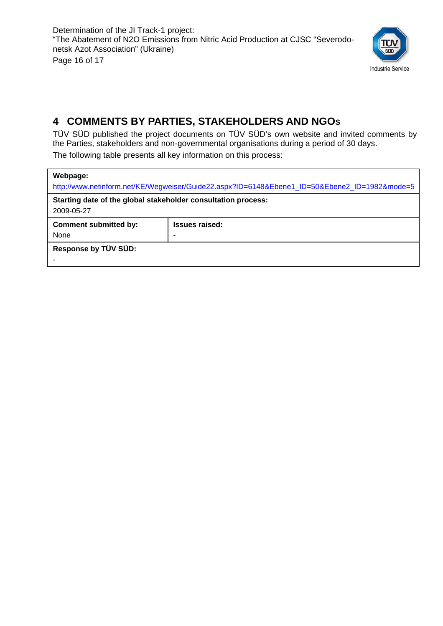

## **4 COMMENTS BY PARTIES, STAKEHOLDERS AND NGOS**

TÜV SÜD published the project documents on TÜV SÜD's own website and invited comments by the Parties, stakeholders and non-governmental organisations during a period of 30 days.

The following table presents all key information on this process:

| Webpage:                                                                    |                                                                                               |  |  |  |  |  |
|-----------------------------------------------------------------------------|-----------------------------------------------------------------------------------------------|--|--|--|--|--|
|                                                                             | http://www.netinform.net/KE/Wegweiser/Guide22.aspx?ID=6148&Ebene1_ID=50&Ebene2_ID=1982&mode=5 |  |  |  |  |  |
| Starting date of the global stakeholder consultation process:<br>2009-05-27 |                                                                                               |  |  |  |  |  |
| <b>Comment submitted by:</b>                                                | <b>Issues raised:</b>                                                                         |  |  |  |  |  |
| None<br>۰                                                                   |                                                                                               |  |  |  |  |  |
| Response by TÜV SÜD:                                                        |                                                                                               |  |  |  |  |  |
|                                                                             |                                                                                               |  |  |  |  |  |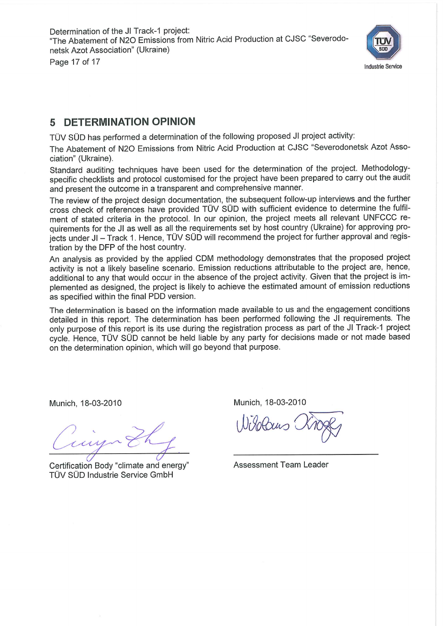

#### 5 DETERMINATION OPINION

TÜV SÜD has performed a determination of the following proposed JI project activity:

The Abatement of N2O Emissions from Nitric Acid Production at CJSC "Severodonetsk Azot Association" (Ukraine).

Standard auditing techniques have been used for the determination of the project. Methodologyspecific checklists and protocol customised for the project have been prepared to carry out the audit and present the outcome in a transparent and comprehensive manner.

The review of the project design documentation, the subsequent follow-up interviews and the further cross check of references have provided TÜV SÜD with sufficient evidence to determine the fulfilment of stated criteria in the protocol. In our opinion, the project meets all relevant UNFCCC requirements for the JI as well as all the requirements set by host country (Ukraine) for approving projects under JI - Track 1. Hence, TÜV SÜD will recommend the project for further approval and registration by the DFP of the host country.

An analysis as provided by the applied CDM methodology demonstrates that the proposed project activity is not a likely baseline scenario. Emission reductions attributable to the project are, hence, additional to any that would occur in the absence of the project activity. Given that the project is implemented as designed, the project is likely to achieve the estimated amount of emission reductions as specified within the final PDD version.

The determination is based on the information made available to us and the engagement conditions detailed in this report. The determination has been performed following the JI requirements. The only purpose of this report is its use during the registration process as part of the JI Track-1 project cycle. Hence, TÜV SÜD cannot be held liable by any party for decisions made or not made based on the determination opinion, which will go beyond that purpose.

Munich, 18-03-2010

Certification Body "climate and energy" TÜV SÜD Industrie Service GmbH

Munich, 18-03-2010

**Assessment Team Leader**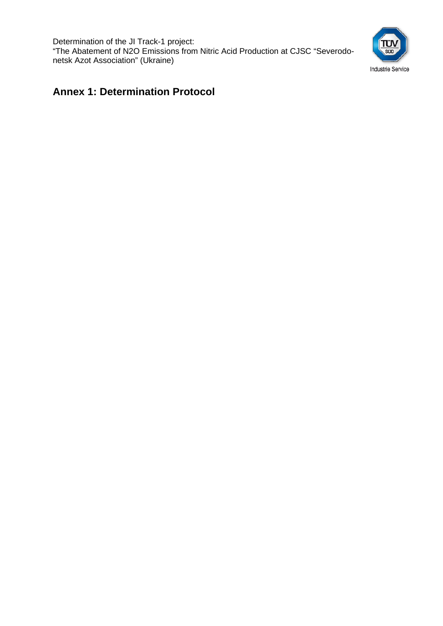Determination of the JI Track-1 project: "The Abatement of N2O Emissions from Nitric Acid Production at CJSC "Severodonetsk Azot Association" (Ukraine)



## **Annex 1: Determination Protocol**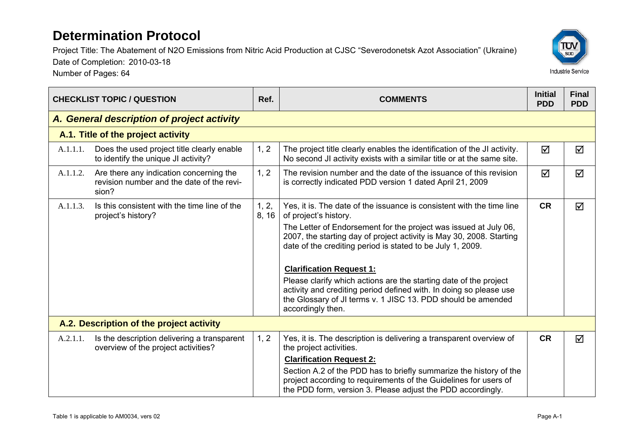Project Title: The Abatement of N2O Emissions from Nitric Acid Production at CJSC "Severodonetsk Azot Association" (Ukraine)

Date of Completion: 2010-03-18

Number of Pages: 64

| <b>CHECKLIST TOPIC / QUESTION</b>          |                                                                                               | Ref.           | <b>COMMENTS</b>                                                                                                                                                                                                                          | <b>Initial</b><br><b>PDD</b> | <b>Final</b><br><b>PDD</b> |
|--------------------------------------------|-----------------------------------------------------------------------------------------------|----------------|------------------------------------------------------------------------------------------------------------------------------------------------------------------------------------------------------------------------------------------|------------------------------|----------------------------|
| A. General description of project activity |                                                                                               |                |                                                                                                                                                                                                                                          |                              |                            |
|                                            | A.1. Title of the project activity                                                            |                |                                                                                                                                                                                                                                          |                              |                            |
| A.1.1.1.                                   | Does the used project title clearly enable<br>to identify the unique JI activity?             | 1, 2           | The project title clearly enables the identification of the JI activity.<br>No second JI activity exists with a similar title or at the same site.                                                                                       | ☑                            | ☑                          |
| A.1.1.2.                                   | Are there any indication concerning the<br>revision number and the date of the revi-<br>sion? | 1, 2           | The revision number and the date of the issuance of this revision<br>is correctly indicated PDD version 1 dated April 21, 2009                                                                                                           | $\triangledown$              | $\triangledown$            |
| A.1.1.3.                                   | Is this consistent with the time line of the<br>project's history?                            | 1, 2,<br>8, 16 | Yes, it is. The date of the issuance is consistent with the time line<br>of project's history.                                                                                                                                           | <b>CR</b>                    | $\triangledown$            |
|                                            |                                                                                               |                | The Letter of Endorsement for the project was issued at July 06,<br>2007, the starting day of project activity is May 30, 2008. Starting<br>date of the crediting period is stated to be July 1, 2009.                                   |                              |                            |
|                                            |                                                                                               |                | <b>Clarification Request 1:</b>                                                                                                                                                                                                          |                              |                            |
|                                            |                                                                                               |                | Please clarify which actions are the starting date of the project<br>activity and crediting period defined with. In doing so please use<br>the Glossary of JI terms v. 1 JISC 13. PDD should be amended<br>accordingly then.             |                              |                            |
|                                            | A.2. Description of the project activity                                                      |                |                                                                                                                                                                                                                                          |                              |                            |
| A.2.1.1.                                   | Is the description delivering a transparent<br>overview of the project activities?            | 1, 2           | Yes, it is. The description is delivering a transparent overview of<br>the project activities.                                                                                                                                           | <b>CR</b>                    | ☑                          |
|                                            |                                                                                               |                | <b>Clarification Request 2:</b><br>Section A.2 of the PDD has to briefly summarize the history of the<br>project according to requirements of the Guidelines for users of<br>the PDD form, version 3. Please adjust the PDD accordingly. |                              |                            |

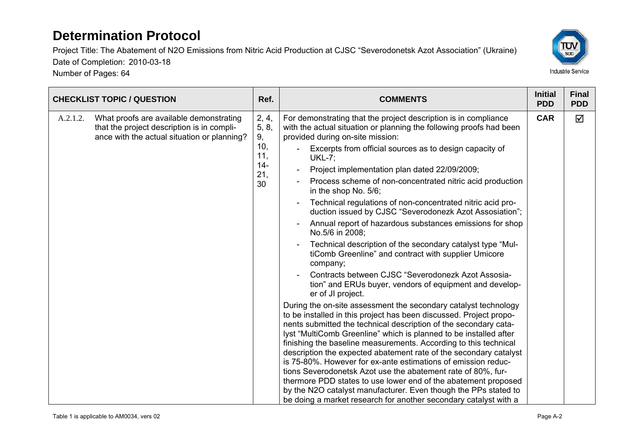Number of Pages: 64



|          | <b>CHECKLIST TOPIC / QUESTION</b>                                                                                                    | Ref.                                                      | <b>COMMENTS</b>                                                                                                                                                                                                                                                                                                                                                                                                                                                                                                                                                                                                                                                                                                                                                                                                                                                                                                                                                                                                                                                                                                                                                                                                                                                                                                                                                                                                                                                                                                                                                                                                                                   | <b>Initial</b><br><b>PDD</b> | <b>Final</b><br><b>PDD</b> |
|----------|--------------------------------------------------------------------------------------------------------------------------------------|-----------------------------------------------------------|---------------------------------------------------------------------------------------------------------------------------------------------------------------------------------------------------------------------------------------------------------------------------------------------------------------------------------------------------------------------------------------------------------------------------------------------------------------------------------------------------------------------------------------------------------------------------------------------------------------------------------------------------------------------------------------------------------------------------------------------------------------------------------------------------------------------------------------------------------------------------------------------------------------------------------------------------------------------------------------------------------------------------------------------------------------------------------------------------------------------------------------------------------------------------------------------------------------------------------------------------------------------------------------------------------------------------------------------------------------------------------------------------------------------------------------------------------------------------------------------------------------------------------------------------------------------------------------------------------------------------------------------------|------------------------------|----------------------------|
| A.2.1.2. | What proofs are available demonstrating<br>that the project description is in compli-<br>ance with the actual situation or planning? | 2, 4,<br>5, 8,<br>9,<br>10,<br>11,<br>$14 -$<br>21,<br>30 | For demonstrating that the project description is in compliance<br>with the actual situation or planning the following proofs had been<br>provided during on-site mission:<br>Excerpts from official sources as to design capacity of<br><b>UKL-7;</b><br>Project implementation plan dated 22/09/2009;<br>Process scheme of non-concentrated nitric acid production<br>in the shop No. 5/6;<br>Technical regulations of non-concentrated nitric acid pro-<br>duction issued by CJSC "Severodonezk Azot Assosiation";<br>Annual report of hazardous substances emissions for shop<br>No.5/6 in 2008;<br>Technical description of the secondary catalyst type "Mul-<br>tiComb Greenline" and contract with supplier Umicore<br>company;<br>Contracts between CJSC "Severodonezk Azot Assosia-<br>tion" and ERUs buyer, vendors of equipment and develop-<br>er of JI project.<br>During the on-site assessment the secondary catalyst technology<br>to be installed in this project has been discussed. Project propo-<br>nents submitted the technical description of the secondary cata-<br>lyst "MultiComb Greenline" which is planned to be installed after<br>finishing the baseline measurements. According to this technical<br>description the expected abatement rate of the secondary catalyst<br>is 75-80%. However for ex-ante estimations of emission reduc-<br>tions Severodonetsk Azot use the abatement rate of 80%, fur-<br>thermore PDD states to use lower end of the abatement proposed<br>by the N2O catalyst manufacturer. Even though the PPs stated to<br>be doing a market research for another secondary catalyst with a | <b>CAR</b>                   | ☑                          |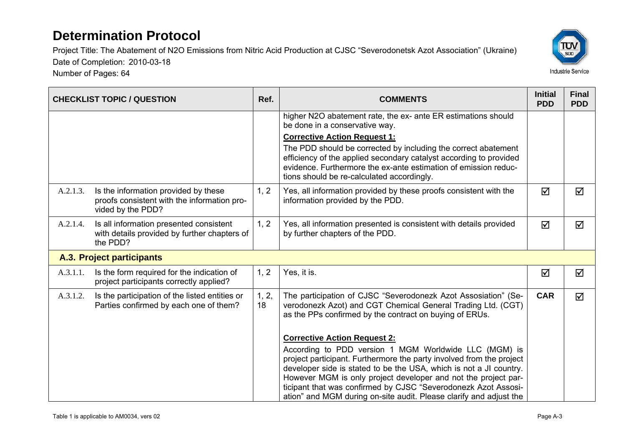Number of Pages: 64



|          | <b>CHECKLIST TOPIC / QUESTION</b>                                                                        | Ref.        | <b>COMMENTS</b>                                                                                                                                                                                                                                                                                                                                                                                               | <b>Initial</b><br><b>PDD</b> | <b>Final</b><br><b>PDD</b> |
|----------|----------------------------------------------------------------------------------------------------------|-------------|---------------------------------------------------------------------------------------------------------------------------------------------------------------------------------------------------------------------------------------------------------------------------------------------------------------------------------------------------------------------------------------------------------------|------------------------------|----------------------------|
|          |                                                                                                          |             | higher N2O abatement rate, the ex- ante ER estimations should<br>be done in a conservative way.                                                                                                                                                                                                                                                                                                               |                              |                            |
|          |                                                                                                          |             | <b>Corrective Action Request 1:</b>                                                                                                                                                                                                                                                                                                                                                                           |                              |                            |
|          |                                                                                                          |             | The PDD should be corrected by including the correct abatement<br>efficiency of the applied secondary catalyst according to provided<br>evidence. Furthermore the ex-ante estimation of emission reduc-<br>tions should be re-calculated accordingly.                                                                                                                                                         |                              |                            |
| A.2.1.3. | Is the information provided by these<br>proofs consistent with the information pro-<br>vided by the PDD? | 1, 2        | Yes, all information provided by these proofs consistent with the<br>information provided by the PDD.                                                                                                                                                                                                                                                                                                         | ☑                            | $\Delta$                   |
| A.2.1.4. | Is all information presented consistent<br>with details provided by further chapters of<br>the PDD?      | 1, 2        | Yes, all information presented is consistent with details provided<br>by further chapters of the PDD.                                                                                                                                                                                                                                                                                                         | ☑                            | ☑                          |
|          | A.3. Project participants                                                                                |             |                                                                                                                                                                                                                                                                                                                                                                                                               |                              |                            |
| A.3.1.1. | Is the form required for the indication of<br>project participants correctly applied?                    | 1, 2        | Yes, it is.                                                                                                                                                                                                                                                                                                                                                                                                   | ☑                            | ☑                          |
| A.3.1.2. | Is the participation of the listed entities or<br>Parties confirmed by each one of them?                 | 1, 2,<br>18 | The participation of CJSC "Severodonezk Azot Assosiation" (Se-<br>verodonezk Azot) and CGT Chemical General Trading Ltd. (CGT)<br>as the PPs confirmed by the contract on buying of ERUs.                                                                                                                                                                                                                     | <b>CAR</b>                   | ☑                          |
|          |                                                                                                          |             | <b>Corrective Action Request 2:</b>                                                                                                                                                                                                                                                                                                                                                                           |                              |                            |
|          |                                                                                                          |             | According to PDD version 1 MGM Worldwide LLC (MGM) is<br>project participant. Furthermore the party involved from the project<br>developer side is stated to be the USA, which is not a JI country.<br>However MGM is only project developer and not the project par-<br>ticipant that was confirmed by CJSC "Severodonezk Azot Assosi-<br>ation" and MGM during on-site audit. Please clarify and adjust the |                              |                            |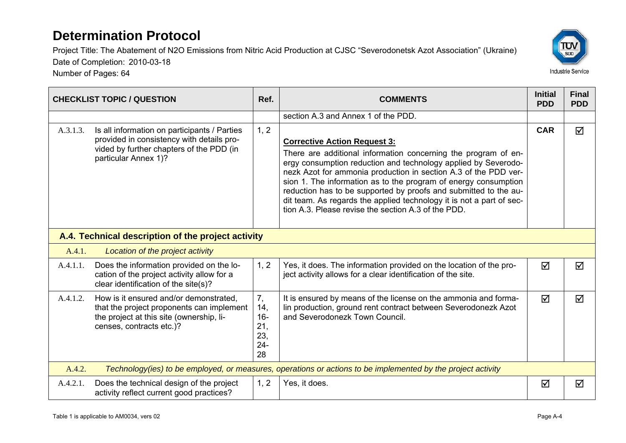Project Title: The Abatement of N2O Emissions from Nitric Acid Production at CJSC "Severodonetsk Azot Association" (Ukraine) Date of Completion: 2010-03-18



Number of Pages: 64

|          | <b>CHECKLIST TOPIC / QUESTION</b>                                                                                                                             | Ref.                                              | <b>COMMENTS</b>                                                                                                                                                                                                                                                                                                                                                                                                                                                                                                  | <b>Initial</b><br><b>PDD</b> | <b>Final</b><br><b>PDD</b> |
|----------|---------------------------------------------------------------------------------------------------------------------------------------------------------------|---------------------------------------------------|------------------------------------------------------------------------------------------------------------------------------------------------------------------------------------------------------------------------------------------------------------------------------------------------------------------------------------------------------------------------------------------------------------------------------------------------------------------------------------------------------------------|------------------------------|----------------------------|
|          |                                                                                                                                                               |                                                   | section A.3 and Annex 1 of the PDD.                                                                                                                                                                                                                                                                                                                                                                                                                                                                              |                              |                            |
| A.3.1.3. | Is all information on participants / Parties<br>provided in consistency with details pro-<br>vided by further chapters of the PDD (in<br>particular Annex 1)? | 1, 2                                              | <b>Corrective Action Request 3:</b><br>There are additional information concerning the program of en-<br>ergy consumption reduction and technology applied by Severodo-<br>nezk Azot for ammonia production in section A.3 of the PDD ver-<br>sion 1. The information as to the program of energy consumption<br>reduction has to be supported by proofs and submitted to the au-<br>dit team. As regards the applied technology it is not a part of sec-<br>tion A.3. Please revise the section A.3 of the PDD. | <b>CAR</b>                   | ☑                          |
|          | A.4. Technical description of the project activity                                                                                                            |                                                   |                                                                                                                                                                                                                                                                                                                                                                                                                                                                                                                  |                              |                            |
| A.4.1.   | Location of the project activity                                                                                                                              |                                                   |                                                                                                                                                                                                                                                                                                                                                                                                                                                                                                                  |                              |                            |
| A.4.1.1. | Does the information provided on the lo-<br>cation of the project activity allow for a<br>clear identification of the site(s)?                                | 1, 2                                              | Yes, it does. The information provided on the location of the pro-<br>ject activity allows for a clear identification of the site.                                                                                                                                                                                                                                                                                                                                                                               | ☑                            | ☑                          |
| A.4.1.2. | How is it ensured and/or demonstrated,<br>that the project proponents can implement<br>the project at this site (ownership, li-<br>censes, contracts etc.)?   | 7,<br>14,<br>$16 -$<br>21,<br>23,<br>$24 -$<br>28 | It is ensured by means of the license on the ammonia and forma-<br>lin production, ground rent contract between Severodonezk Azot<br>and Severodonezk Town Council.                                                                                                                                                                                                                                                                                                                                              | ☑                            | ☑                          |
| A.4.2.   |                                                                                                                                                               |                                                   | Technology(ies) to be employed, or measures, operations or actions to be implemented by the project activity                                                                                                                                                                                                                                                                                                                                                                                                     |                              |                            |
| A.4.2.1. | Does the technical design of the project<br>activity reflect current good practices?                                                                          | 1, 2                                              | Yes, it does.                                                                                                                                                                                                                                                                                                                                                                                                                                                                                                    | ☑                            | ☑                          |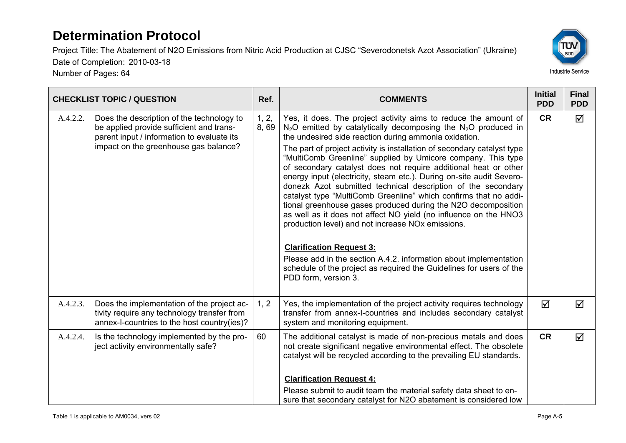Project Title: The Abatement of N2O Emissions from Nitric Acid Production at CJSC "Severodonetsk Azot Association" (Ukraine) Date of Completion: 2010-03-18

Number of Pages: 64



|          | <b>CHECKLIST TOPIC / QUESTION</b>                                                                                                                                            | Ref.          | <b>COMMENTS</b>                                                                                                                                                                                                                                                                                                                                                                                                                                                                                                                                                                                                                                                                                                                                                                                                                                                                                                                                                                                                                       | <b>Initial</b><br><b>PDD</b> | <b>Final</b><br><b>PDD</b> |
|----------|------------------------------------------------------------------------------------------------------------------------------------------------------------------------------|---------------|---------------------------------------------------------------------------------------------------------------------------------------------------------------------------------------------------------------------------------------------------------------------------------------------------------------------------------------------------------------------------------------------------------------------------------------------------------------------------------------------------------------------------------------------------------------------------------------------------------------------------------------------------------------------------------------------------------------------------------------------------------------------------------------------------------------------------------------------------------------------------------------------------------------------------------------------------------------------------------------------------------------------------------------|------------------------------|----------------------------|
| A.4.2.2. | Does the description of the technology to<br>be applied provide sufficient and trans-<br>parent input / information to evaluate its<br>impact on the greenhouse gas balance? | 1, 2,<br>8,69 | Yes, it does. The project activity aims to reduce the amount of<br>$N_2O$ emitted by catalytically decomposing the $N_2O$ produced in<br>the undesired side reaction during ammonia oxidation.<br>The part of project activity is installation of secondary catalyst type<br>"MultiComb Greenline" supplied by Umicore company. This type<br>of secondary catalyst does not require additional heat or other<br>energy input (electricity, steam etc.). During on-site audit Severo-<br>donezk Azot submitted technical description of the secondary<br>catalyst type "MultiComb Greenline" which confirms that no addi-<br>tional greenhouse gases produced during the N2O decomposition<br>as well as it does not affect NO yield (no influence on the HNO3<br>production level) and not increase NO <sub>x</sub> emissions.<br><b>Clarification Request 3:</b><br>Please add in the section A.4.2. information about implementation<br>schedule of the project as required the Guidelines for users of the<br>PDD form, version 3. | <b>CR</b>                    | ☑                          |
| A.4.2.3. | Does the implementation of the project ac-<br>tivity require any technology transfer from<br>annex-I-countries to the host country(ies)?                                     | 1, 2          | Yes, the implementation of the project activity requires technology<br>transfer from annex-I-countries and includes secondary catalyst<br>system and monitoring equipment.                                                                                                                                                                                                                                                                                                                                                                                                                                                                                                                                                                                                                                                                                                                                                                                                                                                            | $\overline{\mathsf{M}}$      | ☑                          |
| A.4.2.4. | Is the technology implemented by the pro-<br>ject activity environmentally safe?                                                                                             | 60            | The additional catalyst is made of non-precious metals and does<br>not create significant negative environmental effect. The obsolete<br>catalyst will be recycled according to the prevailing EU standards.<br><b>Clarification Request 4:</b><br>Please submit to audit team the material safety data sheet to en-<br>sure that secondary catalyst for N2O abatement is considered low                                                                                                                                                                                                                                                                                                                                                                                                                                                                                                                                                                                                                                              | <b>CR</b>                    | ☑                          |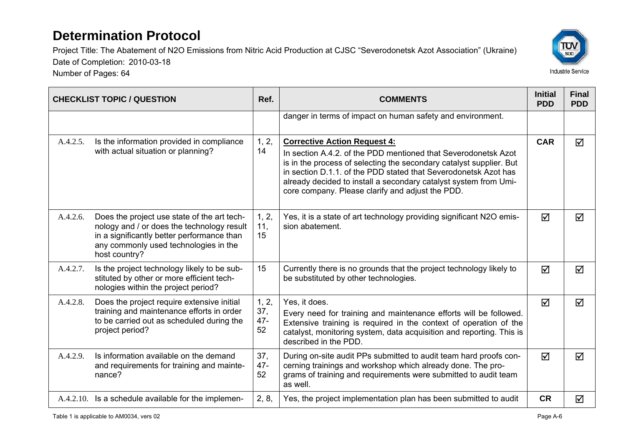

|          | <b>CHECKLIST TOPIC / QUESTION</b>                                                                                                                                                                 | Ref.                         | <b>COMMENTS</b>                                                                                                                                                                                                                                                                                                                                                         | <b>Initial</b><br><b>PDD</b> | <b>Final</b><br><b>PDD</b> |
|----------|---------------------------------------------------------------------------------------------------------------------------------------------------------------------------------------------------|------------------------------|-------------------------------------------------------------------------------------------------------------------------------------------------------------------------------------------------------------------------------------------------------------------------------------------------------------------------------------------------------------------------|------------------------------|----------------------------|
|          |                                                                                                                                                                                                   |                              | danger in terms of impact on human safety and environment.                                                                                                                                                                                                                                                                                                              |                              |                            |
| A.4.2.5. | Is the information provided in compliance<br>with actual situation or planning?                                                                                                                   | 1, 2,<br>14                  | <b>Corrective Action Request 4:</b><br>In section A.4.2, of the PDD mentioned that Severodonetsk Azot<br>is in the process of selecting the secondary catalyst supplier. But<br>in section D.1.1, of the PDD stated that Severodonetsk Azot has<br>already decided to install a secondary catalyst system from Umi-<br>core company. Please clarify and adjust the PDD. | <b>CAR</b>                   | $\triangledown$            |
| A.4.2.6. | Does the project use state of the art tech-<br>nology and / or does the technology result<br>in a significantly better performance than<br>any commonly used technologies in the<br>host country? | 1, 2,<br>11,<br>15           | Yes, it is a state of art technology providing significant N2O emis-<br>sion abatement.                                                                                                                                                                                                                                                                                 | $\triangledown$              | ☑                          |
| A.4.2.7. | Is the project technology likely to be sub-<br>stituted by other or more efficient tech-<br>nologies within the project period?                                                                   | 15                           | Currently there is no grounds that the project technology likely to<br>be substituted by other technologies.                                                                                                                                                                                                                                                            | $\triangledown$              | ☑                          |
| A.4.2.8. | Does the project require extensive initial<br>training and maintenance efforts in order<br>to be carried out as scheduled during the<br>project period?                                           | 1, 2,<br>37,<br>$47 -$<br>52 | Yes, it does.<br>Every need for training and maintenance efforts will be followed.<br>Extensive training is required in the context of operation of the<br>catalyst, monitoring system, data acquisition and reporting. This is<br>described in the PDD.                                                                                                                | ☑                            | ☑                          |
| A.4.2.9. | Is information available on the demand<br>and requirements for training and mainte-<br>nance?                                                                                                     | 37,<br>$47 -$<br>52          | During on-site audit PPs submitted to audit team hard proofs con-<br>cerning trainings and workshop which already done. The pro-<br>grams of training and requirements were submitted to audit team<br>as well.                                                                                                                                                         | ☑                            | ⊠                          |
|          | A.4.2.10. Is a schedule available for the implemen-                                                                                                                                               | 2, 8,                        | Yes, the project implementation plan has been submitted to audit                                                                                                                                                                                                                                                                                                        | <b>CR</b>                    | ☑                          |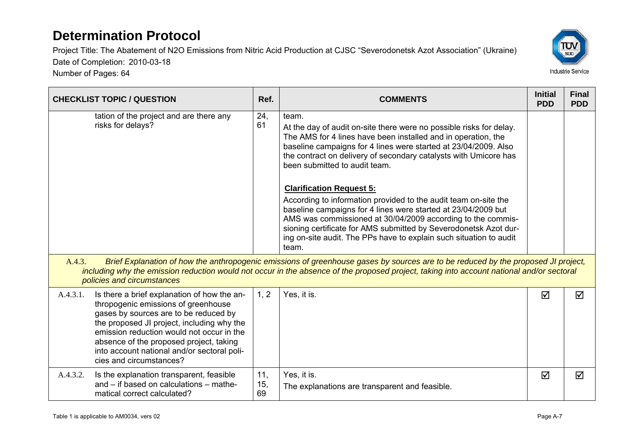Number of Pages: 64



| <b>CHECKLIST TOPIC / QUESTION</b>                                                                                                                                                                                                                                                                                                                       | Ref.             | <b>COMMENTS</b>                                                                                                                                                                                                                                                                                                                                                                                                                                                                                                                                                                                                                                                                                                | <b>Initial</b><br><b>PDD</b> | <b>Final</b><br><b>PDD</b> |
|---------------------------------------------------------------------------------------------------------------------------------------------------------------------------------------------------------------------------------------------------------------------------------------------------------------------------------------------------------|------------------|----------------------------------------------------------------------------------------------------------------------------------------------------------------------------------------------------------------------------------------------------------------------------------------------------------------------------------------------------------------------------------------------------------------------------------------------------------------------------------------------------------------------------------------------------------------------------------------------------------------------------------------------------------------------------------------------------------------|------------------------------|----------------------------|
| tation of the project and are there any<br>risks for delays?                                                                                                                                                                                                                                                                                            | 24,<br>61        | team.<br>At the day of audit on-site there were no possible risks for delay.<br>The AMS for 4 lines have been installed and in operation, the<br>baseline campaigns for 4 lines were started at 23/04/2009. Also<br>the contract on delivery of secondary catalysts with Umicore has<br>been submitted to audit team.<br><b>Clarification Request 5:</b><br>According to information provided to the audit team on-site the<br>baseline campaigns for 4 lines were started at 23/04/2009 but<br>AMS was commissioned at 30/04/2009 according to the commis-<br>sioning certificate for AMS submitted by Severodonetsk Azot dur-<br>ing on-site audit. The PPs have to explain such situation to audit<br>team. |                              |                            |
| A.4.3.<br>policies and circumstances                                                                                                                                                                                                                                                                                                                    |                  | Brief Explanation of how the anthropogenic emissions of greenhouse gases by sources are to be reduced by the proposed JI project,<br>including why the emission reduction would not occur in the absence of the proposed project, taking into account national and/or sectoral                                                                                                                                                                                                                                                                                                                                                                                                                                 |                              |                            |
| A.4.3.1.<br>Is there a brief explanation of how the an-<br>thropogenic emissions of greenhouse<br>gases by sources are to be reduced by<br>the proposed JI project, including why the<br>emission reduction would not occur in the<br>absence of the proposed project, taking<br>into account national and/or sectoral poli-<br>cies and circumstances? | 1, 2             | Yes, it is.                                                                                                                                                                                                                                                                                                                                                                                                                                                                                                                                                                                                                                                                                                    | ☑                            | ☑                          |
| A.4.3.2.<br>Is the explanation transparent, feasible<br>and – if based on calculations – mathe-<br>matical correct calculated?                                                                                                                                                                                                                          | 11,<br>15,<br>69 | Yes, it is.<br>The explanations are transparent and feasible.                                                                                                                                                                                                                                                                                                                                                                                                                                                                                                                                                                                                                                                  | ☑                            | ☑                          |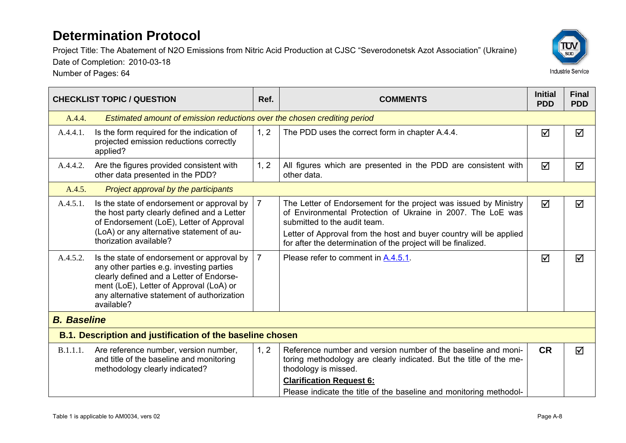Project Title: The Abatement of N2O Emissions from Nitric Acid Production at CJSC "Severodonetsk Azot Association" (Ukraine)



Date of Completion: 2010-03-18 Number of Pages: 64

|                    | <b>CHECKLIST TOPIC / QUESTION</b>                                                                                                                                                                                                         | Ref. | <b>COMMENTS</b>                                                                                                                                                                                                                                                                                        | <b>Initial</b><br><b>PDD</b> | <b>Final</b><br><b>PDD</b> |
|--------------------|-------------------------------------------------------------------------------------------------------------------------------------------------------------------------------------------------------------------------------------------|------|--------------------------------------------------------------------------------------------------------------------------------------------------------------------------------------------------------------------------------------------------------------------------------------------------------|------------------------------|----------------------------|
| A.4.4.             | Estimated amount of emission reductions over the chosen crediting period                                                                                                                                                                  |      |                                                                                                                                                                                                                                                                                                        |                              |                            |
| A.4.4.1.           | Is the form required for the indication of<br>projected emission reductions correctly<br>applied?                                                                                                                                         | 1, 2 | The PDD uses the correct form in chapter A.4.4.                                                                                                                                                                                                                                                        | ☑                            | ☑                          |
| A.4.4.2.           | Are the figures provided consistent with<br>other data presented in the PDD?                                                                                                                                                              | 1, 2 | All figures which are presented in the PDD are consistent with<br>other data.                                                                                                                                                                                                                          | ☑                            | ☑                          |
| A.4.5.             | Project approval by the participants                                                                                                                                                                                                      |      |                                                                                                                                                                                                                                                                                                        |                              |                            |
| A.4.5.1.           | Is the state of endorsement or approval by<br>the host party clearly defined and a Letter<br>of Endorsement (LoE), Letter of Approval<br>(LoA) or any alternative statement of au-<br>thorization available?                              |      | The Letter of Endorsement for the project was issued by Ministry<br>of Environmental Protection of Ukraine in 2007. The LoE was<br>submitted to the audit team.<br>Letter of Approval from the host and buyer country will be applied<br>for after the determination of the project will be finalized. | ☑                            | ☑                          |
| A.4.5.2.           | Is the state of endorsement or approval by<br>any other parties e.g. investing parties<br>clearly defined and a Letter of Endorse-<br>ment (LoE), Letter of Approval (LoA) or<br>any alternative statement of authorization<br>available? | 7    | Please refer to comment in A.4.5.1.                                                                                                                                                                                                                                                                    | ☑                            | ⊠                          |
| <b>B.</b> Baseline |                                                                                                                                                                                                                                           |      |                                                                                                                                                                                                                                                                                                        |                              |                            |
|                    | <b>B.1. Description and justification of the baseline chosen</b>                                                                                                                                                                          |      |                                                                                                                                                                                                                                                                                                        |                              |                            |
| B.1.1.1.           | Are reference number, version number,<br>and title of the baseline and monitoring<br>methodology clearly indicated?                                                                                                                       | 1, 2 | Reference number and version number of the baseline and moni-<br>toring methodology are clearly indicated. But the title of the me-<br>thodology is missed.<br><b>Clarification Request 6:</b><br>Please indicate the title of the baseline and monitoring methodol-                                   | <b>CR</b>                    | ☑                          |
|                    |                                                                                                                                                                                                                                           |      |                                                                                                                                                                                                                                                                                                        |                              |                            |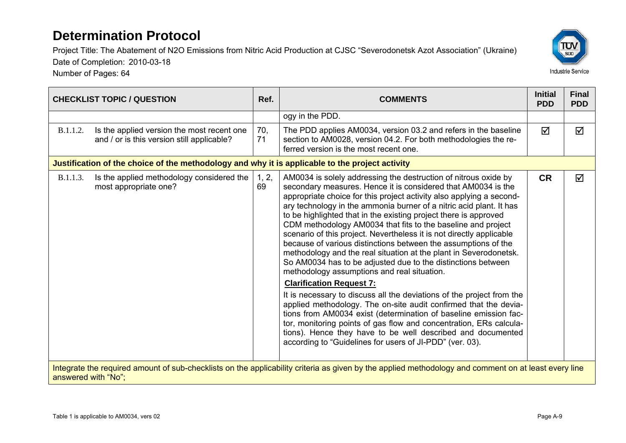Number of Pages: 64



|                     |                                                                                                 |             |                                                                                                                                                                                                                                                                                                                                                                                                                                                                                                                                                                                                                                                                                                                                                                                                                                                                                                                                                                                                                                                                                                                                                                                                        | <b>Initial</b> | <b>Final</b> |
|---------------------|-------------------------------------------------------------------------------------------------|-------------|--------------------------------------------------------------------------------------------------------------------------------------------------------------------------------------------------------------------------------------------------------------------------------------------------------------------------------------------------------------------------------------------------------------------------------------------------------------------------------------------------------------------------------------------------------------------------------------------------------------------------------------------------------------------------------------------------------------------------------------------------------------------------------------------------------------------------------------------------------------------------------------------------------------------------------------------------------------------------------------------------------------------------------------------------------------------------------------------------------------------------------------------------------------------------------------------------------|----------------|--------------|
|                     | <b>CHECKLIST TOPIC / QUESTION</b>                                                               | Ref.        | <b>COMMENTS</b>                                                                                                                                                                                                                                                                                                                                                                                                                                                                                                                                                                                                                                                                                                                                                                                                                                                                                                                                                                                                                                                                                                                                                                                        | <b>PDD</b>     | <b>PDD</b>   |
|                     |                                                                                                 |             | ogy in the PDD.                                                                                                                                                                                                                                                                                                                                                                                                                                                                                                                                                                                                                                                                                                                                                                                                                                                                                                                                                                                                                                                                                                                                                                                        |                |              |
| B.1.1.2.            | Is the applied version the most recent one<br>and / or is this version still applicable?        | 70,<br>71   | The PDD applies AM0034, version 03.2 and refers in the baseline<br>section to AM0028, version 04.2. For both methodologies the re-<br>ferred version is the most recent one.                                                                                                                                                                                                                                                                                                                                                                                                                                                                                                                                                                                                                                                                                                                                                                                                                                                                                                                                                                                                                           | ☑              | ☑            |
|                     | Justification of the choice of the methodology and why it is applicable to the project activity |             |                                                                                                                                                                                                                                                                                                                                                                                                                                                                                                                                                                                                                                                                                                                                                                                                                                                                                                                                                                                                                                                                                                                                                                                                        |                |              |
| B.1.1.3.            | Is the applied methodology considered the<br>most appropriate one?                              | 1, 2,<br>69 | AM0034 is solely addressing the destruction of nitrous oxide by<br>secondary measures. Hence it is considered that AM0034 is the<br>appropriate choice for this project activity also applying a second-<br>ary technology in the ammonia burner of a nitric acid plant. It has<br>to be highlighted that in the existing project there is approved<br>CDM methodology AM0034 that fits to the baseline and project<br>scenario of this project. Nevertheless it is not directly applicable<br>because of various distinctions between the assumptions of the<br>methodology and the real situation at the plant in Severodonetsk.<br>So AM0034 has to be adjusted due to the distinctions between<br>methodology assumptions and real situation.<br><b>Clarification Request 7:</b><br>It is necessary to discuss all the deviations of the project from the<br>applied methodology. The on-site audit confirmed that the devia-<br>tions from AM0034 exist (determination of baseline emission fac-<br>tor, monitoring points of gas flow and concentration, ERs calcula-<br>tions). Hence they have to be well described and documented<br>according to "Guidelines for users of JI-PDD" (ver. 03). | <b>CR</b>      | ☑            |
| answered with "No": |                                                                                                 |             | Integrate the required amount of sub-checklists on the applicability criteria as given by the applied methodology and comment on at least every line                                                                                                                                                                                                                                                                                                                                                                                                                                                                                                                                                                                                                                                                                                                                                                                                                                                                                                                                                                                                                                                   |                |              |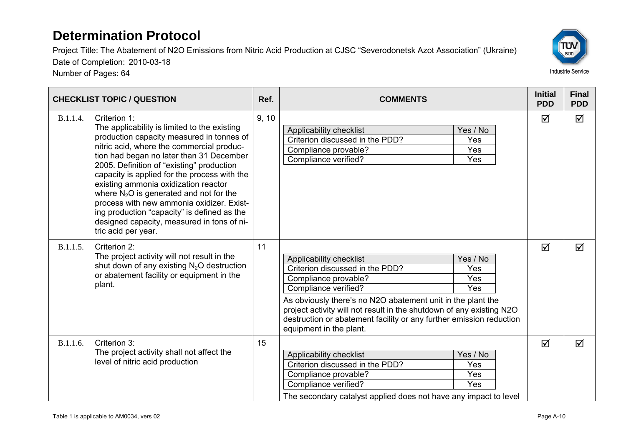Project Title: The Abatement of N2O Emissions from Nitric Acid Production at CJSC "Severodonetsk Azot Association" (Ukraine)

Date of Completion: 2010-03-18

Number of Pages: 64



|          | <b>CHECKLIST TOPIC / QUESTION</b>                                                                                                                                                                                                                                                                                                                                                                                                                                                                                                                     | Ref.  | <b>COMMENTS</b>                                                                                                                                                                                                                                                                                                                                                                      | <b>Initial</b><br><b>PDD</b> | <b>Final</b><br><b>PDD</b> |
|----------|-------------------------------------------------------------------------------------------------------------------------------------------------------------------------------------------------------------------------------------------------------------------------------------------------------------------------------------------------------------------------------------------------------------------------------------------------------------------------------------------------------------------------------------------------------|-------|--------------------------------------------------------------------------------------------------------------------------------------------------------------------------------------------------------------------------------------------------------------------------------------------------------------------------------------------------------------------------------------|------------------------------|----------------------------|
| B.1.1.4. | Criterion 1:<br>The applicability is limited to the existing<br>production capacity measured in tonnes of<br>nitric acid, where the commercial produc-<br>tion had began no later than 31 December<br>2005. Definition of "existing" production<br>capacity is applied for the process with the<br>existing ammonia oxidization reactor<br>where $N_2O$ is generated and not for the<br>process with new ammonia oxidizer. Exist-<br>ing production "capacity" is defined as the<br>designed capacity, measured in tons of ni-<br>tric acid per year. | 9, 10 | Yes / No<br>Applicability checklist<br>Criterion discussed in the PDD?<br>Yes<br>Yes<br>Compliance provable?<br>Compliance verified?<br>Yes                                                                                                                                                                                                                                          | $\Delta$                     | $\blacktriangledown$       |
| B.1.1.5. | Criterion 2:<br>The project activity will not result in the<br>shut down of any existing N <sub>2</sub> O destruction<br>or abatement facility or equipment in the<br>plant.                                                                                                                                                                                                                                                                                                                                                                          | 11    | Yes / No<br>Applicability checklist<br>Criterion discussed in the PDD?<br>Yes<br>Yes<br>Compliance provable?<br>Yes<br>Compliance verified?<br>As obviously there's no N2O abatement unit in the plant the<br>project activity will not result in the shutdown of any existing N2O<br>destruction or abatement facility or any further emission reduction<br>equipment in the plant. | ☑                            | ☑                          |
| B.1.1.6. | Criterion 3:<br>The project activity shall not affect the<br>level of nitric acid production                                                                                                                                                                                                                                                                                                                                                                                                                                                          | 15    | Yes / No<br>Applicability checklist<br>Yes<br>Criterion discussed in the PDD?<br>Compliance provable?<br>Yes<br>Compliance verified?<br>Yes<br>The secondary catalyst applied does not have any impact to level                                                                                                                                                                      | ☑                            | ☑                          |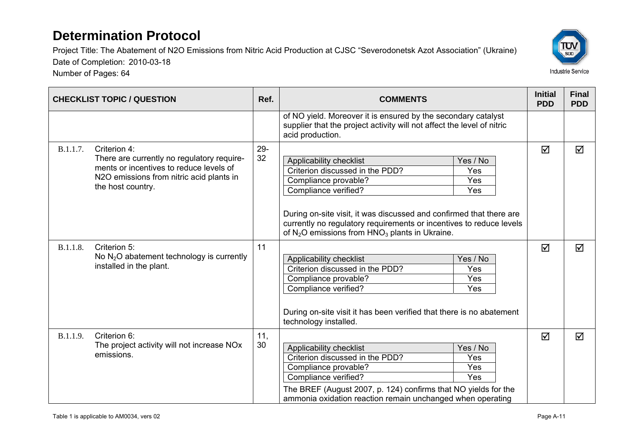Number of Pages: 64



|          | <b>CHECKLIST TOPIC / QUESTION</b>                                                                                                                                      | Ref.         | <b>COMMENTS</b>                                                                                                                                                                                                                                                                                                                                  | <b>Initial</b><br><b>PDD</b> | <b>Final</b><br><b>PDD</b> |
|----------|------------------------------------------------------------------------------------------------------------------------------------------------------------------------|--------------|--------------------------------------------------------------------------------------------------------------------------------------------------------------------------------------------------------------------------------------------------------------------------------------------------------------------------------------------------|------------------------------|----------------------------|
|          |                                                                                                                                                                        |              | of NO yield. Moreover it is ensured by the secondary catalyst<br>supplier that the project activity will not affect the level of nitric<br>acid production.                                                                                                                                                                                      |                              |                            |
| B.1.1.7. | Criterion 4:<br>There are currently no regulatory require-<br>ments or incentives to reduce levels of<br>N2O emissions from nitric acid plants in<br>the host country. | $29 -$<br>32 | Applicability checklist<br>Yes / No<br>Criterion discussed in the PDD?<br>Yes<br>Compliance provable?<br>Yes<br>Compliance verified?<br>Yes<br>During on-site visit, it was discussed and confirmed that there are<br>currently no regulatory requirements or incentives to reduce levels<br>of $N_2O$ emissions from $HNO_3$ plants in Ukraine. | $\triangledown$              | ☑                          |
| B.1.1.8. | Criterion 5:<br>No $N2O$ abatement technology is currently<br>installed in the plant.                                                                                  | 11           | Yes / No<br>Applicability checklist<br>Criterion discussed in the PDD?<br>Yes<br>Compliance provable?<br>Yes<br>Compliance verified?<br>Yes<br>During on-site visit it has been verified that there is no abatement<br>technology installed.                                                                                                     | ☑                            | ☑                          |
| B.1.1.9. | Criterion 6:<br>The project activity will not increase NO <sub>x</sub><br>emissions.                                                                                   | 11,<br>30    | Applicability checklist<br>Yes / No<br>Criterion discussed in the PDD?<br>Yes<br>Compliance provable?<br>Yes<br>Compliance verified?<br>Yes<br>The BREF (August 2007, p. 124) confirms that NO yields for the<br>ammonia oxidation reaction remain unchanged when operating                                                                      | ☑                            | ☑                          |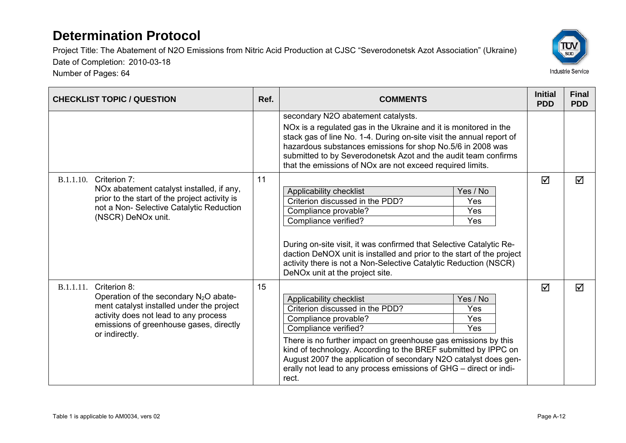Number of Pages: 64



| <b>CHECKLIST TOPIC / QUESTION</b>                                                                                                                                                                                        | Ref. | <b>COMMENTS</b>                                                                                                                                                                                                                                                                                                                                                                                                                  | <b>Initial</b><br><b>PDD</b> | <b>Final</b><br><b>PDD</b> |
|--------------------------------------------------------------------------------------------------------------------------------------------------------------------------------------------------------------------------|------|----------------------------------------------------------------------------------------------------------------------------------------------------------------------------------------------------------------------------------------------------------------------------------------------------------------------------------------------------------------------------------------------------------------------------------|------------------------------|----------------------------|
|                                                                                                                                                                                                                          |      | secondary N2O abatement catalysts.<br>NOx is a regulated gas in the Ukraine and it is monitored in the<br>stack gas of line No. 1-4. During on-site visit the annual report of<br>hazardous substances emissions for shop No.5/6 in 2008 was<br>submitted to by Severodonetsk Azot and the audit team confirms<br>that the emissions of NOx are not exceed required limits.                                                      |                              |                            |
| Criterion 7:<br><b>B.1.1.10.</b><br>NOx abatement catalyst installed, if any,<br>prior to the start of the project activity is<br>not a Non- Selective Catalytic Reduction<br>(NSCR) DeNOx unit.                         | 11   | Applicability checklist<br>Yes / No<br>Criterion discussed in the PDD?<br>Yes<br>Compliance provable?<br>Yes<br>Compliance verified?<br><b>Yes</b><br>During on-site visit, it was confirmed that Selective Catalytic Re-<br>daction DeNOX unit is installed and prior to the start of the project<br>activity there is not a Non-Selective Catalytic Reduction (NSCR)<br>DeNOx unit at the project site.                        | ☑                            | ☑                          |
| Criterion 8:<br>B.1.1.11.<br>Operation of the secondary $N_2O$ abate-<br>ment catalyst installed under the project<br>activity does not lead to any process<br>emissions of greenhouse gases, directly<br>or indirectly. | 15   | Applicability checklist<br>Yes / No<br>Criterion discussed in the PDD?<br>Yes<br>Yes<br>Compliance provable?<br>Compliance verified?<br>Yes<br>There is no further impact on greenhouse gas emissions by this<br>kind of technology. According to the BREF submitted by IPPC on<br>August 2007 the application of secondary N2O catalyst does gen-<br>erally not lead to any process emissions of GHG - direct or indi-<br>rect. | ☑                            | ☑                          |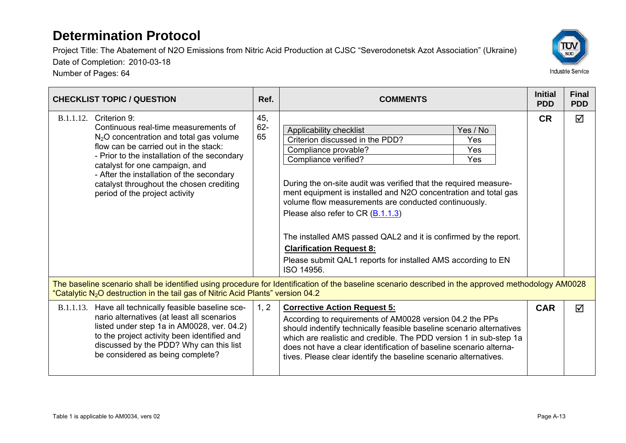Number of Pages: 64



| <b>CHECKLIST TOPIC / QUESTION</b>                                                                                                                                                                                                                                                                                                                                          | Ref.                | <b>COMMENTS</b>                                                                                                                                                                                                                                                                                                                                                                                                                                                                                                                                                        | <b>Initial</b><br><b>PDD</b> | <b>Final</b><br><b>PDD</b> |
|----------------------------------------------------------------------------------------------------------------------------------------------------------------------------------------------------------------------------------------------------------------------------------------------------------------------------------------------------------------------------|---------------------|------------------------------------------------------------------------------------------------------------------------------------------------------------------------------------------------------------------------------------------------------------------------------------------------------------------------------------------------------------------------------------------------------------------------------------------------------------------------------------------------------------------------------------------------------------------------|------------------------------|----------------------------|
| Criterion 9:<br><b>B.1.1.12.</b><br>Continuous real-time measurements of<br>$N2O$ concentration and total gas volume<br>flow can be carried out in the stack:<br>- Prior to the installation of the secondary<br>catalyst for one campaign, and<br>- After the installation of the secondary<br>catalyst throughout the chosen crediting<br>period of the project activity | 45,<br>$62 -$<br>65 | Yes / No<br>Applicability checklist<br>Criterion discussed in the PDD?<br>Yes<br>Compliance provable?<br>Yes<br>Compliance verified?<br>Yes<br>During the on-site audit was verified that the required measure-<br>ment equipment is installed and N2O concentration and total gas<br>volume flow measurements are conducted continuously.<br>Please also refer to CR $(B.1.1.3)$<br>The installed AMS passed QAL2 and it is confirmed by the report.<br><b>Clarification Request 8:</b><br>Please submit QAL1 reports for installed AMS according to EN<br>ISO 14956. | <b>CR</b>                    | ☑                          |
| "Catalytic N <sub>2</sub> O destruction in the tail gas of Nitric Acid Plants" version 04.2                                                                                                                                                                                                                                                                                |                     | The baseline scenario shall be identified using procedure for Identification of the baseline scenario described in the approved methodology AM0028                                                                                                                                                                                                                                                                                                                                                                                                                     |                              |                            |
| B.1.1.13. Have all technically feasible baseline sce-<br>nario alternatives (at least all scenarios<br>listed under step 1a in AM0028, ver. 04.2)<br>to the project activity been identified and<br>discussed by the PDD? Why can this list<br>be considered as being complete?                                                                                            | 1, 2                | <b>Corrective Action Request 5:</b><br>According to requirements of AM0028 version 04.2 the PPs<br>should indentify technically feasible baseline scenario alternatives<br>which are realistic and credible. The PDD version 1 in sub-step 1a<br>does not have a clear identification of baseline scenario alterna-<br>tives. Please clear identify the baseline scenario alternatives.                                                                                                                                                                                | <b>CAR</b>                   | ⊠                          |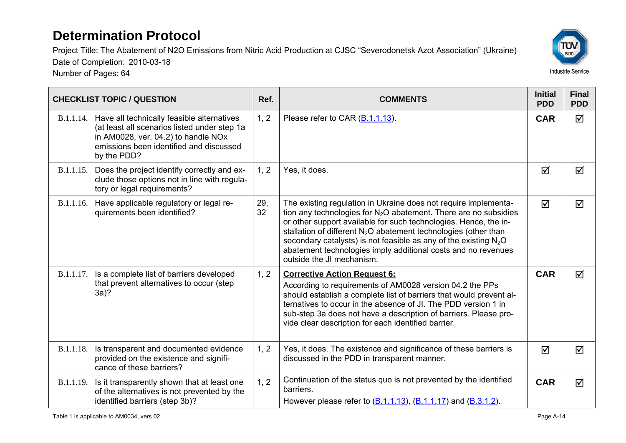Number of Pages: 64



|                  | <b>CHECKLIST TOPIC / QUESTION</b>                                                                                                                                                                     | Ref.      | <b>COMMENTS</b>                                                                                                                                                                                                                                                                                                                                                                                                                                    | <b>Initial</b><br><b>PDD</b> | <b>Final</b><br><b>PDD</b> |
|------------------|-------------------------------------------------------------------------------------------------------------------------------------------------------------------------------------------------------|-----------|----------------------------------------------------------------------------------------------------------------------------------------------------------------------------------------------------------------------------------------------------------------------------------------------------------------------------------------------------------------------------------------------------------------------------------------------------|------------------------------|----------------------------|
|                  | B.1.1.14. Have all technically feasible alternatives<br>(at least all scenarios listed under step 1a<br>in AM0028, ver. 04.2) to handle NOx<br>emissions been identified and discussed<br>by the PDD? | 1, 2      | Please refer to CAR (B.1.1.13).                                                                                                                                                                                                                                                                                                                                                                                                                    | <b>CAR</b>                   | $\blacktriangledown$       |
| B.1.1.15.        | Does the project identify correctly and ex-<br>clude those options not in line with regula-<br>tory or legal requirements?                                                                            | 1, 2      | Yes, it does.                                                                                                                                                                                                                                                                                                                                                                                                                                      | ☑                            | ☑                          |
| B.1.1.16.        | Have applicable regulatory or legal re-<br>quirements been identified?                                                                                                                                | 29,<br>32 | The existing regulation in Ukraine does not require implementa-<br>tion any technologies for $N_2O$ abatement. There are no subsidies<br>or other support available for such technologies. Hence, the in-<br>stallation of different $N_2O$ abatement technologies (other than<br>secondary catalysts) is not feasible as any of the existing $N_2O$<br>abatement technologies imply additional costs and no revenues<br>outside the JI mechanism. | ☑                            | ☑                          |
|                  | B.1.1.17. Is a complete list of barriers developed<br>that prevent alternatives to occur (step<br>$3a$ ?                                                                                              | 1, 2      | <b>Corrective Action Request 6:</b><br>According to requirements of AM0028 version 04.2 the PPs<br>should establish a complete list of barriers that would prevent al-<br>ternatives to occur in the absence of JI. The PDD version 1 in<br>sub-step 3a does not have a description of barriers. Please pro-<br>vide clear description for each identified barrier.                                                                                | <b>CAR</b>                   | $\triangledown$            |
| B.1.1.18.        | Is transparent and documented evidence<br>provided on the existence and signifi-<br>cance of these barriers?                                                                                          | 1, 2      | Yes, it does. The existence and significance of these barriers is<br>discussed in the PDD in transparent manner.                                                                                                                                                                                                                                                                                                                                   | ☑                            | ☑                          |
| <b>B.1.1.19.</b> | Is it transparently shown that at least one<br>of the alternatives is not prevented by the<br>identified barriers (step 3b)?                                                                          | 1, 2      | Continuation of the status quo is not prevented by the identified<br>barriers.<br>However please refer to $(B.1.1.13)$ , $(B.1.1.17)$ and $(B.3.1.2)$ .                                                                                                                                                                                                                                                                                            | <b>CAR</b>                   | ☑                          |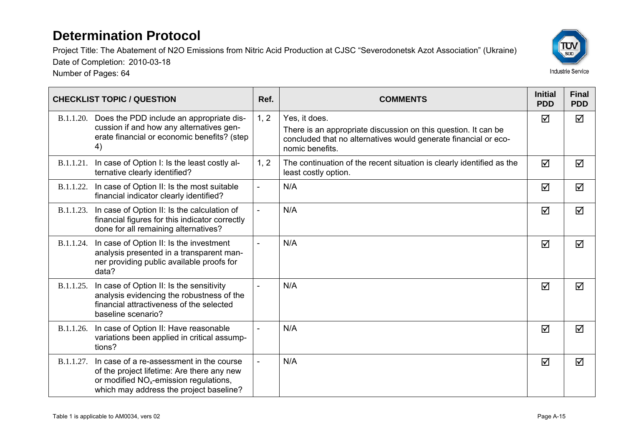Number of Pages: 64



| <b>CHECKLIST TOPIC / QUESTION</b> |                                                                                                                                                                               | Ref.           | <b>COMMENTS</b>                                                                                                                                                       | <b>Initial</b><br><b>PDD</b> | <b>Final</b><br><b>PDD</b> |
|-----------------------------------|-------------------------------------------------------------------------------------------------------------------------------------------------------------------------------|----------------|-----------------------------------------------------------------------------------------------------------------------------------------------------------------------|------------------------------|----------------------------|
|                                   | B.1.1.20. Does the PDD include an appropriate dis-<br>cussion if and how any alternatives gen-<br>erate financial or economic benefits? (step<br>4)                           | 1, 2           | Yes, it does.<br>There is an appropriate discussion on this question. It can be<br>concluded that no alternatives would generate financial or eco-<br>nomic benefits. | ☑                            | ☑                          |
| B.1.1.21.                         | In case of Option I: Is the least costly al-<br>ternative clearly identified?                                                                                                 | 1, 2           | The continuation of the recent situation is clearly identified as the<br>least costly option.                                                                         | ☑                            | ☑                          |
| <b>B.1.1.22.</b>                  | In case of Option II: Is the most suitable<br>financial indicator clearly identified?                                                                                         | $\overline{a}$ | N/A                                                                                                                                                                   | ☑                            | ☑                          |
| B.1.1.23.                         | In case of Option II: Is the calculation of<br>financial figures for this indicator correctly<br>done for all remaining alternatives?                                         | $\overline{a}$ | N/A                                                                                                                                                                   | ☑                            | ☑                          |
| B.1.1.24.                         | In case of Option II: Is the investment<br>analysis presented in a transparent man-<br>ner providing public available proofs for<br>data?                                     |                | N/A                                                                                                                                                                   | ☑                            | ☑                          |
| B.1.1.25.                         | In case of Option II: Is the sensitivity<br>analysis evidencing the robustness of the<br>financial attractiveness of the selected<br>baseline scenario?                       | $\sim$         | N/A                                                                                                                                                                   | ☑                            | $\triangledown$            |
| B.1.1.26.                         | In case of Option II: Have reasonable<br>variations been applied in critical assump-<br>tions?                                                                                |                | N/A                                                                                                                                                                   | ☑                            | ☑                          |
| <b>B.1.1.27.</b>                  | In case of a re-assessment in the course<br>of the project lifetime: Are there any new<br>or modified $NOx$ -emission regulations,<br>which may address the project baseline? |                | N/A                                                                                                                                                                   | ☑                            | ☑                          |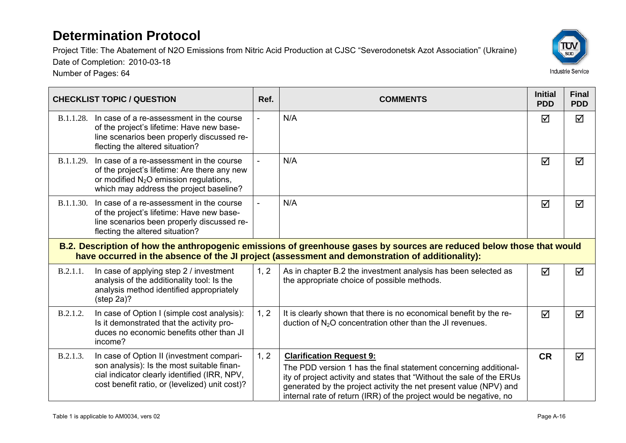<u> 1989 - Andrea San Andrea San Andrea San Andrea San Andrea San Andrea San Andrea San Andrea San Andrea San An</u>

Project Title: The Abatement of N2O Emissions from Nitric Acid Production at CJSC "Severodonetsk Azot Association" (Ukraine)



and the state

Date of Completion: 2010-03-18 Number of Pages: 64

 $\overline{\phantom{0}}$ 

| <b>CHECKLIST TOPIC / QUESTION</b>                                                                                                                                                                                        |                                                                                                                                                                                           | Ref. | <b>COMMENTS</b>                                                                                                                                                                                                                                                                                                         | <b>Initial</b><br><b>PDD</b> | <b>Final</b><br><b>PDD</b> |  |
|--------------------------------------------------------------------------------------------------------------------------------------------------------------------------------------------------------------------------|-------------------------------------------------------------------------------------------------------------------------------------------------------------------------------------------|------|-------------------------------------------------------------------------------------------------------------------------------------------------------------------------------------------------------------------------------------------------------------------------------------------------------------------------|------------------------------|----------------------------|--|
| B.1.1.28.                                                                                                                                                                                                                | In case of a re-assessment in the course<br>of the project's lifetime: Have new base-<br>line scenarios been properly discussed re-<br>flecting the altered situation?                    |      | N/A                                                                                                                                                                                                                                                                                                                     | ☑                            | ☑                          |  |
|                                                                                                                                                                                                                          | B.1.1.29. In case of a re-assessment in the course<br>of the project's lifetime: Are there any new<br>or modified $N_2O$ emission regulations,<br>which may address the project baseline? |      | N/A                                                                                                                                                                                                                                                                                                                     | ☑                            | ☑                          |  |
|                                                                                                                                                                                                                          | B.1.1.30. In case of a re-assessment in the course<br>of the project's lifetime: Have new base-<br>line scenarios been properly discussed re-<br>flecting the altered situation?          |      | N/A                                                                                                                                                                                                                                                                                                                     | ☑                            | ☑                          |  |
| B.2. Description of how the anthropogenic emissions of greenhouse gases by sources are reduced below those that would<br>have occurred in the absence of the JI project (assessment and demonstration of additionality): |                                                                                                                                                                                           |      |                                                                                                                                                                                                                                                                                                                         |                              |                            |  |
| B.2.1.1.                                                                                                                                                                                                                 | In case of applying step 2 / investment<br>analysis of the additionality tool: Is the<br>analysis method identified appropriately<br>$(\text{step } 2a)?$                                 | 1, 2 | As in chapter B.2 the investment analysis has been selected as<br>the appropriate choice of possible methods.                                                                                                                                                                                                           | $\triangledown$              | ☑                          |  |
| B.2.1.2.                                                                                                                                                                                                                 | In case of Option I (simple cost analysis):<br>Is it demonstrated that the activity pro-<br>duces no economic benefits other than JI<br>income?                                           | 1, 2 | It is clearly shown that there is no economical benefit by the re-<br>duction of $N_2O$ concentration other than the JI revenues.                                                                                                                                                                                       | ☑                            | ☑                          |  |
| B.2.1.3.                                                                                                                                                                                                                 | In case of Option II (investment compari-<br>son analysis): Is the most suitable finan-<br>cial indicator clearly identified (IRR, NPV,<br>cost benefit ratio, or (levelized) unit cost)? | 1, 2 | <b>Clarification Request 9:</b><br>The PDD version 1 has the final statement concerning additional-<br>ity of project activity and states that "Without the sale of the ERUs<br>generated by the project activity the net present value (NPV) and<br>internal rate of return (IRR) of the project would be negative, no | <b>CR</b>                    | ☑                          |  |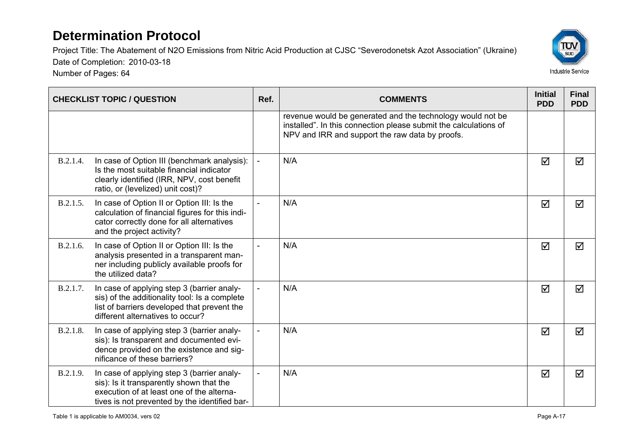Project Title: The Abatement of N2O Emissions from Nitric Acid Production at CJSC "Severodonetsk Azot Association" (Ukraine) Date of Completion: 2010-03-18

Number of Pages: 64



| <b>CHECKLIST TOPIC / QUESTION</b> |                                                                                                                                                                                      | Ref. | <b>COMMENTS</b>                                                                                                                                                                   | <b>Initial</b><br><b>PDD</b> | <b>Final</b><br><b>PDD</b> |
|-----------------------------------|--------------------------------------------------------------------------------------------------------------------------------------------------------------------------------------|------|-----------------------------------------------------------------------------------------------------------------------------------------------------------------------------------|------------------------------|----------------------------|
|                                   |                                                                                                                                                                                      |      | revenue would be generated and the technology would not be<br>installed". In this connection please submit the calculations of<br>NPV and IRR and support the raw data by proofs. |                              |                            |
| <b>B.2.1.4.</b>                   | In case of Option III (benchmark analysis):<br>Is the most suitable financial indicator<br>clearly identified (IRR, NPV, cost benefit<br>ratio, or (levelized) unit cost)?           |      | N/A                                                                                                                                                                               | ☑                            | ☑                          |
| B.2.1.5.                          | In case of Option II or Option III: Is the<br>calculation of financial figures for this indi-<br>cator correctly done for all alternatives<br>and the project activity?              |      | N/A                                                                                                                                                                               | ☑                            | ☑                          |
| B.2.1.6.                          | In case of Option II or Option III: Is the<br>analysis presented in a transparent man-<br>ner including publicly available proofs for<br>the utilized data?                          |      | N/A                                                                                                                                                                               | ☑                            | ☑                          |
| B.2.1.7.                          | In case of applying step 3 (barrier analy-<br>sis) of the additionality tool: Is a complete<br>list of barriers developed that prevent the<br>different alternatives to occur?       |      | N/A                                                                                                                                                                               | ☑                            | ☑                          |
| B.2.1.8.                          | In case of applying step 3 (barrier analy-<br>sis): Is transparent and documented evi-<br>dence provided on the existence and sig-<br>nificance of these barriers?                   |      | N/A                                                                                                                                                                               | ☑                            | ☑                          |
| B.2.1.9.                          | In case of applying step 3 (barrier analy-<br>sis): Is it transparently shown that the<br>execution of at least one of the alterna-<br>tives is not prevented by the identified bar- |      | N/A                                                                                                                                                                               | ☑                            | ☑                          |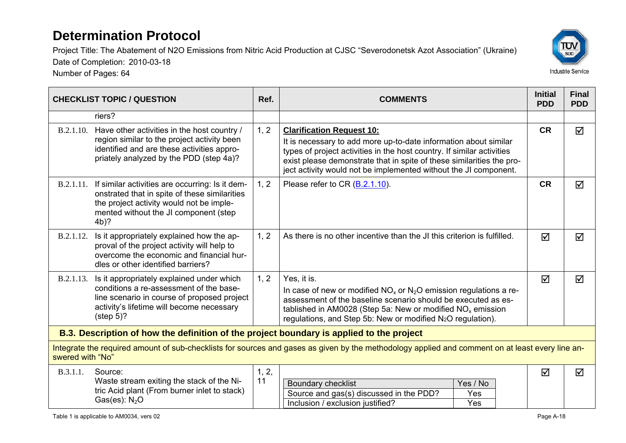Number of Pages: 64



| <b>CHECKLIST TOPIC / QUESTION</b>                                                                                                                                    |                                                                                                                                                                                                           | Ref.        | <b>COMMENTS</b>                                                                                                                                                                                                                                                                                                             | <b>Initial</b><br><b>PDD</b> | <b>Final</b><br><b>PDD</b> |  |  |
|----------------------------------------------------------------------------------------------------------------------------------------------------------------------|-----------------------------------------------------------------------------------------------------------------------------------------------------------------------------------------------------------|-------------|-----------------------------------------------------------------------------------------------------------------------------------------------------------------------------------------------------------------------------------------------------------------------------------------------------------------------------|------------------------------|----------------------------|--|--|
|                                                                                                                                                                      | riers?                                                                                                                                                                                                    |             |                                                                                                                                                                                                                                                                                                                             |                              |                            |  |  |
| B.2.1.10.                                                                                                                                                            | Have other activities in the host country /<br>region similar to the project activity been<br>identified and are these activities appro-<br>priately analyzed by the PDD (step 4a)?                       | 1, 2        | <b>Clarification Request 10:</b><br>It is necessary to add more up-to-date information about similar<br>types of project activities in the host country. If similar activities<br>exist please demonstrate that in spite of these similarities the pro-<br>ject activity would not be implemented without the JI component. | <b>CR</b>                    | ☑                          |  |  |
|                                                                                                                                                                      | B.2.1.11. If similar activities are occurring: Is it dem-<br>onstrated that in spite of these similarities<br>the project activity would not be imple-<br>mented without the JI component (step<br>$4b$ ? | 1, 2        | Please refer to CR (B.2.1.10).                                                                                                                                                                                                                                                                                              | <b>CR</b>                    | $\overline{\mathsf{M}}$    |  |  |
| B.2.1.12.                                                                                                                                                            | Is it appropriately explained how the ap-<br>proval of the project activity will help to<br>overcome the economic and financial hur-<br>dles or other identified barriers?                                | 1, 2        | As there is no other incentive than the JI this criterion is fulfilled.                                                                                                                                                                                                                                                     | ☑                            | ☑                          |  |  |
| B.2.1.13.                                                                                                                                                            | Is it appropriately explained under which<br>conditions a re-assessment of the base-<br>line scenario in course of proposed project<br>activity's lifetime will become necessary<br>$(\text{step } 5)?$   | 1, 2        | Yes, it is.<br>In case of new or modified $NOx$ or $N2O$ emission regulations a re-<br>assessment of the baseline scenario should be executed as es-<br>tablished in AM0028 (Step 5a: New or modified $NOx$ emission<br>regulations, and Step 5b: New or modified N <sub>2</sub> O regulation).                             | ☑                            | ☑                          |  |  |
| B.3. Description of how the definition of the project boundary is applied to the project                                                                             |                                                                                                                                                                                                           |             |                                                                                                                                                                                                                                                                                                                             |                              |                            |  |  |
| Integrate the required amount of sub-checklists for sources and gases as given by the methodology applied and comment on at least every line an-<br>swered with "No" |                                                                                                                                                                                                           |             |                                                                                                                                                                                                                                                                                                                             |                              |                            |  |  |
| B.3.1.1.                                                                                                                                                             | Source:<br>Waste stream exiting the stack of the Ni-<br>tric Acid plant (From burner inlet to stack)<br>Gas(es): $N_2O$                                                                                   | 1, 2,<br>11 | <b>Boundary checklist</b><br>Yes / No<br>Source and gas(s) discussed in the PDD?<br>Yes<br>Inclusion / exclusion justified?<br>Yes                                                                                                                                                                                          | ☑                            | ☑                          |  |  |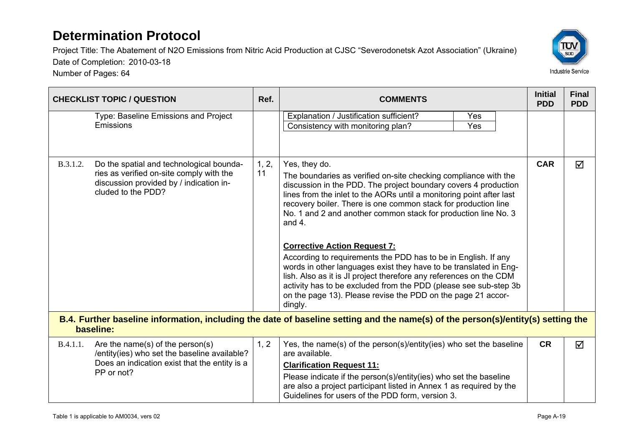

|           | <b>CHECKLIST TOPIC / QUESTION</b>                                                                                                                     | Ref.        | <b>COMMENTS</b>                                                                                                                                                                                                                                                                                                                                                                                                                                                                                                                                                                                                                                                                                                                                                                 | <b>Initial</b><br><b>PDD</b> | <b>Final</b><br><b>PDD</b> |
|-----------|-------------------------------------------------------------------------------------------------------------------------------------------------------|-------------|---------------------------------------------------------------------------------------------------------------------------------------------------------------------------------------------------------------------------------------------------------------------------------------------------------------------------------------------------------------------------------------------------------------------------------------------------------------------------------------------------------------------------------------------------------------------------------------------------------------------------------------------------------------------------------------------------------------------------------------------------------------------------------|------------------------------|----------------------------|
|           | Type: Baseline Emissions and Project<br>Emissions                                                                                                     |             | Explanation / Justification sufficient?<br>Yes<br>Consistency with monitoring plan?<br>Yes                                                                                                                                                                                                                                                                                                                                                                                                                                                                                                                                                                                                                                                                                      |                              |                            |
| B.3.1.2.  | Do the spatial and technological bounda-<br>ries as verified on-site comply with the<br>discussion provided by / indication in-<br>cluded to the PDD? | 1, 2,<br>11 | Yes, they do.<br>The boundaries as verified on-site checking compliance with the<br>discussion in the PDD. The project boundary covers 4 production<br>lines from the inlet to the AORs until a monitoring point after last<br>recovery boiler. There is one common stack for production line<br>No. 1 and 2 and another common stack for production line No. 3<br>and $4.$<br><b>Corrective Action Request 7:</b><br>According to requirements the PDD has to be in English. If any<br>words in other languages exist they have to be translated in Eng-<br>lish. Also as it is JI project therefore any references on the CDM<br>activity has to be excluded from the PDD (please see sub-step 3b)<br>on the page 13). Please revise the PDD on the page 21 accor-<br>dingly. |                              | ☑                          |
| baseline: |                                                                                                                                                       |             | B.4. Further baseline information, including the date of baseline setting and the name(s) of the person(s)/entity(s) setting the                                                                                                                                                                                                                                                                                                                                                                                                                                                                                                                                                                                                                                                |                              |                            |
| B.4.1.1.  | Are the name(s) of the person(s)<br>/entity(ies) who set the baseline available?<br>Does an indication exist that the entity is a<br>PP or not?       | 1, 2        | Yes, the name(s) of the person(s)/entity(ies) who set the baseline<br>are available.<br><b>Clarification Request 11:</b><br>Please indicate if the person(s)/entity(ies) who set the baseline<br>are also a project participant listed in Annex 1 as required by the<br>Guidelines for users of the PDD form, version 3.                                                                                                                                                                                                                                                                                                                                                                                                                                                        | <b>CR</b>                    | ☑                          |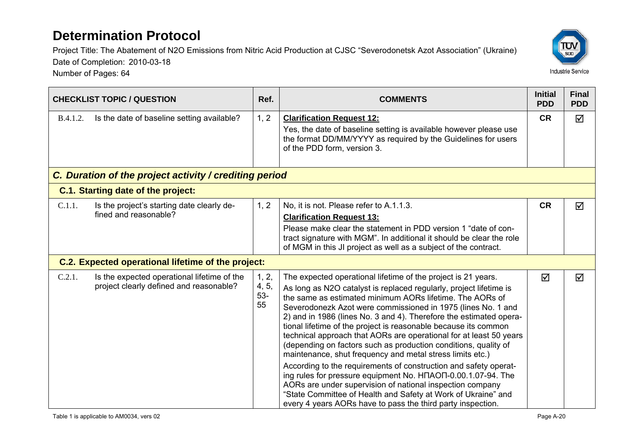

|                                                        | <b>CHECKLIST TOPIC / QUESTION</b>                                                      | Ref.                          | <b>COMMENTS</b>                                                                                                                                                                                                                                                                                                                                                                                                                                                                                                                                                                                                                                                                                                                                                                                                                                                                                                                                                           | <b>Initial</b><br><b>PDD</b> | <b>Final</b><br><b>PDD</b> |  |  |
|--------------------------------------------------------|----------------------------------------------------------------------------------------|-------------------------------|---------------------------------------------------------------------------------------------------------------------------------------------------------------------------------------------------------------------------------------------------------------------------------------------------------------------------------------------------------------------------------------------------------------------------------------------------------------------------------------------------------------------------------------------------------------------------------------------------------------------------------------------------------------------------------------------------------------------------------------------------------------------------------------------------------------------------------------------------------------------------------------------------------------------------------------------------------------------------|------------------------------|----------------------------|--|--|
| <b>B.4.1.2.</b>                                        | Is the date of baseline setting available?                                             | 1, 2                          | <b>Clarification Request 12:</b><br>Yes, the date of baseline setting is available however please use<br>the format DD/MM/YYYY as required by the Guidelines for users<br>of the PDD form, version 3.                                                                                                                                                                                                                                                                                                                                                                                                                                                                                                                                                                                                                                                                                                                                                                     | <b>CR</b>                    | ☑                          |  |  |
| C. Duration of the project activity / crediting period |                                                                                        |                               |                                                                                                                                                                                                                                                                                                                                                                                                                                                                                                                                                                                                                                                                                                                                                                                                                                                                                                                                                                           |                              |                            |  |  |
|                                                        | C.1. Starting date of the project:                                                     |                               |                                                                                                                                                                                                                                                                                                                                                                                                                                                                                                                                                                                                                                                                                                                                                                                                                                                                                                                                                                           |                              |                            |  |  |
| C.1.1.                                                 | Is the project's starting date clearly de-<br>fined and reasonable?                    | 1, 2                          | No, it is not. Please refer to A.1.1.3.<br><b>Clarification Request 13:</b><br>Please make clear the statement in PDD version 1 "date of con-<br>tract signature with MGM". In additional it should be clear the role<br>of MGM in this JI project as well as a subject of the contract.                                                                                                                                                                                                                                                                                                                                                                                                                                                                                                                                                                                                                                                                                  | <b>CR</b>                    | ☑                          |  |  |
|                                                        | C.2. Expected operational lifetime of the project:                                     |                               |                                                                                                                                                                                                                                                                                                                                                                                                                                                                                                                                                                                                                                                                                                                                                                                                                                                                                                                                                                           |                              |                            |  |  |
| C.2.1.                                                 | Is the expected operational lifetime of the<br>project clearly defined and reasonable? | 1, 2,<br>4, 5,<br>$53-$<br>55 | The expected operational lifetime of the project is 21 years.<br>As long as N2O catalyst is replaced regularly, project lifetime is<br>the same as estimated minimum AORs lifetime. The AORs of<br>Severodonezk Azot were commissioned in 1975 (lines No. 1 and<br>2) and in 1986 (lines No. 3 and 4). Therefore the estimated opera-<br>tional lifetime of the project is reasonable because its common<br>technical approach that AORs are operational for at least 50 years<br>(depending on factors such as production conditions, quality of<br>maintenance, shut frequency and metal stress limits etc.)<br>According to the requirements of construction and safety operat-<br>ing rules for pressure equipment No. H <sub>n</sub> AO <sub>n</sub> -0.00.1.07-94. The<br>AORs are under supervision of national inspection company<br>"State Committee of Health and Safety at Work of Ukraine" and<br>every 4 years AORs have to pass the third party inspection. | $\triangledown$              | ☑                          |  |  |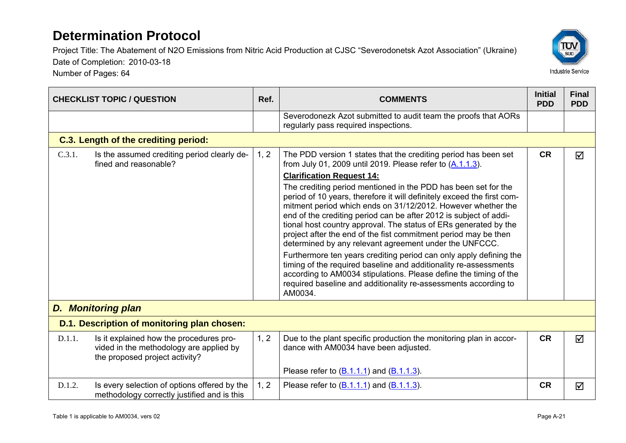Number of Pages: 64



|        | <b>CHECKLIST TOPIC / QUESTION</b>                                                                                    | Ref. | <b>COMMENTS</b>                                                                                                                                                                                                                                                                                                                                                                                                                                                                | <b>Initial</b><br><b>PDD</b> | <b>Final</b><br><b>PDD</b> |
|--------|----------------------------------------------------------------------------------------------------------------------|------|--------------------------------------------------------------------------------------------------------------------------------------------------------------------------------------------------------------------------------------------------------------------------------------------------------------------------------------------------------------------------------------------------------------------------------------------------------------------------------|------------------------------|----------------------------|
|        |                                                                                                                      |      | Severodonezk Azot submitted to audit team the proofs that AORs<br>regularly pass required inspections.                                                                                                                                                                                                                                                                                                                                                                         |                              |                            |
|        | C.3. Length of the crediting period:                                                                                 |      |                                                                                                                                                                                                                                                                                                                                                                                                                                                                                |                              |                            |
| C.3.1. | Is the assumed crediting period clearly de-<br>fined and reasonable?                                                 | 1, 2 | The PDD version 1 states that the crediting period has been set<br>from July 01, 2009 until 2019. Please refer to $(A.1.1.3)$ .                                                                                                                                                                                                                                                                                                                                                | <b>CR</b>                    | ☑                          |
|        |                                                                                                                      |      | <b>Clarification Request 14:</b>                                                                                                                                                                                                                                                                                                                                                                                                                                               |                              |                            |
|        |                                                                                                                      |      | The crediting period mentioned in the PDD has been set for the<br>period of 10 years, therefore it will definitely exceed the first com-<br>mitment period which ends on 31/12/2012. However whether the<br>end of the crediting period can be after 2012 is subject of addi-<br>tional host country approval. The status of ERs generated by the<br>project after the end of the fist commitment period may be then<br>determined by any relevant agreement under the UNFCCC. |                              |                            |
|        |                                                                                                                      |      | Furthermore ten years crediting period can only apply defining the<br>timing of the required baseline and additionality re-assessments<br>according to AM0034 stipulations. Please define the timing of the<br>required baseline and additionality re-assessments according to<br>AM0034.                                                                                                                                                                                      |                              |                            |
|        | <b>D. Monitoring plan</b>                                                                                            |      |                                                                                                                                                                                                                                                                                                                                                                                                                                                                                |                              |                            |
|        | D.1. Description of monitoring plan chosen:                                                                          |      |                                                                                                                                                                                                                                                                                                                                                                                                                                                                                |                              |                            |
| D.1.1. | Is it explained how the procedures pro-<br>vided in the methodology are applied by<br>the proposed project activity? | 1, 2 | Due to the plant specific production the monitoring plan in accor-<br>dance with AM0034 have been adjusted.                                                                                                                                                                                                                                                                                                                                                                    | <b>CR</b>                    | $\triangledown$            |
|        |                                                                                                                      |      | Please refer to $(B.1.1.1)$ and $(B.1.1.3)$ .                                                                                                                                                                                                                                                                                                                                                                                                                                  |                              |                            |
| D.1.2. | Is every selection of options offered by the<br>methodology correctly justified and is this                          | 1, 2 | Please refer to $(B.1.1.1)$ and $(B.1.1.3)$ .                                                                                                                                                                                                                                                                                                                                                                                                                                  | <b>CR</b>                    | ☑                          |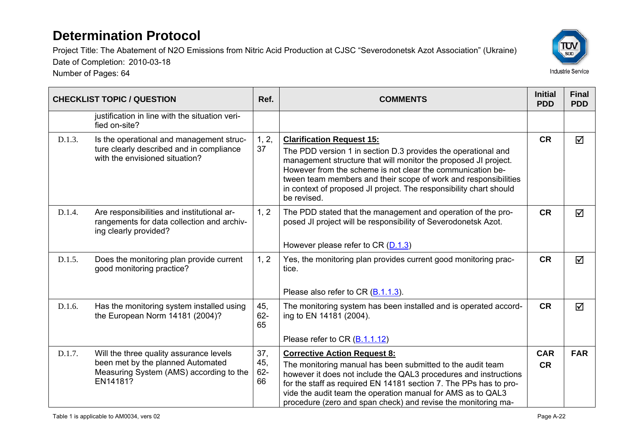Number of Pages: 64



|        | <b>CHECKLIST TOPIC / QUESTION</b>                                                                                                   | Ref.                       | <b>COMMENTS</b>                                                                                                                                                                                                                                                                                                                                                                            | <b>Initial</b><br><b>PDD</b> | <b>Final</b><br><b>PDD</b> |
|--------|-------------------------------------------------------------------------------------------------------------------------------------|----------------------------|--------------------------------------------------------------------------------------------------------------------------------------------------------------------------------------------------------------------------------------------------------------------------------------------------------------------------------------------------------------------------------------------|------------------------------|----------------------------|
|        | justification in line with the situation veri-<br>fied on-site?                                                                     |                            |                                                                                                                                                                                                                                                                                                                                                                                            |                              |                            |
| D.1.3. | Is the operational and management struc-<br>ture clearly described and in compliance<br>with the envisioned situation?              | 1, 2,<br>37                | <b>Clarification Request 15:</b><br>The PDD version 1 in section D.3 provides the operational and<br>management structure that will monitor the proposed JI project.<br>However from the scheme is not clear the communication be-<br>tween team members and their scope of work and responsibilities<br>in context of proposed JI project. The responsibility chart should<br>be revised. |                              | ☑                          |
| D.1.4. | Are responsibilities and institutional ar-<br>rangements for data collection and archiv-<br>ing clearly provided?                   | 1, 2                       | The PDD stated that the management and operation of the pro-<br>posed JI project will be responsibility of Severodonetsk Azot.<br>However please refer to CR $(D.1.3)$                                                                                                                                                                                                                     | <b>CR</b>                    | ☑                          |
| D.1.5. | Does the monitoring plan provide current<br>good monitoring practice?                                                               | 1, 2                       | Yes, the monitoring plan provides current good monitoring prac-<br>tice.                                                                                                                                                                                                                                                                                                                   |                              | ☑                          |
| D.1.6. | Has the monitoring system installed using<br>the European Norm 14181 (2004)?                                                        | 45,<br>$62 -$<br>65        | Please also refer to CR (B.1.1.3).<br>The monitoring system has been installed and is operated accord-<br>ing to EN 14181 (2004).<br>Please refer to CR (B.1.1.12)                                                                                                                                                                                                                         |                              | ☑                          |
| D.1.7. | Will the three quality assurance levels<br>been met by the planned Automated<br>Measuring System (AMS) according to the<br>EN14181? | 37,<br>45,<br>$62 -$<br>66 | <b>Corrective Action Request 8:</b><br>The monitoring manual has been submitted to the audit team<br>however it does not include the QAL3 procedures and instructions<br>for the staff as required EN 14181 section 7. The PPs has to pro-<br>vide the audit team the operation manual for AMS as to QAL3<br>procedure (zero and span check) and revise the monitoring ma-                 |                              | <b>FAR</b>                 |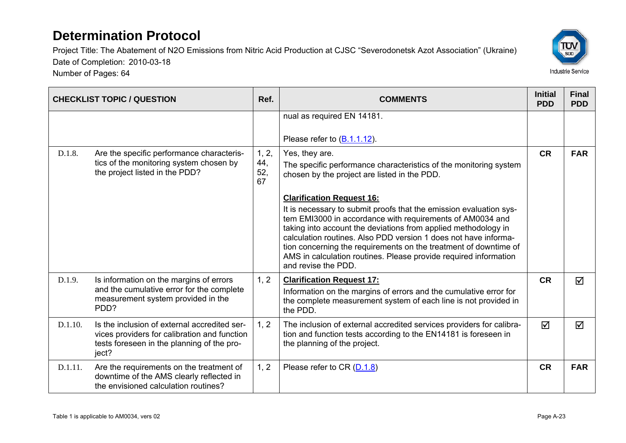

|         | <b>CHECKLIST TOPIC / QUESTION</b>                                                                                                                   | Ref.                      | <b>COMMENTS</b>                                                                                                                                                                                                                                                                                                                                                                                                                                                         | <b>Initial</b><br><b>PDD</b> | <b>Final</b><br><b>PDD</b> |
|---------|-----------------------------------------------------------------------------------------------------------------------------------------------------|---------------------------|-------------------------------------------------------------------------------------------------------------------------------------------------------------------------------------------------------------------------------------------------------------------------------------------------------------------------------------------------------------------------------------------------------------------------------------------------------------------------|------------------------------|----------------------------|
|         |                                                                                                                                                     |                           | nual as required EN 14181.                                                                                                                                                                                                                                                                                                                                                                                                                                              |                              |                            |
|         |                                                                                                                                                     |                           | Please refer to $(B.1.1.12)$ .                                                                                                                                                                                                                                                                                                                                                                                                                                          |                              |                            |
| D.1.8.  | Are the specific performance characteris-<br>tics of the monitoring system chosen by<br>the project listed in the PDD?                              | 1, 2,<br>44,<br>52,<br>67 | Yes, they are.<br>The specific performance characteristics of the monitoring system<br>chosen by the project are listed in the PDD.                                                                                                                                                                                                                                                                                                                                     | <b>CR</b>                    | <b>FAR</b>                 |
|         |                                                                                                                                                     |                           | <b>Clarification Request 16:</b><br>It is necessary to submit proofs that the emission evaluation sys-<br>tem EMI3000 in accordance with requirements of AM0034 and<br>taking into account the deviations from applied methodology in<br>calculation routines. Also PDD version 1 does not have informa-<br>tion concerning the requirements on the treatment of downtime of<br>AMS in calculation routines. Please provide required information<br>and revise the PDD. |                              |                            |
| D.1.9.  | Is information on the margins of errors<br>and the cumulative error for the complete<br>measurement system provided in the<br>PDD?                  | 1, 2                      | <b>Clarification Request 17:</b><br>Information on the margins of errors and the cumulative error for<br>the complete measurement system of each line is not provided in<br>the PDD.                                                                                                                                                                                                                                                                                    | <b>CR</b>                    | ☑                          |
| D.1.10. | Is the inclusion of external accredited ser-<br>vices providers for calibration and function<br>tests foreseen in the planning of the pro-<br>ject? | 1, 2                      | The inclusion of external accredited services providers for calibra-<br>tion and function tests according to the EN14181 is foreseen in<br>the planning of the project.                                                                                                                                                                                                                                                                                                 | ☑                            | ☑                          |
| D.1.11. | Are the requirements on the treatment of<br>downtime of the AMS clearly reflected in<br>the envisioned calculation routines?                        | 1, 2                      | Please refer to CR (D.1.8)                                                                                                                                                                                                                                                                                                                                                                                                                                              | <b>CR</b>                    | <b>FAR</b>                 |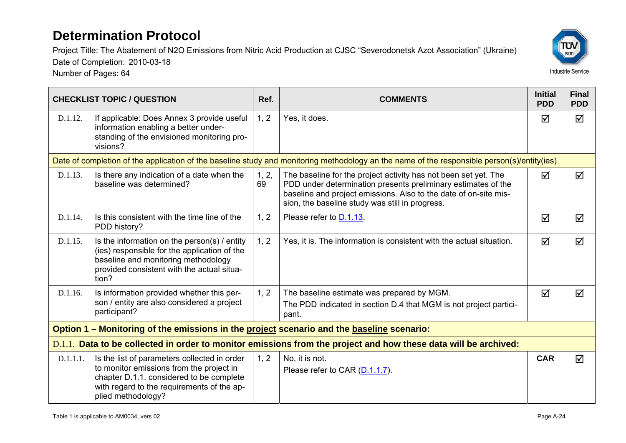Number of Pages: 64



|          | <b>CHECKLIST TOPIC / QUESTION</b>                                                                                                                                                                        | Ref.        | <b>COMMENTS</b>                                                                                                                                                                                                                                         | <b>Initial</b><br><b>PDD</b> | <b>Final</b><br><b>PDD</b> |
|----------|----------------------------------------------------------------------------------------------------------------------------------------------------------------------------------------------------------|-------------|---------------------------------------------------------------------------------------------------------------------------------------------------------------------------------------------------------------------------------------------------------|------------------------------|----------------------------|
| D.1.12.  | If applicable: Does Annex 3 provide useful<br>information enabling a better under-<br>standing of the envisioned monitoring pro-<br>visions?                                                             | 1, 2        | Yes, it does.                                                                                                                                                                                                                                           | ☑                            | ☑                          |
|          |                                                                                                                                                                                                          |             | Date of completion of the application of the baseline study and monitoring methodology an the name of the responsible person(s)/entity(ies)                                                                                                             |                              |                            |
| D.1.13.  | Is there any indication of a date when the<br>baseline was determined?                                                                                                                                   | 1, 2,<br>69 | The baseline for the project activity has not been set yet. The<br>PDD under determination presents preliminary estimates of the<br>baseline and project emissions. Also to the date of on-site mis-<br>sion, the baseline study was still in progress. | ☑                            | ☑                          |
| D.1.14.  | Is this consistent with the time line of the<br>PDD history?                                                                                                                                             | 1, 2        | Please refer to <b>D.1.13</b> .                                                                                                                                                                                                                         | ☑                            | ☑                          |
| D.1.15.  | Is the information on the person(s) $/$ entity<br>(ies) responsible for the application of the<br>baseline and monitoring methodology<br>provided consistent with the actual situa-<br>tion?             | 1, 2        | Yes, it is. The information is consistent with the actual situation.                                                                                                                                                                                    |                              | ☑                          |
| D.1.16.  | Is information provided whether this per-                                                                                                                                                                | 1, 2        | The baseline estimate was prepared by MGM.                                                                                                                                                                                                              | ☑                            | ☑                          |
|          | son / entity are also considered a project<br>participant?                                                                                                                                               |             | The PDD indicated in section D.4 that MGM is not project partici-<br>pant.                                                                                                                                                                              |                              |                            |
|          | Option 1 – Monitoring of the emissions in the project scenario and the baseline scenario:                                                                                                                |             |                                                                                                                                                                                                                                                         |                              |                            |
|          |                                                                                                                                                                                                          |             | D.1.1. Data to be collected in order to monitor emissions from the project and how these data will be archived:                                                                                                                                         |                              |                            |
| D.1.1.1. | Is the list of parameters collected in order<br>to monitor emissions from the project in<br>chapter D.1.1. considered to be complete<br>with regard to the requirements of the ap-<br>plied methodology? | 1, 2        | No, it is not.<br>Please refer to CAR (D.1.1.7).                                                                                                                                                                                                        | <b>CAR</b>                   | ☑                          |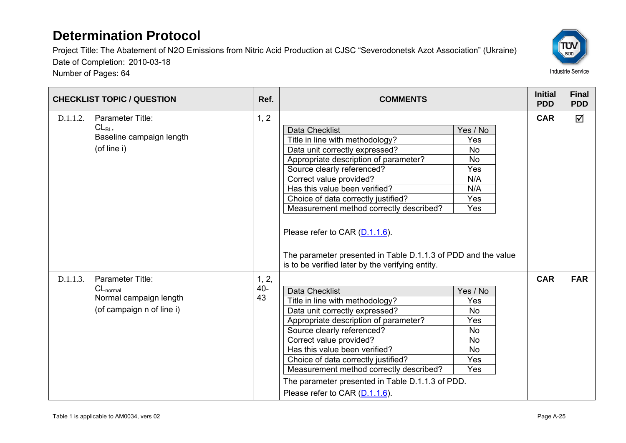

| <b>CHECKLIST TOPIC / QUESTION</b>                                                                    | Ref.                  | <b>COMMENTS</b>                                                                                                                                                                                                                                                                                                                                                                                                                                                        |                                                                                                 | <b>Initial</b><br><b>PDD</b> | <b>Final</b><br><b>PDD</b> |
|------------------------------------------------------------------------------------------------------|-----------------------|------------------------------------------------------------------------------------------------------------------------------------------------------------------------------------------------------------------------------------------------------------------------------------------------------------------------------------------------------------------------------------------------------------------------------------------------------------------------|-------------------------------------------------------------------------------------------------|------------------------------|----------------------------|
| Parameter Title:<br>D.1.1.2.<br>$CL_{BL}$<br>Baseline campaign length<br>(of line i)                 | 1, 2                  | <b>Data Checklist</b><br>Title in line with methodology?<br>Data unit correctly expressed?<br>Appropriate description of parameter?<br>Source clearly referenced?<br>Correct value provided?<br>Has this value been verified?<br>Choice of data correctly justified?<br>Measurement method correctly described?<br>Please refer to CAR (D.1.1.6).<br>The parameter presented in Table D.1.1.3 of PDD and the value<br>is to be verified later by the verifying entity. | Yes / No<br>Yes<br><b>No</b><br><b>No</b><br>Yes<br>N/A<br>N/A<br><b>Yes</b><br>Yes             | <b>CAR</b>                   | $\triangledown$            |
| Parameter Title:<br>D.1.1.3.<br>$CL_{normal}$<br>Normal campaign length<br>(of campaign n of line i) | 1, 2,<br>$40 -$<br>43 | <b>Data Checklist</b><br>Title in line with methodology?<br>Data unit correctly expressed?<br>Appropriate description of parameter?<br>Source clearly referenced?<br>Correct value provided?<br>Has this value been verified?<br>Choice of data correctly justified?<br>Measurement method correctly described?<br>The parameter presented in Table D.1.1.3 of PDD.<br>Please refer to CAR (D.1.1.6).                                                                  | Yes / No<br>Yes<br><b>No</b><br>Yes<br><b>No</b><br><b>No</b><br><b>No</b><br><b>Yes</b><br>Yes | <b>CAR</b>                   | <b>FAR</b>                 |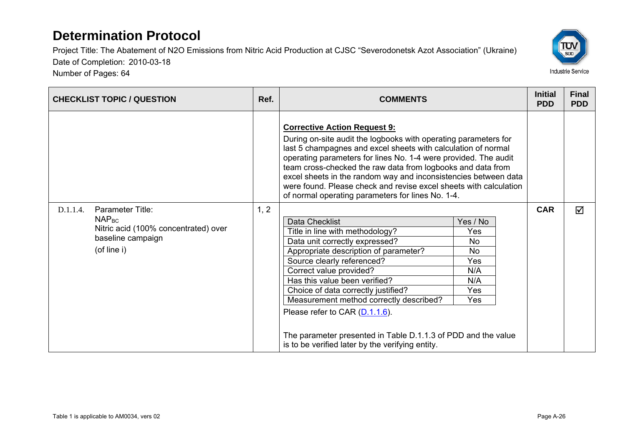Project Title: The Abatement of N2O Emissions from Nitric Acid Production at CJSC "Severodonetsk Azot Association" (Ukraine) Date of Completion: 2010-03-18



| <b>CHECKLIST TOPIC / QUESTION</b>                                                                                             | Ref. | <b>COMMENTS</b>                                                                                                                                                                                                                                                                                                                                                                                                                                                                                                                                                                                                                                                                                                                                                                                                                                                                                                                |            | <b>Final</b><br><b>PDD</b> |
|-------------------------------------------------------------------------------------------------------------------------------|------|--------------------------------------------------------------------------------------------------------------------------------------------------------------------------------------------------------------------------------------------------------------------------------------------------------------------------------------------------------------------------------------------------------------------------------------------------------------------------------------------------------------------------------------------------------------------------------------------------------------------------------------------------------------------------------------------------------------------------------------------------------------------------------------------------------------------------------------------------------------------------------------------------------------------------------|------------|----------------------------|
| Parameter Title:<br>D.1.1.4.<br>NAP <sub>BC</sub><br>Nitric acid (100% concentrated) over<br>baseline campaign<br>(of line i) | 1, 2 | <b>Corrective Action Request 9:</b><br>During on-site audit the logbooks with operating parameters for<br>last 5 champagnes and excel sheets with calculation of normal<br>operating parameters for lines No. 1-4 were provided. The audit<br>team cross-checked the raw data from logbooks and data from<br>excel sheets in the random way and inconsistencies between data<br>were found. Please check and revise excel sheets with calculation<br>of normal operating parameters for lines No. 1-4.<br>Data Checklist<br>Yes / No<br>Title in line with methodology?<br>Yes<br>Data unit correctly expressed?<br>No.<br>Appropriate description of parameter?<br><b>No</b><br>Yes<br>Source clearly referenced?<br>Correct value provided?<br>N/A<br>Has this value been verified?<br>N/A<br>Choice of data correctly justified?<br>Yes<br>Measurement method correctly described?<br>Yes<br>Please refer to CAR (D.1.1.6). | <b>CAR</b> | ☑                          |
|                                                                                                                               |      | The parameter presented in Table D.1.1.3 of PDD and the value<br>is to be verified later by the verifying entity.                                                                                                                                                                                                                                                                                                                                                                                                                                                                                                                                                                                                                                                                                                                                                                                                              |            |                            |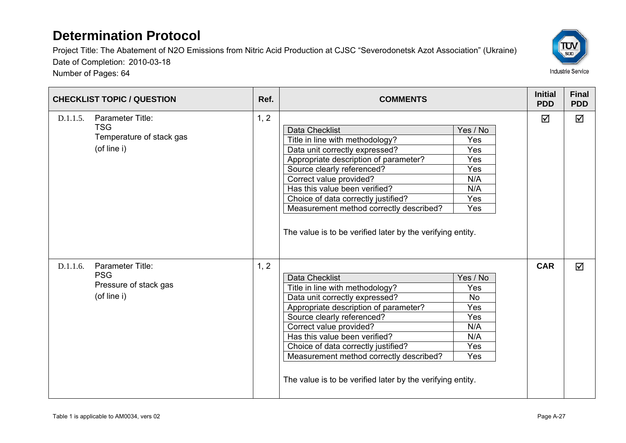

| <b>CHECKLIST TOPIC / QUESTION</b>                                                     | Ref. | <b>COMMENTS</b>                                                                                                                                                                                                                                                                                                                                                               |                                                                        | <b>Initial</b><br><b>PDD</b> | <b>Final</b><br><b>PDD</b> |
|---------------------------------------------------------------------------------------|------|-------------------------------------------------------------------------------------------------------------------------------------------------------------------------------------------------------------------------------------------------------------------------------------------------------------------------------------------------------------------------------|------------------------------------------------------------------------|------------------------------|----------------------------|
| Parameter Title:<br>D.1.1.5.<br><b>TSG</b><br>Temperature of stack gas<br>(of line i) | 1, 2 | Data Checklist<br>Title in line with methodology?<br>Data unit correctly expressed?<br>Appropriate description of parameter?<br>Source clearly referenced?<br>Correct value provided?<br>Has this value been verified?<br>Choice of data correctly justified?<br>Measurement method correctly described?<br>The value is to be verified later by the verifying entity.        | Yes / No<br>Yes<br>Yes<br>Yes<br>Yes<br>N/A<br>N/A<br>Yes<br>Yes       | ☑                            | $\triangledown$            |
| D.1.1.6.<br>Parameter Title:<br><b>PSG</b><br>Pressure of stack gas<br>(of line i)    | 1, 2 | <b>Data Checklist</b><br>Title in line with methodology?<br>Data unit correctly expressed?<br>Appropriate description of parameter?<br>Source clearly referenced?<br>Correct value provided?<br>Has this value been verified?<br>Choice of data correctly justified?<br>Measurement method correctly described?<br>The value is to be verified later by the verifying entity. | Yes / No<br>Yes<br><b>No</b><br>Yes<br>Yes<br>N/A<br>N/A<br>Yes<br>Yes | <b>CAR</b>                   | ☑                          |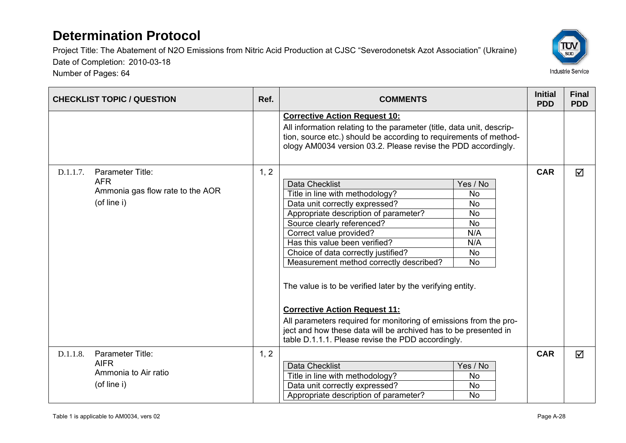Number of Pages: 64



| <b>CHECKLIST TOPIC / QUESTION</b>                                                             | Ref. | <b>COMMENTS</b>                                                                                                                                                                                                                                                                                                                                                                                                                                                                                                                                                                                                                                                                                               |            | <b>Final</b><br><b>PDD</b> |
|-----------------------------------------------------------------------------------------------|------|---------------------------------------------------------------------------------------------------------------------------------------------------------------------------------------------------------------------------------------------------------------------------------------------------------------------------------------------------------------------------------------------------------------------------------------------------------------------------------------------------------------------------------------------------------------------------------------------------------------------------------------------------------------------------------------------------------------|------------|----------------------------|
|                                                                                               |      | <b>Corrective Action Request 10:</b><br>All information relating to the parameter (title, data unit, descrip-<br>tion, source etc.) should be according to requirements of method-<br>ology AM0034 version 03.2. Please revise the PDD accordingly.                                                                                                                                                                                                                                                                                                                                                                                                                                                           |            |                            |
| Parameter Title:<br>D.1.1.7.<br><b>AFR</b><br>Ammonia gas flow rate to the AOR<br>(of line i) | 1, 2 | <b>Data Checklist</b><br>Yes / No<br>Title in line with methodology?<br><b>No</b><br>Data unit correctly expressed?<br><b>No</b><br>Appropriate description of parameter?<br><b>No</b><br>Source clearly referenced?<br>No.<br>N/A<br>Correct value provided?<br>Has this value been verified?<br>N/A<br>Choice of data correctly justified?<br>No<br><b>No</b><br>Measurement method correctly described?<br>The value is to be verified later by the verifying entity.<br><b>Corrective Action Request 11:</b><br>All parameters required for monitoring of emissions from the pro-<br>ject and how these data will be archived has to be presented in<br>table D.1.1.1. Please revise the PDD accordingly. | <b>CAR</b> | ☑                          |
| D.1.1.8.<br><b>Parameter Title:</b><br><b>AIFR</b><br>Ammonia to Air ratio<br>(of line i)     | 1, 2 | <b>Data Checklist</b><br>Yes / No<br>Title in line with methodology?<br><b>No</b><br>Data unit correctly expressed?<br>No<br>Appropriate description of parameter?<br><b>No</b>                                                                                                                                                                                                                                                                                                                                                                                                                                                                                                                               | <b>CAR</b> | $\triangledown$            |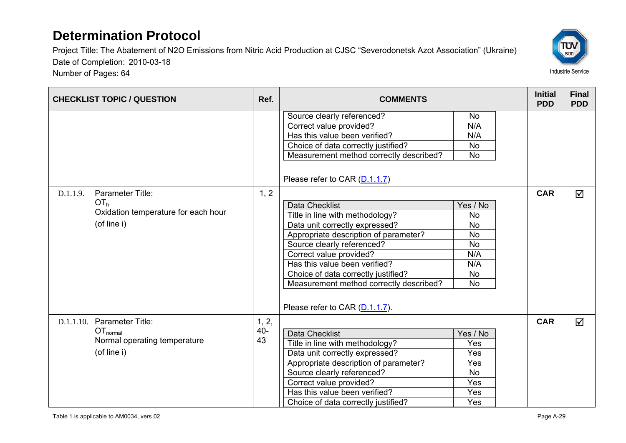Project Title: The Abatement of N2O Emissions from Nitric Acid Production at CJSC "Severodonetsk Azot Association" (Ukraine) Date of Completion: 2010-03-18



| <b>CHECKLIST TOPIC / QUESTION</b>                                                                     | Ref.                  | <b>COMMENTS</b>                                                                                                                                                                                                                                                                                                                                                                                                                                                                                                                                         |                                                                                                                                             | <b>Initial</b><br><b>PDD</b> | <b>Final</b><br><b>PDD</b> |
|-------------------------------------------------------------------------------------------------------|-----------------------|---------------------------------------------------------------------------------------------------------------------------------------------------------------------------------------------------------------------------------------------------------------------------------------------------------------------------------------------------------------------------------------------------------------------------------------------------------------------------------------------------------------------------------------------------------|---------------------------------------------------------------------------------------------------------------------------------------------|------------------------------|----------------------------|
| D.1.1.9.<br>Parameter Title:<br>OT <sub>h</sub><br>Oxidation temperature for each hour<br>(of line i) | 1, 2                  | Source clearly referenced?<br>Correct value provided?<br>Has this value been verified?<br>Choice of data correctly justified?<br>Measurement method correctly described?<br>Please refer to CAR (D.1.1.7)<br>Data Checklist<br>Title in line with methodology?<br>Data unit correctly expressed?<br>Appropriate description of parameter?<br>Source clearly referenced?<br>Correct value provided?<br>Has this value been verified?<br>Choice of data correctly justified?<br>Measurement method correctly described?<br>Please refer to CAR (D.1.1.7). | <b>No</b><br>N/A<br>N/A<br><b>No</b><br><b>No</b><br>Yes / No<br><b>No</b><br>No<br><b>No</b><br><b>No</b><br>N/A<br>N/A<br><b>No</b><br>No | <b>CAR</b>                   | $\Delta$                   |
| D.1.1.10. Parameter Title:<br>OT <sub>normal</sub><br>Normal operating temperature<br>(of line i)     | 1, 2,<br>$40 -$<br>43 | <b>Data Checklist</b><br>Title in line with methodology?<br>Data unit correctly expressed?<br>Appropriate description of parameter?<br>Source clearly referenced?<br>Correct value provided?<br>Has this value been verified?<br>Choice of data correctly justified?                                                                                                                                                                                                                                                                                    | Yes / No<br>Yes<br>Yes<br>Yes<br><b>No</b><br>Yes<br>Yes<br>Yes                                                                             | <b>CAR</b>                   | $\overline{\mathbf{M}}$    |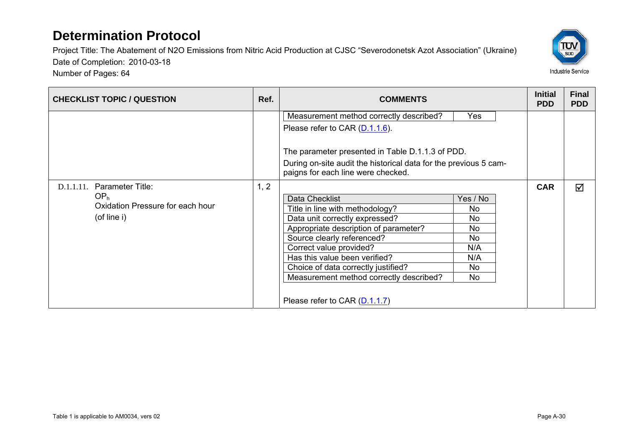Project Title: The Abatement of N2O Emissions from Nitric Acid Production at CJSC "Severodonetsk Azot Association" (Ukraine) Date of Completion: 2010-03-18 Number of Pages: 64



**CHECKLIST TOPIC / QUESTION** Ref. Ref. Ref. COMMENTS **Ref. ACCOMMENTS** Measurement method correctly described? Yes Please refer to CAR (D.1.1.6). The parameter presented in Table D.1.1.3 of PDD. During on-site audit the historical data for the previous 5 campaigns for each line were checked. D.1.1.11. Parameter Title: OPh Oxidation Pressure for each hour (of line i) 1, 2 Data Checklist Yes / No Title in line with methodology? Data unit correctly expressed? Appropriate description of parameter? No Source clearly referenced? Correct value provided? N/A Has this value been verified? N/A Choice of data correctly justified? Measurement method correctly described? No Please refer to CAR (D.1.1.7) **CAR** $\overline{M}$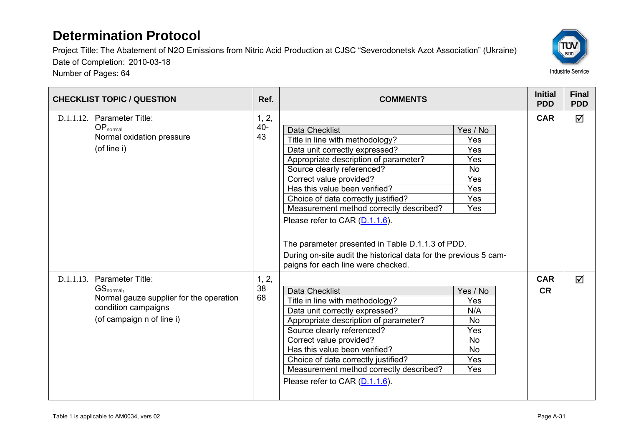Number of Pages: 64



| <b>CHECKLIST TOPIC / QUESTION</b>                                                                                                                 |                       | <b>COMMENTS</b>                                                                                                                                                                                                                                                                                                                                                                                                                                                                                                 |                                                                                    | <b>Initial</b><br><b>PDD</b> | <b>Final</b><br><b>PDD</b> |
|---------------------------------------------------------------------------------------------------------------------------------------------------|-----------------------|-----------------------------------------------------------------------------------------------------------------------------------------------------------------------------------------------------------------------------------------------------------------------------------------------------------------------------------------------------------------------------------------------------------------------------------------------------------------------------------------------------------------|------------------------------------------------------------------------------------|------------------------------|----------------------------|
| D.1.1.12. Parameter Title:<br>$OP_{normal}$<br>Normal oxidation pressure<br>(of line i)                                                           | 1, 2,<br>$40 -$<br>43 | <b>Data Checklist</b><br>Title in line with methodology?<br>Data unit correctly expressed?<br>Appropriate description of parameter?<br>Source clearly referenced?<br>Correct value provided?<br>Has this value been verified?<br>Choice of data correctly justified?<br>Measurement method correctly described?<br>Please refer to CAR (D.1.1.6).<br>The parameter presented in Table D.1.1.3 of PDD.<br>During on-site audit the historical data for the previous 5 cam-<br>paigns for each line were checked. | Yes / No<br>Yes<br>Yes<br>Yes<br><b>No</b><br>Yes<br>Yes<br><b>Yes</b><br>Yes      | <b>CAR</b>                   | ☑                          |
| D.1.1.13. Parameter Title:<br>GS <sub>normal</sub><br>Normal gauze supplier for the operation<br>condition campaigns<br>(of campaign n of line i) | 1, 2,<br>38<br>68     | <b>Data Checklist</b><br>Title in line with methodology?<br>Data unit correctly expressed?<br>Appropriate description of parameter?<br>Source clearly referenced?<br>Correct value provided?<br>Has this value been verified?<br>Choice of data correctly justified?<br>Measurement method correctly described?<br>Please refer to CAR (D.1.1.6).                                                                                                                                                               | Yes / No<br>Yes<br>N/A<br><b>No</b><br>Yes<br><b>No</b><br><b>No</b><br>Yes<br>Yes | <b>CAR</b><br><b>CR</b>      | ☑                          |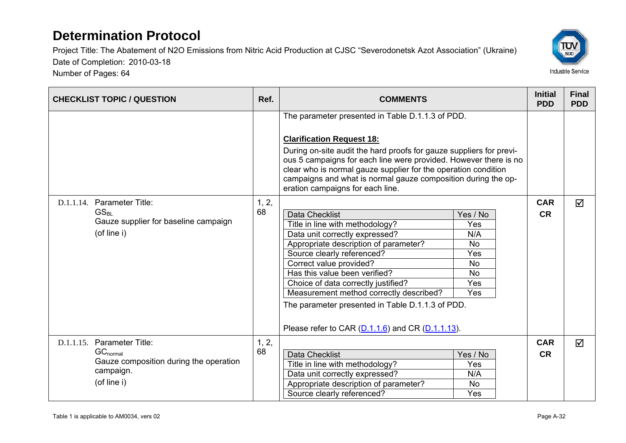Number of Pages: 64



| <b>CHECKLIST TOPIC / QUESTION</b>                                                                                 | Ref.        | <b>COMMENTS</b>                                                                                                                                                                                                                                                                                                                                                                                                                                                                                                                                                                      |  | <b>Initial</b><br><b>PDD</b> | <b>Final</b><br><b>PDD</b> |
|-------------------------------------------------------------------------------------------------------------------|-------------|--------------------------------------------------------------------------------------------------------------------------------------------------------------------------------------------------------------------------------------------------------------------------------------------------------------------------------------------------------------------------------------------------------------------------------------------------------------------------------------------------------------------------------------------------------------------------------------|--|------------------------------|----------------------------|
| D.1.1.14. Parameter Title:<br>GS <sub>BI</sub><br>Gauze supplier for baseline campaign<br>(of line i)             | 1, 2,<br>68 | The parameter presented in Table D.1.1.3 of PDD.<br><b>Clarification Request 18:</b><br>During on-site audit the hard proofs for gauze suppliers for previ-<br>ous 5 campaigns for each line were provided. However there is no<br>clear who is normal gauze supplier for the operation condition<br>campaigns and what is normal gauze composition during the op-<br>eration campaigns for each line.<br><b>Data Checklist</b><br>Yes / No<br>Title in line with methodology?<br>Yes<br>Data unit correctly expressed?<br>N/A<br>Appropriate description of parameter?<br><b>No</b> |  | <b>CAR</b><br><b>CR</b>      | ☑                          |
|                                                                                                                   |             | Yes<br>Source clearly referenced?<br>Correct value provided?<br><b>No</b><br>Has this value been verified?<br><b>No</b><br>Yes<br>Choice of data correctly justified?<br>Measurement method correctly described?<br>Yes<br>The parameter presented in Table D.1.1.3 of PDD.<br>Please refer to CAR $(D.1.1.6)$ and CR $(D.1.1.13)$ .                                                                                                                                                                                                                                                 |  |                              |                            |
| D.1.1.15. Parameter Title:<br>$GC_{normal}$<br>Gauze composition during the operation<br>campaign.<br>(of line i) | 1, 2,<br>68 | Data Checklist<br>Yes / No<br>Title in line with methodology?<br>Yes<br>Data unit correctly expressed?<br>N/A<br>Appropriate description of parameter?<br><b>No</b><br>Yes<br>Source clearly referenced?                                                                                                                                                                                                                                                                                                                                                                             |  | <b>CAR</b><br><b>CR</b>      | ☑                          |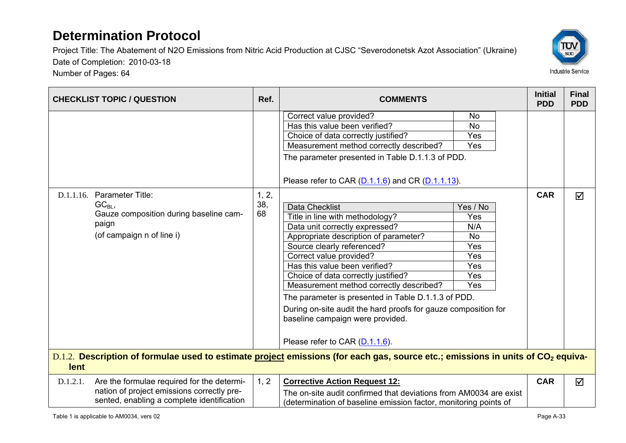

| <b>CHECKLIST TOPIC / QUESTION</b>                                                                                                                   | Ref.               | <b>COMMENTS</b>                                                                                                                                                                                                                                                                                                                                                                                                                                                                                                                                                                                                                                                                                                                         |                                                                                                                | <b>Initial</b><br><b>PDD</b> | <b>Final</b><br><b>PDD</b> |
|-----------------------------------------------------------------------------------------------------------------------------------------------------|--------------------|-----------------------------------------------------------------------------------------------------------------------------------------------------------------------------------------------------------------------------------------------------------------------------------------------------------------------------------------------------------------------------------------------------------------------------------------------------------------------------------------------------------------------------------------------------------------------------------------------------------------------------------------------------------------------------------------------------------------------------------------|----------------------------------------------------------------------------------------------------------------|------------------------------|----------------------------|
| D.1.1.16. Parameter Title:<br>$GC_{BL}$<br>Gauze composition during baseline cam-<br>paign<br>(of campaign n of line i)                             | 1, 2,<br>38,<br>68 | Correct value provided?<br>Has this value been verified?<br>Choice of data correctly justified?<br>Measurement method correctly described?<br>The parameter presented in Table D.1.1.3 of PDD.<br>Please refer to CAR $(D.1.1.6)$ and CR $(D.1.1.13)$ .<br><b>Data Checklist</b><br>Title in line with methodology?<br>Data unit correctly expressed?<br>Appropriate description of parameter?<br>Source clearly referenced?<br>Correct value provided?<br>Has this value been verified?<br>Choice of data correctly justified?<br>Measurement method correctly described?<br>The parameter is presented in Table D.1.1.3 of PDD.<br>During on-site audit the hard proofs for gauze composition for<br>baseline campaign were provided. | <b>No</b><br><b>No</b><br>Yes<br>Yes<br>Yes / No<br>Yes<br>N/A<br><b>No</b><br>Yes<br>Yes<br>Yes<br>Yes<br>Yes | <b>CAR</b>                   | ☑                          |
| D.1.2. Description of formulae used to estimate project emissions (for each gas, source etc.; emissions in units of CO <sub>2</sub> equiva-<br>lent |                    | Please refer to CAR (D.1.1.6).                                                                                                                                                                                                                                                                                                                                                                                                                                                                                                                                                                                                                                                                                                          |                                                                                                                |                              |                            |
| Are the formulae required for the determi-<br>D.1.2.1.<br>nation of project emissions correctly pre-<br>sented, enabling a complete identification  | 1, 2               | <b>Corrective Action Request 12:</b><br>The on-site audit confirmed that deviations from AM0034 are exist<br>(determination of baseline emission factor, monitoring points of                                                                                                                                                                                                                                                                                                                                                                                                                                                                                                                                                           |                                                                                                                | <b>CAR</b>                   | ☑                          |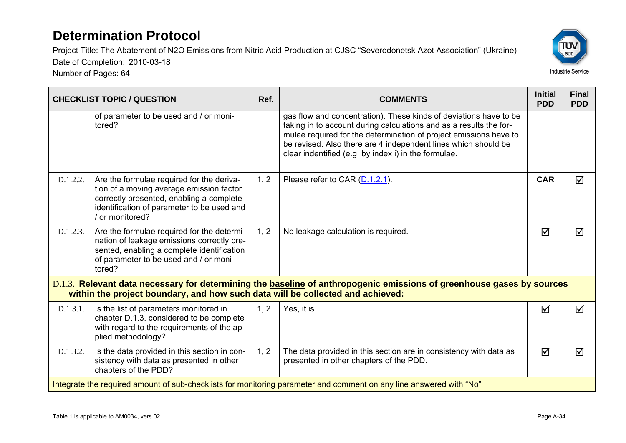Number of Pages: 64



|          | <b>CHECKLIST TOPIC / QUESTION</b>                                                                                                                                                                  | Ref. | <b>COMMENTS</b>                                                                                                                                                                                                                                                                                                                        | <b>Initial</b><br><b>PDD</b> | <b>Final</b><br><b>PDD</b> |
|----------|----------------------------------------------------------------------------------------------------------------------------------------------------------------------------------------------------|------|----------------------------------------------------------------------------------------------------------------------------------------------------------------------------------------------------------------------------------------------------------------------------------------------------------------------------------------|------------------------------|----------------------------|
|          | of parameter to be used and / or moni-<br>tored?                                                                                                                                                   |      | gas flow and concentration). These kinds of deviations have to be<br>taking in to account during calculations and as a results the for-<br>mulae required for the determination of project emissions have to<br>be revised. Also there are 4 independent lines which should be<br>clear indentified (e.g. by index i) in the formulae. |                              |                            |
| D.1.2.2. | Are the formulae required for the deriva-<br>tion of a moving average emission factor<br>correctly presented, enabling a complete<br>identification of parameter to be used and<br>/ or monitored? | 1, 2 | Please refer to CAR (D.1.2.1).                                                                                                                                                                                                                                                                                                         | <b>CAR</b>                   | $\triangledown$            |
| D.1.2.3. | Are the formulae required for the determi-<br>nation of leakage emissions correctly pre-<br>sented, enabling a complete identification<br>of parameter to be used and / or moni-<br>tored?         | 1, 2 | No leakage calculation is required.                                                                                                                                                                                                                                                                                                    | ⊠                            | ☑                          |
|          | within the project boundary, and how such data will be collected and achieved:                                                                                                                     |      | D.1.3. Relevant data necessary for determining the baseline of anthropogenic emissions of greenhouse gases by sources                                                                                                                                                                                                                  |                              |                            |
| D.1.3.1. | Is the list of parameters monitored in<br>chapter D.1.3. considered to be complete<br>with regard to the requirements of the ap-<br>plied methodology?                                             | 1, 2 | Yes, it is.                                                                                                                                                                                                                                                                                                                            | ☑                            | $\triangledown$            |
| D.1.3.2. | Is the data provided in this section in con-<br>sistency with data as presented in other<br>chapters of the PDD?                                                                                   | 1, 2 | The data provided in this section are in consistency with data as<br>presented in other chapters of the PDD.                                                                                                                                                                                                                           | $\triangledown$              | ☑                          |
|          |                                                                                                                                                                                                    |      | Integrate the required amount of sub-checklists for monitoring parameter and comment on any line answered with "No"                                                                                                                                                                                                                    |                              |                            |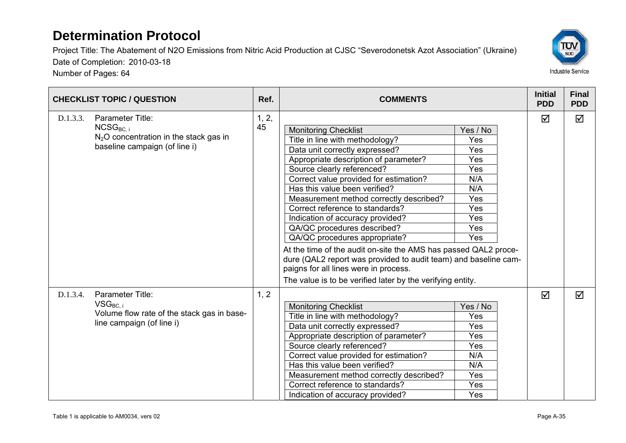Number of Pages: 64



| <b>CHECKLIST TOPIC / QUESTION</b> |                                                                                                               | Ref.        | <b>COMMENTS</b>                                                                                                                                                                                                                                                                                                                                                                                                                                                                                                                                                                                                                                                                   |                                                                                       | <b>Initial</b><br><b>PDD</b> | <b>Final</b><br><b>PDD</b> |
|-----------------------------------|---------------------------------------------------------------------------------------------------------------|-------------|-----------------------------------------------------------------------------------------------------------------------------------------------------------------------------------------------------------------------------------------------------------------------------------------------------------------------------------------------------------------------------------------------------------------------------------------------------------------------------------------------------------------------------------------------------------------------------------------------------------------------------------------------------------------------------------|---------------------------------------------------------------------------------------|------------------------------|----------------------------|
| D.1.3.3.                          | Parameter Title:<br>$NCSG_{BC,i}$<br>$N2O$ concentration in the stack gas in<br>baseline campaign (of line i) | 1, 2,<br>45 | <b>Monitoring Checklist</b><br>Title in line with methodology?<br>Data unit correctly expressed?<br>Appropriate description of parameter?<br>Source clearly referenced?<br>Correct value provided for estimation?<br>Has this value been verified?<br>Measurement method correctly described?<br>Correct reference to standards?<br>Indication of accuracy provided?<br>QA/QC procedures described?<br>QA/QC procedures appropriate?<br>At the time of the audit on-site the AMS has passed QAL2 proce-<br>dure (QAL2 report was provided to audit team) and baseline cam-<br>paigns for all lines were in process.<br>The value is to be verified later by the verifying entity. | Yes / No<br>Yes<br>Yes<br>Yes<br>Yes<br>N/A<br>N/A<br>Yes<br>Yes<br>Yes<br>Yes<br>Yes | ☑                            | ☑                          |
| D.1.3.4.                          | Parameter Title:<br>$VSG_{BC,i}$<br>Volume flow rate of the stack gas in base-<br>line campaign (of line i)   | 1, 2        | <b>Monitoring Checklist</b><br>Title in line with methodology?<br>Data unit correctly expressed?<br>Appropriate description of parameter?<br>Source clearly referenced?<br>Correct value provided for estimation?<br>Has this value been verified?<br>Measurement method correctly described?<br>Correct reference to standards?<br>Indication of accuracy provided?                                                                                                                                                                                                                                                                                                              | Yes / No<br>Yes<br>Yes<br>Yes<br>Yes<br>N/A<br>N/A<br>Yes<br>Yes<br>Yes               | ☑                            | ☑                          |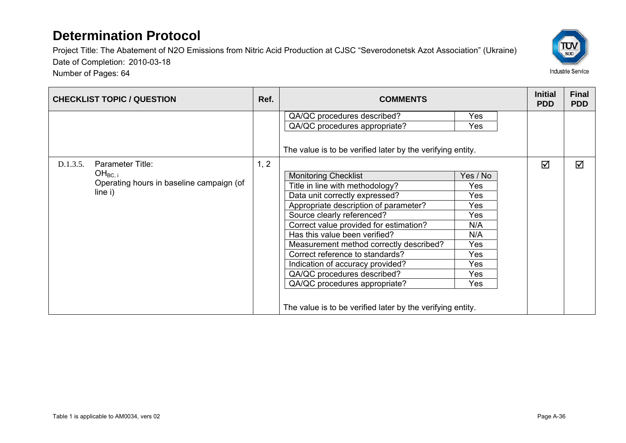

| <b>CHECKLIST TOPIC / QUESTION</b>                                          | Ref. | <b>COMMENTS</b>                                                                                                                                                                                                                                                                                                                                                                                                                                                                                    |                                                                                       | <b>Initial</b><br><b>PDD</b> | <b>Final</b><br><b>PDD</b> |
|----------------------------------------------------------------------------|------|----------------------------------------------------------------------------------------------------------------------------------------------------------------------------------------------------------------------------------------------------------------------------------------------------------------------------------------------------------------------------------------------------------------------------------------------------------------------------------------------------|---------------------------------------------------------------------------------------|------------------------------|----------------------------|
| D.1.3.5.<br><b>Parameter Title:</b>                                        | 1, 2 | QA/QC procedures described?<br>QA/QC procedures appropriate?<br>The value is to be verified later by the verifying entity.                                                                                                                                                                                                                                                                                                                                                                         | Yes<br>Yes                                                                            | ☑                            | ☑                          |
| OH <sub>BC. i</sub><br>Operating hours in baseline campaign (of<br>line i) |      | <b>Monitoring Checklist</b><br>Title in line with methodology?<br>Data unit correctly expressed?<br>Appropriate description of parameter?<br>Source clearly referenced?<br>Correct value provided for estimation?<br>Has this value been verified?<br>Measurement method correctly described?<br>Correct reference to standards?<br>Indication of accuracy provided?<br>QA/QC procedures described?<br>QA/QC procedures appropriate?<br>The value is to be verified later by the verifying entity. | Yes / No<br>Yes<br>Yes<br>Yes<br>Yes<br>N/A<br>N/A<br>Yes<br>Yes<br>Yes<br>Yes<br>Yes |                              |                            |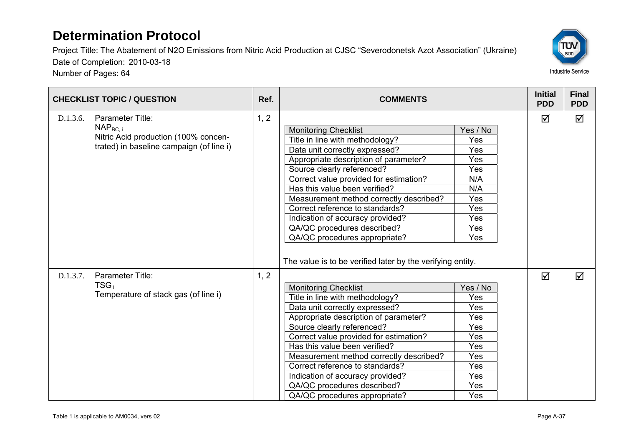Number of Pages: 64



| <b>CHECKLIST TOPIC / QUESTION</b> |                                                                                                                              | Ref. | <b>COMMENTS</b>                                                                                                                                                                                                                                                                                                                                                                                                                                                                                    |                                                                                       |                 | <b>Final</b><br><b>PDD</b> |
|-----------------------------------|------------------------------------------------------------------------------------------------------------------------------|------|----------------------------------------------------------------------------------------------------------------------------------------------------------------------------------------------------------------------------------------------------------------------------------------------------------------------------------------------------------------------------------------------------------------------------------------------------------------------------------------------------|---------------------------------------------------------------------------------------|-----------------|----------------------------|
| D.1.3.6.                          | Parameter Title:<br>NAP <sub>BC. i</sub><br>Nitric Acid production (100% concen-<br>trated) in baseline campaign (of line i) | 1, 2 | <b>Monitoring Checklist</b><br>Title in line with methodology?<br>Data unit correctly expressed?<br>Appropriate description of parameter?<br>Source clearly referenced?<br>Correct value provided for estimation?<br>Has this value been verified?<br>Measurement method correctly described?<br>Correct reference to standards?<br>Indication of accuracy provided?<br>QA/QC procedures described?<br>QA/QC procedures appropriate?                                                               | Yes / No<br>Yes<br>Yes<br>Yes<br>Yes<br>N/A<br>N/A<br>Yes<br>Yes<br>Yes<br>Yes<br>Yes | <b>PDD</b><br>☑ | ☑                          |
| D.1.3.7.                          | Parameter Title:<br>$TSG_i$<br>Temperature of stack gas (of line i)                                                          | 1, 2 | The value is to be verified later by the verifying entity.<br><b>Monitoring Checklist</b><br>Title in line with methodology?<br>Data unit correctly expressed?<br>Appropriate description of parameter?<br>Source clearly referenced?<br>Correct value provided for estimation?<br>Has this value been verified?<br>Measurement method correctly described?<br>Correct reference to standards?<br>Indication of accuracy provided?<br>QA/QC procedures described?<br>QA/QC procedures appropriate? | Yes / No<br>Yes<br>Yes<br>Yes<br>Yes<br>Yes<br>Yes<br>Yes<br>Yes<br>Yes<br>Yes<br>Yes | ☑               | ☑                          |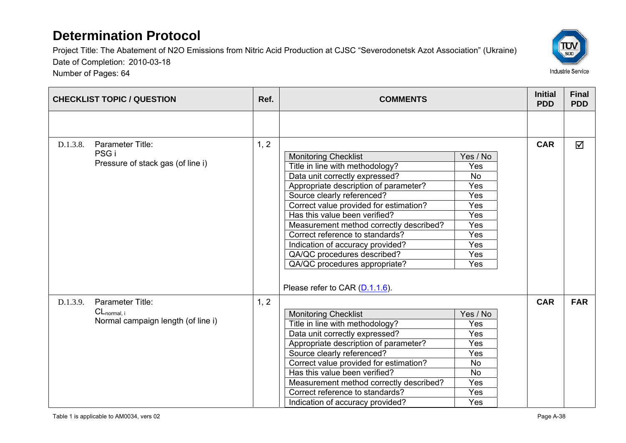

| <b>CHECKLIST TOPIC / QUESTION</b> |                                                                            | Ref. | <b>COMMENTS</b>                                                                                                                                                                                                                                                                                                                                                                                                                                                        |                                                                                             | <b>Initial</b><br><b>PDD</b> | <b>Final</b><br><b>PDD</b> |
|-----------------------------------|----------------------------------------------------------------------------|------|------------------------------------------------------------------------------------------------------------------------------------------------------------------------------------------------------------------------------------------------------------------------------------------------------------------------------------------------------------------------------------------------------------------------------------------------------------------------|---------------------------------------------------------------------------------------------|------------------------------|----------------------------|
|                                   |                                                                            |      |                                                                                                                                                                                                                                                                                                                                                                                                                                                                        |                                                                                             |                              |                            |
| D.1.3.8.                          | Parameter Title:<br>PSG <sub>i</sub><br>Pressure of stack gas (of line i)  | 1, 2 | <b>Monitoring Checklist</b><br>Title in line with methodology?<br>Data unit correctly expressed?<br>Appropriate description of parameter?<br>Source clearly referenced?<br>Correct value provided for estimation?<br>Has this value been verified?<br>Measurement method correctly described?<br>Correct reference to standards?<br>Indication of accuracy provided?<br>QA/QC procedures described?<br>QA/QC procedures appropriate?<br>Please refer to CAR (D.1.1.6). | Yes / No<br>Yes<br><b>No</b><br>Yes<br>Yes<br>Yes<br>Yes<br>Yes<br>Yes<br>Yes<br>Yes<br>Yes | <b>CAR</b>                   | ☑                          |
| D.1.3.9.                          | Parameter Title:<br>$CL_{normal, i}$<br>Normal campaign length (of line i) | 1, 2 | <b>Monitoring Checklist</b><br>Title in line with methodology?<br>Data unit correctly expressed?<br>Appropriate description of parameter?<br>Source clearly referenced?<br>Correct value provided for estimation?<br>Has this value been verified?<br>Measurement method correctly described?<br>Correct reference to standards?<br>Indication of accuracy provided?                                                                                                   | Yes / No<br>Yes<br>Yes<br>Yes<br>Yes<br><b>No</b><br><b>No</b><br>Yes<br>Yes<br>Yes         | <b>CAR</b>                   | <b>FAR</b>                 |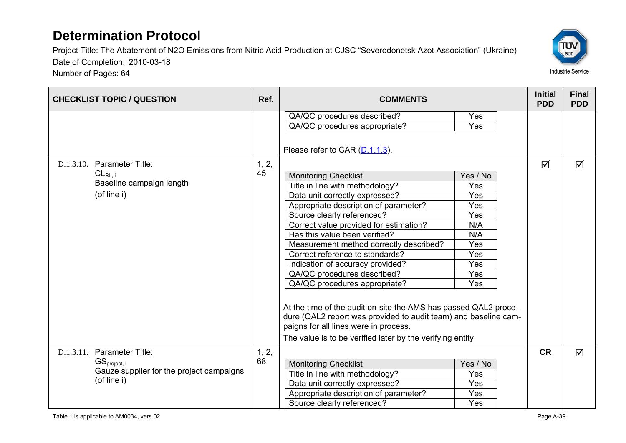

| <b>CHECKLIST TOPIC / QUESTION</b>        | Ref.  | <b>COMMENTS</b>                                                                                                                                                                                                                           |          | <b>Initial</b><br><b>PDD</b> | <b>Final</b><br><b>PDD</b> |
|------------------------------------------|-------|-------------------------------------------------------------------------------------------------------------------------------------------------------------------------------------------------------------------------------------------|----------|------------------------------|----------------------------|
|                                          |       | QA/QC procedures described?                                                                                                                                                                                                               | Yes      |                              |                            |
|                                          |       | QA/QC procedures appropriate?                                                                                                                                                                                                             | Yes      |                              |                            |
| D.1.3.10. Parameter Title:               | 1, 2, | Please refer to CAR (D.1.1.3).                                                                                                                                                                                                            |          | $\overline{\mathbf{M}}$      | ☑                          |
| $CL_{BL, i}$                             | 45    | <b>Monitoring Checklist</b>                                                                                                                                                                                                               | Yes / No |                              |                            |
| Baseline campaign length<br>(of line i)  |       | Title in line with methodology?                                                                                                                                                                                                           | Yes      |                              |                            |
|                                          |       | Data unit correctly expressed?                                                                                                                                                                                                            | Yes      |                              |                            |
|                                          |       | Appropriate description of parameter?                                                                                                                                                                                                     | Yes      |                              |                            |
|                                          |       | Source clearly referenced?                                                                                                                                                                                                                | Yes      |                              |                            |
|                                          |       | Correct value provided for estimation?                                                                                                                                                                                                    | N/A      |                              |                            |
|                                          |       | Has this value been verified?                                                                                                                                                                                                             | N/A      |                              |                            |
|                                          |       | Measurement method correctly described?                                                                                                                                                                                                   | Yes      |                              |                            |
|                                          |       | Correct reference to standards?                                                                                                                                                                                                           | Yes      |                              |                            |
|                                          |       | Indication of accuracy provided?                                                                                                                                                                                                          | Yes      |                              |                            |
|                                          |       | QA/QC procedures described?                                                                                                                                                                                                               | Yes      |                              |                            |
|                                          |       | QA/QC procedures appropriate?                                                                                                                                                                                                             | Yes      |                              |                            |
|                                          |       | At the time of the audit on-site the AMS has passed QAL2 proce-<br>dure (QAL2 report was provided to audit team) and baseline cam-<br>paigns for all lines were in process.<br>The value is to be verified later by the verifying entity. |          |                              |                            |
| D.1.3.11. Parameter Title:               | 1, 2, |                                                                                                                                                                                                                                           |          | <b>CR</b>                    | $\triangledown$            |
| $GS_{project, i}$                        | 68    | <b>Monitoring Checklist</b>                                                                                                                                                                                                               | Yes / No |                              |                            |
| Gauze supplier for the project campaigns |       | Title in line with methodology?                                                                                                                                                                                                           | Yes      |                              |                            |
| (of line i)                              |       | Data unit correctly expressed?                                                                                                                                                                                                            | Yes      |                              |                            |
|                                          |       | Appropriate description of parameter?                                                                                                                                                                                                     | Yes      |                              |                            |
|                                          |       | Source clearly referenced?                                                                                                                                                                                                                | Yes      |                              |                            |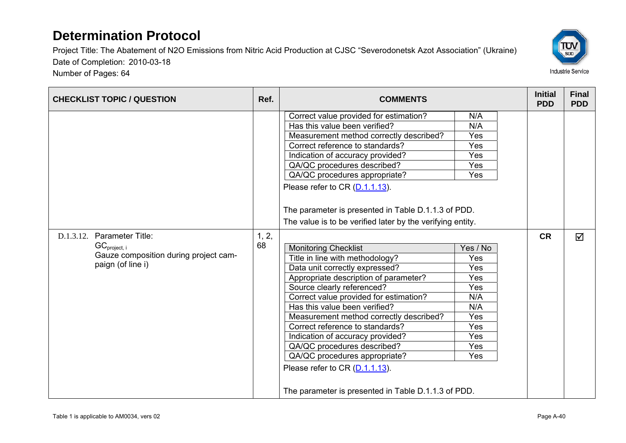Number of Pages: 64

Project Title: The Abatement of N2O Emissions from Nitric Acid Production at CJSC "Severodonetsk Azot Association" (Ukraine) Date of Completion: 2010-03-18

ΤÜΝ  $\overline{\text{SUD}}$ 



|                                                                                                               |             | Correct value provided for estimation?<br>Has this value been verified?<br>Measurement method correctly described?<br>Correct reference to standards?                                                                                                                                                                                                                                                                                                                                                                         | N/A<br>N/A<br>Yes<br>Yes<br><b>Yes</b>                                                       |           |   |
|---------------------------------------------------------------------------------------------------------------|-------------|-------------------------------------------------------------------------------------------------------------------------------------------------------------------------------------------------------------------------------------------------------------------------------------------------------------------------------------------------------------------------------------------------------------------------------------------------------------------------------------------------------------------------------|----------------------------------------------------------------------------------------------|-----------|---|
|                                                                                                               |             | Indication of accuracy provided?<br>QA/QC procedures described?<br>QA/QC procedures appropriate?<br>Please refer to CR (D.1.1.13).<br>The parameter is presented in Table D.1.1.3 of PDD.<br>The value is to be verified later by the verifying entity.                                                                                                                                                                                                                                                                       | <b>Yes</b><br>Yes                                                                            |           |   |
| D.1.3.12. Parameter Title:<br>$GC_{project, i}$<br>Gauze composition during project cam-<br>paign (of line i) | 1, 2,<br>68 | <b>Monitoring Checklist</b><br>Title in line with methodology?<br>Data unit correctly expressed?<br>Appropriate description of parameter?<br>Source clearly referenced?<br>Correct value provided for estimation?<br>Has this value been verified?<br>Measurement method correctly described?<br>Correct reference to standards?<br>Indication of accuracy provided?<br>QA/QC procedures described?<br>QA/QC procedures appropriate?<br>Please refer to CR (D.1.1.13).<br>The parameter is presented in Table D.1.1.3 of PDD. | Yes / No<br>Yes<br>Yes<br>Yes<br>Yes<br>N/A<br>N/A<br>Yes<br>Yes<br><b>Yes</b><br>Yes<br>Yes | <b>CR</b> | ☑ |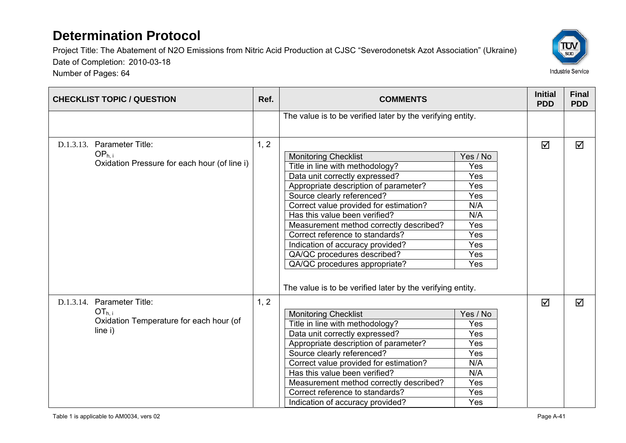

| <b>CHECKLIST TOPIC / QUESTION</b>                                                               | Ref. | <b>COMMENTS</b>                                                                                                                                                                                                                                                                                                                                                                                                                                                                                    |                                                                                       | <b>Initial</b><br><b>PDD</b> | <b>Final</b><br><b>PDD</b> |
|-------------------------------------------------------------------------------------------------|------|----------------------------------------------------------------------------------------------------------------------------------------------------------------------------------------------------------------------------------------------------------------------------------------------------------------------------------------------------------------------------------------------------------------------------------------------------------------------------------------------------|---------------------------------------------------------------------------------------|------------------------------|----------------------------|
|                                                                                                 |      | The value is to be verified later by the verifying entity.                                                                                                                                                                                                                                                                                                                                                                                                                                         |                                                                                       |                              |                            |
| D.1.3.13. Parameter Title:<br>OP <sub>h.i</sub><br>Oxidation Pressure for each hour (of line i) | 1, 2 | <b>Monitoring Checklist</b><br>Title in line with methodology?<br>Data unit correctly expressed?<br>Appropriate description of parameter?<br>Source clearly referenced?<br>Correct value provided for estimation?<br>Has this value been verified?<br>Measurement method correctly described?<br>Correct reference to standards?<br>Indication of accuracy provided?<br>QA/QC procedures described?<br>QA/QC procedures appropriate?<br>The value is to be verified later by the verifying entity. | Yes / No<br>Yes<br>Yes<br>Yes<br>Yes<br>N/A<br>N/A<br>Yes<br>Yes<br>Yes<br>Yes<br>Yes | ☑                            | ☑                          |
| D.1.3.14. Parameter Title:<br>$OT_{h,i}$<br>Oxidation Temperature for each hour (of<br>line i)  | 1, 2 | <b>Monitoring Checklist</b><br>Title in line with methodology?<br>Data unit correctly expressed?<br>Appropriate description of parameter?<br>Source clearly referenced?<br>Correct value provided for estimation?<br>Has this value been verified?<br>Measurement method correctly described?<br>Correct reference to standards?<br>Indication of accuracy provided?                                                                                                                               | Yes / No<br>Yes<br>Yes<br>Yes<br>Yes<br>N/A<br>N/A<br>Yes<br>Yes<br>Yes               | ☑                            | ☑                          |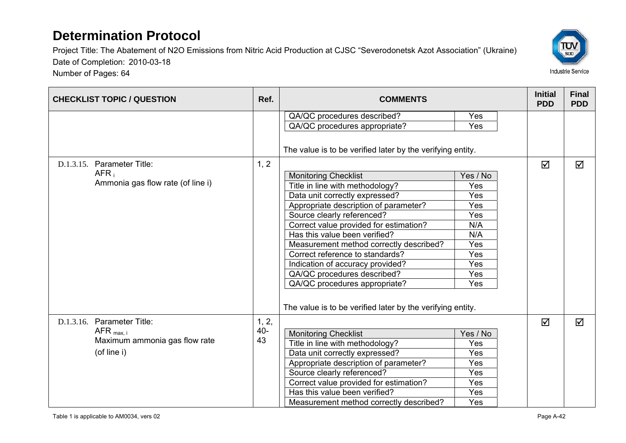

| <b>CHECKLIST TOPIC / QUESTION</b>                     | Ref.  | <b>COMMENTS</b>                                            |          | <b>Initial</b><br><b>PDD</b> | <b>Final</b><br><b>PDD</b> |
|-------------------------------------------------------|-------|------------------------------------------------------------|----------|------------------------------|----------------------------|
|                                                       |       | QA/QC procedures described?                                | Yes      |                              |                            |
|                                                       |       | QA/QC procedures appropriate?                              | Yes      |                              |                            |
|                                                       |       | The value is to be verified later by the verifying entity. |          |                              |                            |
| D.1.3.15. Parameter Title:                            | 1, 2  |                                                            |          | $\overline{\mathbf{M}}$      | ☑                          |
| AFR <sub>i</sub><br>Ammonia gas flow rate (of line i) |       | <b>Monitoring Checklist</b>                                | Yes / No |                              |                            |
|                                                       |       | Title in line with methodology?                            | Yes      |                              |                            |
|                                                       |       | Data unit correctly expressed?                             | Yes      |                              |                            |
|                                                       |       | Appropriate description of parameter?                      | Yes      |                              |                            |
|                                                       |       | Source clearly referenced?                                 | Yes      |                              |                            |
|                                                       |       | Correct value provided for estimation?                     | N/A      |                              |                            |
|                                                       |       | Has this value been verified?                              | N/A      |                              |                            |
|                                                       |       | Measurement method correctly described?                    | Yes      |                              |                            |
|                                                       |       | Correct reference to standards?                            | Yes      |                              |                            |
|                                                       |       | Indication of accuracy provided?                           | Yes      |                              |                            |
|                                                       |       | QA/QC procedures described?                                | Yes      |                              |                            |
|                                                       |       | QA/QC procedures appropriate?                              | Yes      |                              |                            |
|                                                       |       | The value is to be verified later by the verifying entity. |          |                              |                            |
| D.1.3.16. Parameter Title:                            | 1, 2, |                                                            |          | $\overline{\mathbf{M}}$      | ☑                          |
| AFR $_{\text{max. i}}$                                | 40-   | <b>Monitoring Checklist</b>                                | Yes / No |                              |                            |
| Maximum ammonia gas flow rate                         | 43    | Title in line with methodology?                            | Yes      |                              |                            |
| (of line i)                                           |       | Data unit correctly expressed?                             | Yes      |                              |                            |
|                                                       |       | Appropriate description of parameter?                      | Yes      |                              |                            |
|                                                       |       | Source clearly referenced?                                 | Yes      |                              |                            |
|                                                       |       | Correct value provided for estimation?                     | Yes      |                              |                            |
|                                                       |       | Has this value been verified?                              | Yes      |                              |                            |
|                                                       |       | Measurement method correctly described?                    | Yes      |                              |                            |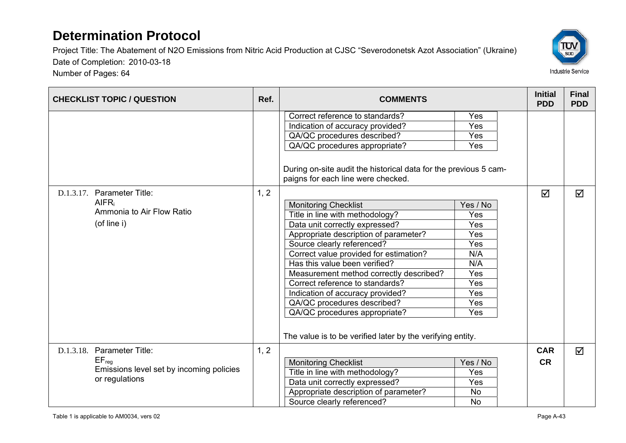Number of Pages: 64



| <b>CHECKLIST TOPIC / QUESTION</b>                                                                      | Ref. | <b>COMMENTS</b>                                                                                                                                                                                                                                                                                                                                                                                                                                                                                                                                                                                                                                                                                                                                     |                                                                                                                   | <b>Initial</b><br><b>PDD</b> | <b>Final</b><br><b>PDD</b> |
|--------------------------------------------------------------------------------------------------------|------|-----------------------------------------------------------------------------------------------------------------------------------------------------------------------------------------------------------------------------------------------------------------------------------------------------------------------------------------------------------------------------------------------------------------------------------------------------------------------------------------------------------------------------------------------------------------------------------------------------------------------------------------------------------------------------------------------------------------------------------------------------|-------------------------------------------------------------------------------------------------------------------|------------------------------|----------------------------|
| Parameter Title:<br>D.1.3.17.<br><b>AIFR</b><br>Ammonia to Air Flow Ratio<br>(of line i)               | 1, 2 | Correct reference to standards?<br>Indication of accuracy provided?<br>QA/QC procedures described?<br>QA/QC procedures appropriate?<br>During on-site audit the historical data for the previous 5 cam-<br>paigns for each line were checked.<br><b>Monitoring Checklist</b><br>Title in line with methodology?<br>Data unit correctly expressed?<br>Appropriate description of parameter?<br>Source clearly referenced?<br>Correct value provided for estimation?<br>Has this value been verified?<br>Measurement method correctly described?<br>Correct reference to standards?<br>Indication of accuracy provided?<br>QA/QC procedures described?<br>QA/QC procedures appropriate?<br>The value is to be verified later by the verifying entity. | Yes<br>Yes<br>Yes<br>Yes<br>Yes / No<br>Yes<br>Yes<br>Yes<br>Yes<br>N/A<br>N/A<br>Yes<br>Yes<br>Yes<br>Yes<br>Yes | ☑                            | $\Delta$                   |
| D.1.3.18. Parameter Title:<br>$EF_{reg}$<br>Emissions level set by incoming policies<br>or regulations | 1, 2 | <b>Monitoring Checklist</b><br>Title in line with methodology?<br>Data unit correctly expressed?<br>Appropriate description of parameter?<br>Source clearly referenced?                                                                                                                                                                                                                                                                                                                                                                                                                                                                                                                                                                             | Yes / No<br>Yes<br>Yes<br><b>No</b><br><b>No</b>                                                                  | <b>CAR</b><br><b>CR</b>      | ☑                          |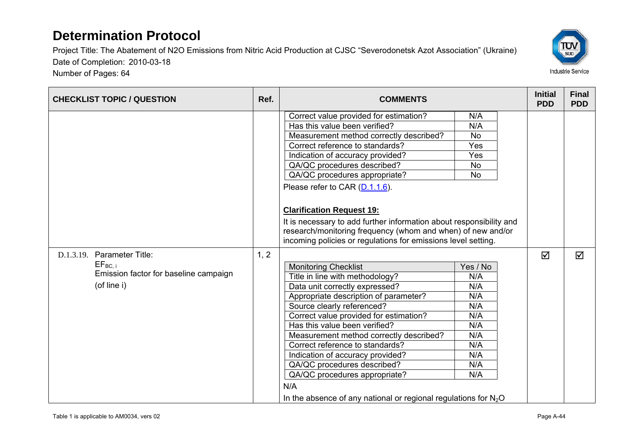Number of Pages: 64



| <b>CHECKLIST TOPIC / QUESTION</b>                                                                 | Ref. | <b>COMMENTS</b>                                                                                                                                                                                                                                                                                                                                                                                                                                                                                                  |                                                                                       |                              | <b>Final</b><br><b>PDD</b> |
|---------------------------------------------------------------------------------------------------|------|------------------------------------------------------------------------------------------------------------------------------------------------------------------------------------------------------------------------------------------------------------------------------------------------------------------------------------------------------------------------------------------------------------------------------------------------------------------------------------------------------------------|---------------------------------------------------------------------------------------|------------------------------|----------------------------|
|                                                                                                   |      | Correct value provided for estimation?<br>Has this value been verified?<br>Measurement method correctly described?<br>Correct reference to standards?<br>Indication of accuracy provided?<br>QA/QC procedures described?<br>QA/QC procedures appropriate?<br>Please refer to CAR (D.1.1.6).<br><b>Clarification Request 19:</b>                                                                                                                                                                                  | N/A<br>N/A<br><b>No</b><br>Yes<br>Yes<br><b>No</b><br><b>No</b>                       | <b>Initial</b><br><b>PDD</b> |                            |
|                                                                                                   |      | It is necessary to add further information about responsibility and<br>research/monitoring frequency (whom and when) of new and/or<br>incoming policies or regulations for emissions level setting.                                                                                                                                                                                                                                                                                                              |                                                                                       |                              |                            |
| D.1.3.19. Parameter Title:<br>$EF_{BC,i}$<br>Emission factor for baseline campaign<br>(of line i) | 1, 2 | <b>Monitoring Checklist</b><br>Title in line with methodology?<br>Data unit correctly expressed?<br>Appropriate description of parameter?<br>Source clearly referenced?<br>Correct value provided for estimation?<br>Has this value been verified?<br>Measurement method correctly described?<br>Correct reference to standards?<br>Indication of accuracy provided?<br>QA/QC procedures described?<br>QA/QC procedures appropriate?<br>N/A<br>In the absence of any national or regional regulations for $N_2O$ | Yes / No<br>N/A<br>N/A<br>N/A<br>N/A<br>N/A<br>N/A<br>N/A<br>N/A<br>N/A<br>N/A<br>N/A | $\Delta$                     | ☑                          |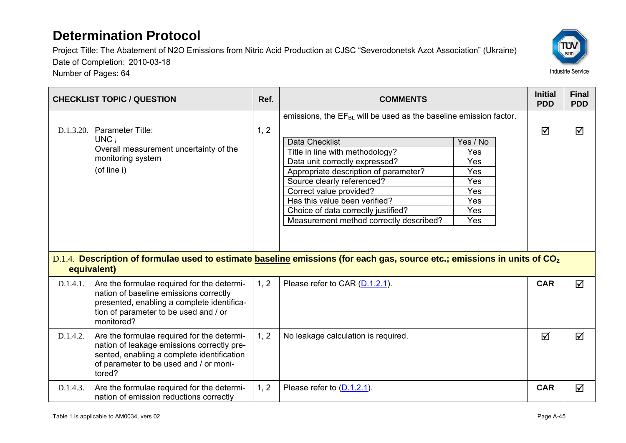

|           | <b>CHECKLIST TOPIC / QUESTION</b>                                                                                                                                                          | Ref. | <b>COMMENTS</b>                                                                                                                                                                                                                                                                                                 |                                                                  | <b>Initial</b><br><b>PDD</b> | <b>Final</b><br><b>PDD</b> |
|-----------|--------------------------------------------------------------------------------------------------------------------------------------------------------------------------------------------|------|-----------------------------------------------------------------------------------------------------------------------------------------------------------------------------------------------------------------------------------------------------------------------------------------------------------------|------------------------------------------------------------------|------------------------------|----------------------------|
|           |                                                                                                                                                                                            |      | emissions, the $EF_{BL}$ will be used as the baseline emission factor.                                                                                                                                                                                                                                          |                                                                  |                              |                            |
| D.1.3.20. | Parameter Title:<br>$UNC_i$<br>Overall measurement uncertainty of the<br>monitoring system<br>(of line i)                                                                                  | 1, 2 | <b>Data Checklist</b><br>Title in line with methodology?<br>Data unit correctly expressed?<br>Appropriate description of parameter?<br>Source clearly referenced?<br>Correct value provided?<br>Has this value been verified?<br>Choice of data correctly justified?<br>Measurement method correctly described? | Yes / No<br>Yes<br>Yes<br>Yes<br>Yes<br>Yes<br>Yes<br>Yes<br>Yes | ☑                            | ☑                          |
|           | equivalent)                                                                                                                                                                                |      | D.1.4. Description of formulae used to estimate baseline emissions (for each gas, source etc.; emissions in units of CO <sub>2</sub>                                                                                                                                                                            |                                                                  |                              |                            |
| D.1.4.1.  | Are the formulae required for the determi-<br>nation of baseline emissions correctly<br>presented, enabling a complete identifica-<br>tion of parameter to be used and / or<br>monitored?  | 1, 2 | Please refer to CAR (D.1.2.1).                                                                                                                                                                                                                                                                                  |                                                                  | <b>CAR</b>                   | ☑                          |
| D.1.4.2.  | Are the formulae required for the determi-<br>nation of leakage emissions correctly pre-<br>sented, enabling a complete identification<br>of parameter to be used and / or moni-<br>tored? | 1, 2 | No leakage calculation is required.                                                                                                                                                                                                                                                                             |                                                                  | ☑                            | ☑                          |
| D.1.4.3.  | Are the formulae required for the determi-<br>nation of emission reductions correctly                                                                                                      | 1, 2 | Please refer to $(D.1.2.1)$ .                                                                                                                                                                                                                                                                                   |                                                                  | <b>CAR</b>                   | ☑                          |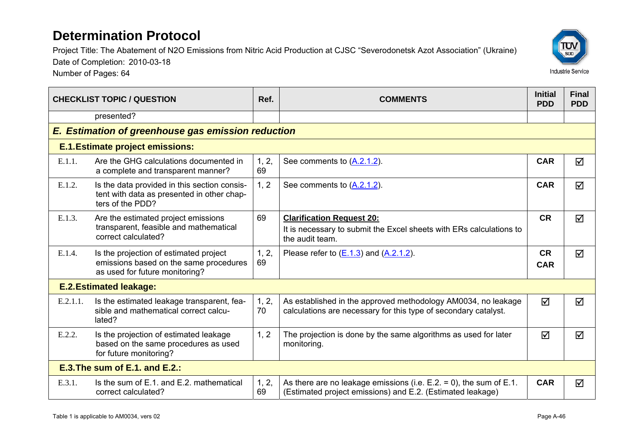Project Title: The Abatement of N2O Emissions from Nitric Acid Production at CJSC "Severodonetsk Azot Association" (Ukraine)

Date of Completion: 2010-03-18

| <b>CHECKLIST TOPIC / QUESTION</b> |                                                                                                                    | Ref.        | <b>COMMENTS</b>                                                                                                                       |                         | <b>Final</b><br><b>PDD</b> |  |  |  |
|-----------------------------------|--------------------------------------------------------------------------------------------------------------------|-------------|---------------------------------------------------------------------------------------------------------------------------------------|-------------------------|----------------------------|--|--|--|
|                                   | presented?                                                                                                         |             |                                                                                                                                       |                         |                            |  |  |  |
|                                   | E. Estimation of greenhouse gas emission reduction                                                                 |             |                                                                                                                                       |                         |                            |  |  |  |
|                                   | <b>E.1. Estimate project emissions:</b>                                                                            |             |                                                                                                                                       |                         |                            |  |  |  |
| E.1.1.                            | Are the GHG calculations documented in<br>a complete and transparent manner?                                       | 1, 2,<br>69 | See comments to (A.2.1.2).                                                                                                            | <b>CAR</b>              | ☑                          |  |  |  |
| E.1.2.                            | Is the data provided in this section consis-<br>tent with data as presented in other chap-<br>ters of the PDD?     | 1, 2        | See comments to (A.2.1.2).                                                                                                            | <b>CAR</b>              | ☑                          |  |  |  |
| E.1.3.                            | Are the estimated project emissions<br>transparent, feasible and mathematical<br>correct calculated?               | 69          | <b>Clarification Request 20:</b><br>It is necessary to submit the Excel sheets with ERs calculations to<br>the audit team.            | <b>CR</b>               | ☑                          |  |  |  |
| E.1.4.                            | Is the projection of estimated project<br>emissions based on the same procedures<br>as used for future monitoring? | 1, 2,<br>69 | Please refer to $(E.1.3)$ and $(A.2.1.2)$ .                                                                                           | <b>CR</b><br><b>CAR</b> | ☑                          |  |  |  |
|                                   | <b>E.2. Estimated leakage:</b>                                                                                     |             |                                                                                                                                       |                         |                            |  |  |  |
| E.2.1.1.                          | Is the estimated leakage transparent, fea-<br>sible and mathematical correct calcu-<br>lated?                      | 1, 2,<br>70 | As established in the approved methodology AM0034, no leakage<br>calculations are necessary for this type of secondary catalyst.      | $\triangledown$         | ☑                          |  |  |  |
| E.2.2.                            | Is the projection of estimated leakage<br>based on the same procedures as used<br>for future monitoring?           | 1, 2        | The projection is done by the same algorithms as used for later<br>monitoring.                                                        | ☑                       | ☑                          |  |  |  |
|                                   | $E.3$ . The sum of $E.1$ , and $E.2$ .:                                                                            |             |                                                                                                                                       |                         |                            |  |  |  |
| E.3.1.                            | Is the sum of E.1, and E.2, mathematical<br>correct calculated?                                                    | 1, 2,<br>69 | As there are no leakage emissions (i.e. $E.2 = 0$ ), the sum of $E.1$ .<br>(Estimated project emissions) and E.2. (Estimated leakage) | <b>CAR</b>              | ☑                          |  |  |  |

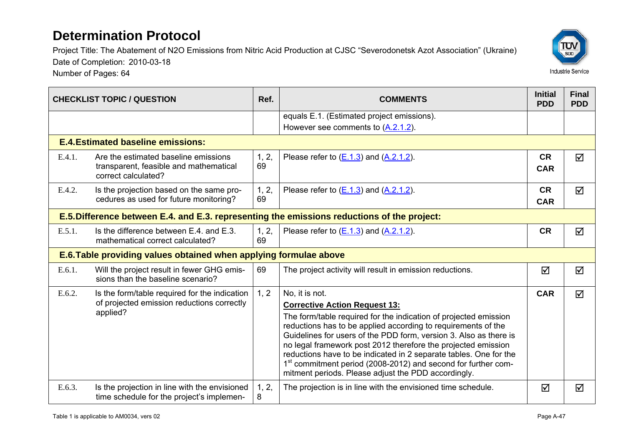Number of Pages: 64



| <b>CHECKLIST TOPIC / QUESTION</b> |                                                                                                       | Ref.        | <b>COMMENTS</b>                                                                                                                                                                                                                                                                                                                                                                                                                                                                  | <b>Initial</b><br><b>PDD</b> | <b>Final</b><br><b>PDD</b> |  |  |
|-----------------------------------|-------------------------------------------------------------------------------------------------------|-------------|----------------------------------------------------------------------------------------------------------------------------------------------------------------------------------------------------------------------------------------------------------------------------------------------------------------------------------------------------------------------------------------------------------------------------------------------------------------------------------|------------------------------|----------------------------|--|--|
|                                   |                                                                                                       |             | equals E.1. (Estimated project emissions).                                                                                                                                                                                                                                                                                                                                                                                                                                       |                              |                            |  |  |
|                                   |                                                                                                       |             | However see comments to (A.2.1.2).                                                                                                                                                                                                                                                                                                                                                                                                                                               |                              |                            |  |  |
|                                   | <b>E.4. Estimated baseline emissions:</b>                                                             |             |                                                                                                                                                                                                                                                                                                                                                                                                                                                                                  |                              |                            |  |  |
| E.4.1.                            | Are the estimated baseline emissions<br>transparent, feasible and mathematical<br>correct calculated? | 1, 2,<br>69 | Please refer to $(E.1.3)$ and $(A.2.1.2)$ .                                                                                                                                                                                                                                                                                                                                                                                                                                      | <b>CR</b><br><b>CAR</b>      | $\triangledown$            |  |  |
| E.4.2.                            | Is the projection based on the same pro-<br>cedures as used for future monitoring?                    | 1, 2,<br>69 | Please refer to $(E.1.3)$ and $(A.2.1.2)$ .                                                                                                                                                                                                                                                                                                                                                                                                                                      | <b>CR</b><br><b>CAR</b>      | $\triangledown$            |  |  |
|                                   | E.5. Difference between E.4. and E.3. representing the emissions reductions of the project:           |             |                                                                                                                                                                                                                                                                                                                                                                                                                                                                                  |                              |                            |  |  |
| E.5.1.                            | Is the difference between E.4. and E.3.<br>mathematical correct calculated?                           | 1, 2,<br>69 | Please refer to $(E.1.3)$ and $(A.2.1.2)$ .                                                                                                                                                                                                                                                                                                                                                                                                                                      | <b>CR</b>                    | $\triangledown$            |  |  |
|                                   | E.6. Table providing values obtained when applying formulae above                                     |             |                                                                                                                                                                                                                                                                                                                                                                                                                                                                                  |                              |                            |  |  |
| E.6.1.                            | Will the project result in fewer GHG emis-<br>sions than the baseline scenario?                       | 69          | The project activity will result in emission reductions.                                                                                                                                                                                                                                                                                                                                                                                                                         | ☑                            | ☑                          |  |  |
| E.6.2.                            | Is the form/table required for the indication                                                         | 1, 2        | No, it is not.                                                                                                                                                                                                                                                                                                                                                                                                                                                                   | <b>CAR</b>                   | ☑                          |  |  |
|                                   | of projected emission reductions correctly                                                            |             | <b>Corrective Action Request 13:</b>                                                                                                                                                                                                                                                                                                                                                                                                                                             |                              |                            |  |  |
|                                   | applied?                                                                                              |             | The form/table required for the indication of projected emission<br>reductions has to be applied according to requirements of the<br>Guidelines for users of the PDD form, version 3. Also as there is<br>no legal framework post 2012 therefore the projected emission<br>reductions have to be indicated in 2 separate tables. One for the<br>1 <sup>st</sup> commitment period (2008-2012) and second for further com-<br>mitment periods. Please adjust the PDD accordingly. |                              |                            |  |  |
| E.6.3.                            | Is the projection in line with the envisioned<br>time schedule for the project's implemen-            | 1, 2,<br>8  | The projection is in line with the envisioned time schedule.                                                                                                                                                                                                                                                                                                                                                                                                                     | ☑                            | ☑                          |  |  |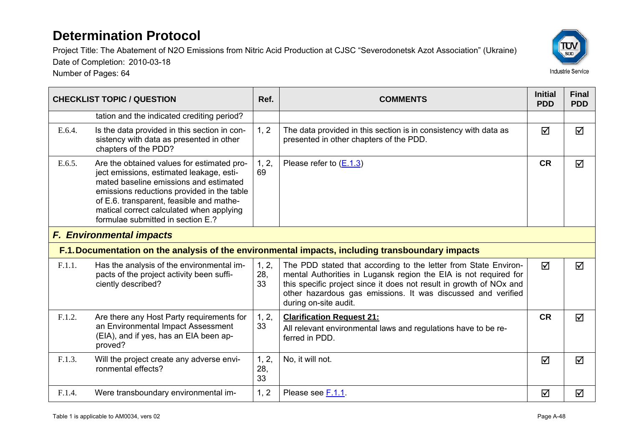Project Title: The Abatement of N2O Emissions from Nitric Acid Production at CJSC "Severodonetsk Azot Association" (Ukraine)



Date of Completion: 2010-03-18

| <b>CHECKLIST TOPIC / QUESTION</b> |                                                                                                                                                                                                                                                                                                             | Ref.               | <b>COMMENTS</b>                                                                                                                                                                                                                                                                                     | <b>Initial</b><br><b>PDD</b> | <b>Final</b><br><b>PDD</b> |
|-----------------------------------|-------------------------------------------------------------------------------------------------------------------------------------------------------------------------------------------------------------------------------------------------------------------------------------------------------------|--------------------|-----------------------------------------------------------------------------------------------------------------------------------------------------------------------------------------------------------------------------------------------------------------------------------------------------|------------------------------|----------------------------|
|                                   | tation and the indicated crediting period?                                                                                                                                                                                                                                                                  |                    |                                                                                                                                                                                                                                                                                                     |                              |                            |
| E.6.4.                            | Is the data provided in this section in con-<br>sistency with data as presented in other<br>chapters of the PDD?                                                                                                                                                                                            | 1, 2               | The data provided in this section is in consistency with data as<br>presented in other chapters of the PDD.                                                                                                                                                                                         | ☑                            | ☑                          |
| E.6.5.                            | Are the obtained values for estimated pro-<br>ject emissions, estimated leakage, esti-<br>mated baseline emissions and estimated<br>emissions reductions provided in the table<br>of E.6. transparent, feasible and mathe-<br>matical correct calculated when applying<br>formulae submitted in section E.? | 1, 2,<br>69        | Please refer to $(E.1.3)$                                                                                                                                                                                                                                                                           | <b>CR</b>                    | $\triangledown$            |
|                                   | <b>F. Environmental impacts</b>                                                                                                                                                                                                                                                                             |                    |                                                                                                                                                                                                                                                                                                     |                              |                            |
|                                   |                                                                                                                                                                                                                                                                                                             |                    | F.1. Documentation on the analysis of the environmental impacts, including transboundary impacts                                                                                                                                                                                                    |                              |                            |
| F.1.1.                            | Has the analysis of the environmental im-<br>pacts of the project activity been suffi-<br>ciently described?                                                                                                                                                                                                | 1, 2,<br>28,<br>33 | The PDD stated that according to the letter from State Environ-<br>mental Authorities in Lugansk region the EIA is not required for<br>this specific project since it does not result in growth of NOx and<br>other hazardous gas emissions. It was discussed and verified<br>during on-site audit. | ☑                            | ☑                          |
| F.1.2.                            | Are there any Host Party requirements for<br>an Environmental Impact Assessment<br>(EIA), and if yes, has an EIA been ap-<br>proved?                                                                                                                                                                        | 1, 2,<br>33        | <b>Clarification Request 21:</b><br>All relevant environmental laws and regulations have to be re-<br>ferred in PDD.                                                                                                                                                                                | <b>CR</b>                    | $\triangledown$            |
| F.1.3.                            | Will the project create any adverse envi-<br>ronmental effects?                                                                                                                                                                                                                                             | 1, 2,<br>28,<br>33 | No, it will not.                                                                                                                                                                                                                                                                                    | ☑                            | ☑                          |
| F.1.4.                            | Were transboundary environmental im-                                                                                                                                                                                                                                                                        | 1, 2               | Please see F.1.1.                                                                                                                                                                                                                                                                                   | ☑                            | ☑                          |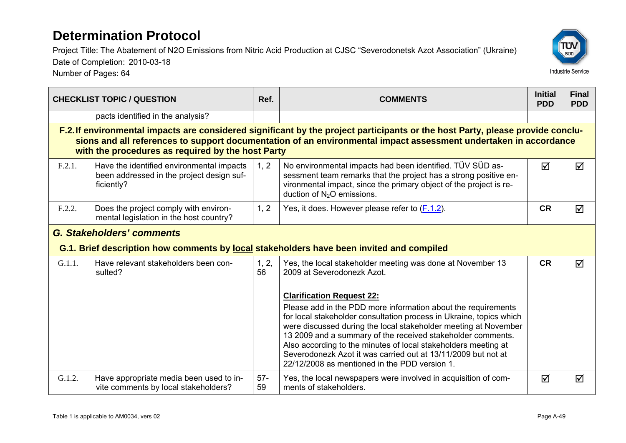Project Title: The Abatement of N2O Emissions from Nitric Acid Production at CJSC "Severodonetsk Azot Association" (Ukraine)



Date of Completion: 2010-03-18 Number of Pages: 64

| <b>CHECKLIST TOPIC / QUESTION</b> |                                                                                                      | Ref.        | <b>COMMENTS</b>                                                                                                                                                                                                                                                                                                                                                                                                                                                                                |           | <b>Final</b><br><b>PDD</b> |
|-----------------------------------|------------------------------------------------------------------------------------------------------|-------------|------------------------------------------------------------------------------------------------------------------------------------------------------------------------------------------------------------------------------------------------------------------------------------------------------------------------------------------------------------------------------------------------------------------------------------------------------------------------------------------------|-----------|----------------------------|
|                                   | pacts identified in the analysis?                                                                    |             |                                                                                                                                                                                                                                                                                                                                                                                                                                                                                                |           |                            |
|                                   | with the procedures as required by the host Party                                                    |             | F.2. If environmental impacts are considered significant by the project participants or the host Party, please provide conclu-<br>sions and all references to support documentation of an environmental impact assessment undertaken in accordance                                                                                                                                                                                                                                             |           |                            |
| F.2.1.                            | Have the identified environmental impacts<br>been addressed in the project design suf-<br>ficiently? | 1, 2        | No environmental impacts had been identified. TÜV SÜD as-<br>sessment team remarks that the project has a strong positive en-<br>vironmental impact, since the primary object of the project is re-<br>duction of $N_2O$ emissions.                                                                                                                                                                                                                                                            | ☑         | ☑                          |
| F.2.2.                            | Does the project comply with environ-<br>mental legislation in the host country?                     | 1, 2        | Yes, it does. However please refer to (F.1.2).                                                                                                                                                                                                                                                                                                                                                                                                                                                 | <b>CR</b> | ☑                          |
|                                   | <b>G. Stakeholders' comments</b>                                                                     |             |                                                                                                                                                                                                                                                                                                                                                                                                                                                                                                |           |                            |
|                                   |                                                                                                      |             | G.1. Brief description how comments by local stakeholders have been invited and compiled                                                                                                                                                                                                                                                                                                                                                                                                       |           |                            |
| G.1.1.                            | Have relevant stakeholders been con-<br>sulted?                                                      | 1, 2,<br>56 | Yes, the local stakeholder meeting was done at November 13<br>2009 at Severodonezk Azot.                                                                                                                                                                                                                                                                                                                                                                                                       | <b>CR</b> | ☑                          |
|                                   |                                                                                                      |             | <b>Clarification Request 22:</b><br>Please add in the PDD more information about the requirements<br>for local stakeholder consultation process in Ukraine, topics which<br>were discussed during the local stakeholder meeting at November<br>13 2009 and a summary of the received stakeholder comments.<br>Also according to the minutes of local stakeholders meeting at<br>Severodonezk Azot it was carried out at 13/11/2009 but not at<br>22/12/2008 as mentioned in the PDD version 1. |           |                            |
| G.1.2.                            | Have appropriate media been used to in-<br>vite comments by local stakeholders?                      | $57-$<br>59 | Yes, the local newspapers were involved in acquisition of com-<br>ments of stakeholders.                                                                                                                                                                                                                                                                                                                                                                                                       | ☑         | ☑                          |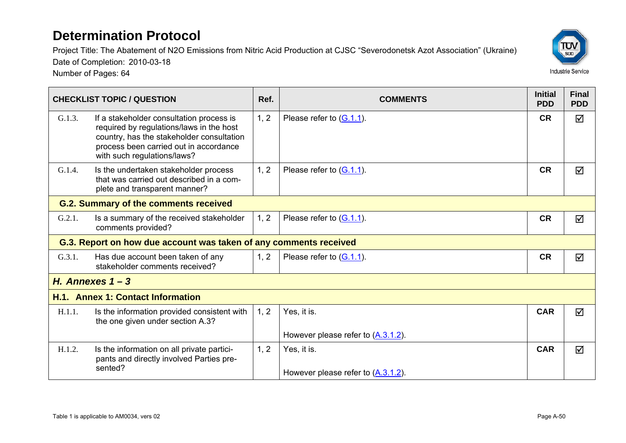Project Title: The Abatement of N2O Emissions from Nitric Acid Production at CJSC "Severodonetsk Azot Association" (Ukraine) Date of Completion: 2010-03-18



|        | <b>CHECKLIST TOPIC / QUESTION</b>                                                                                                                                                                          | Ref. | <b>COMMENTS</b>                                   | <b>Initial</b><br><b>PDD</b> | <b>Final</b><br><b>PDD</b> |  |
|--------|------------------------------------------------------------------------------------------------------------------------------------------------------------------------------------------------------------|------|---------------------------------------------------|------------------------------|----------------------------|--|
| G.1.3. | If a stakeholder consultation process is<br>required by regulations/laws in the host<br>country, has the stakeholder consultation<br>process been carried out in accordance<br>with such regulations/laws? | 1, 2 | Please refer to $(G.1.1)$ .                       | <b>CR</b>                    | ☑                          |  |
| G.1.4. | Is the undertaken stakeholder process<br>that was carried out described in a com-<br>plete and transparent manner?                                                                                         | 1, 2 | Please refer to $(G.1.1)$ .                       | <b>CR</b>                    | ☑                          |  |
|        | <b>G.2. Summary of the comments received</b>                                                                                                                                                               |      |                                                   |                              |                            |  |
| G.2.1. | Is a summary of the received stakeholder<br>comments provided?                                                                                                                                             | 1, 2 | Please refer to $(G.1.1)$ .                       | <b>CR</b>                    | ☑                          |  |
|        | G.3. Report on how due account was taken of any comments received                                                                                                                                          |      |                                                   |                              |                            |  |
| G.3.1. | Has due account been taken of any<br>stakeholder comments received?                                                                                                                                        | 1, 2 | Please refer to $(G.1.1)$ .                       | <b>CR</b>                    | ☑                          |  |
|        | H. Annexes $1 - 3$                                                                                                                                                                                         |      |                                                   |                              |                            |  |
|        | H.1. Annex 1: Contact Information                                                                                                                                                                          |      |                                                   |                              |                            |  |
| H.1.1. | Is the information provided consistent with<br>the one given under section A.3?                                                                                                                            | 1, 2 | Yes, it is.                                       | <b>CAR</b>                   | $\blacktriangledown$       |  |
|        |                                                                                                                                                                                                            |      | However please refer to $(\underline{A.3.1.2})$ . |                              |                            |  |
| H.1.2. | Is the information on all private partici-<br>pants and directly involved Parties pre-<br>sented?                                                                                                          | 1, 2 | Yes, it is.                                       | <b>CAR</b>                   | $\blacktriangledown$       |  |
|        |                                                                                                                                                                                                            |      | However please refer to $(A.3.1.2)$ .             |                              |                            |  |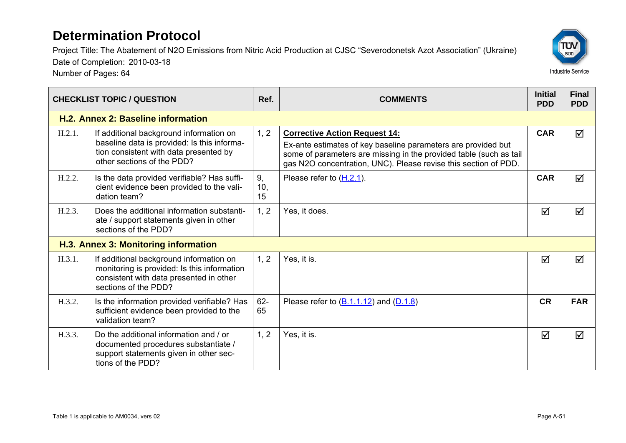Project Title: The Abatement of N2O Emissions from Nitric Acid Production at CJSC "Severodonetsk Azot Association" (Ukraine)

Date of Completion: 2010-03-18

| <b>CHECKLIST TOPIC / QUESTION</b>    |                                                                                                                                                                | Ref.            | <b>COMMENTS</b>                                                                                                                                                                                                                                | <b>Initial</b><br><b>PDD</b> | <b>Final</b><br><b>PDD</b> |
|--------------------------------------|----------------------------------------------------------------------------------------------------------------------------------------------------------------|-----------------|------------------------------------------------------------------------------------------------------------------------------------------------------------------------------------------------------------------------------------------------|------------------------------|----------------------------|
|                                      | H.2. Annex 2: Baseline information                                                                                                                             |                 |                                                                                                                                                                                                                                                |                              |                            |
| H.2.1.                               | If additional background information on<br>baseline data is provided: Is this informa-<br>tion consistent with data presented by<br>other sections of the PDD? | 1, 2            | <b>Corrective Action Request 14:</b><br>Ex-ante estimates of key baseline parameters are provided but<br>some of parameters are missing in the provided table (such as tail<br>gas N2O concentration, UNC). Please revise this section of PDD. | <b>CAR</b>                   | ☑                          |
| H.2.2.                               | Is the data provided verifiable? Has suffi-<br>cient evidence been provided to the vali-<br>dation team?                                                       | 9,<br>10,<br>15 | Please refer to $(H.2.1)$ .                                                                                                                                                                                                                    | <b>CAR</b>                   | ☑                          |
| H.2.3.                               | Does the additional information substanti-<br>ate / support statements given in other<br>sections of the PDD?                                                  | 1, 2            | Yes, it does.                                                                                                                                                                                                                                  | ☑                            | ☑                          |
| H.3. Annex 3: Monitoring information |                                                                                                                                                                |                 |                                                                                                                                                                                                                                                |                              |                            |
| H.3.1.                               | If additional background information on<br>monitoring is provided: Is this information<br>consistent with data presented in other<br>sections of the PDD?      | 1, 2            | Yes, it is.                                                                                                                                                                                                                                    | ☑                            | $\blacktriangledown$       |
| H.3.2.                               | Is the information provided verifiable? Has<br>sufficient evidence been provided to the<br>validation team?                                                    | $62 -$<br>65    | Please refer to $(\underline{B.1.1.12})$ and $(\underline{D.1.8})$                                                                                                                                                                             | <b>CR</b>                    | <b>FAR</b>                 |
| H.3.3.                               | Do the additional information and / or<br>documented procedures substantiate /<br>support statements given in other sec-<br>tions of the PDD?                  | 1, 2            | Yes, it is.                                                                                                                                                                                                                                    | ☑                            | ☑                          |

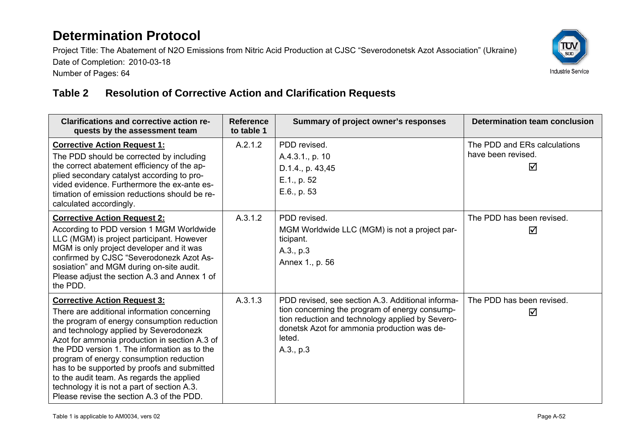Project Title: The Abatement of N2O Emissions from Nitric Acid Production at CJSC "Severodonetsk Azot Association" (Ukraine) Date of Completion: 2010-03-18 Number of Pages: 64



#### **Table 2 Resolution of Corrective Action and Clarification Requests**

| <b>Clarifications and corrective action re-</b><br>quests by the assessment team                                                                                                                                                                                                                                                                                                                                                                                                                                | <b>Reference</b><br>to table 1 | Summary of project owner's responses                                                                                                                                                                                          | <b>Determination team conclusion</b>                    |
|-----------------------------------------------------------------------------------------------------------------------------------------------------------------------------------------------------------------------------------------------------------------------------------------------------------------------------------------------------------------------------------------------------------------------------------------------------------------------------------------------------------------|--------------------------------|-------------------------------------------------------------------------------------------------------------------------------------------------------------------------------------------------------------------------------|---------------------------------------------------------|
| <b>Corrective Action Request 1:</b><br>The PDD should be corrected by including<br>the correct abatement efficiency of the ap-<br>plied secondary catalyst according to pro-<br>vided evidence. Furthermore the ex-ante es-<br>timation of emission reductions should be re-<br>calculated accordingly.                                                                                                                                                                                                         | A.2.1.2                        | PDD revised.<br>A.4.3.1., p. 10<br>D.1.4., p. 43,45<br>E.1., p. 52<br>E.6., p. 53                                                                                                                                             | The PDD and ERs calculations<br>have been revised.<br>☑ |
| <b>Corrective Action Request 2:</b><br>According to PDD version 1 MGM Worldwide<br>LLC (MGM) is project participant. However<br>MGM is only project developer and it was<br>confirmed by CJSC "Severodonezk Azot As-<br>sosiation" and MGM during on-site audit.<br>Please adjust the section A.3 and Annex 1 of<br>the PDD.                                                                                                                                                                                    | A.3.1.2                        | PDD revised.<br>MGM Worldwide LLC (MGM) is not a project par-<br>ticipant.<br>A.3., p.3<br>Annex 1., p. 56                                                                                                                    | The PDD has been revised.<br>☑                          |
| <b>Corrective Action Request 3:</b><br>There are additional information concerning<br>the program of energy consumption reduction<br>and technology applied by Severodonezk<br>Azot for ammonia production in section A.3 of<br>the PDD version 1. The information as to the<br>program of energy consumption reduction<br>has to be supported by proofs and submitted<br>to the audit team. As regards the applied<br>technology it is not a part of section A.3.<br>Please revise the section A.3 of the PDD. | A.3.1.3                        | PDD revised, see section A.3. Additional informa-<br>tion concerning the program of energy consump-<br>tion reduction and technology applied by Severo-<br>donetsk Azot for ammonia production was de-<br>leted.<br>A.3., p.3 | The PDD has been revised.<br>☑                          |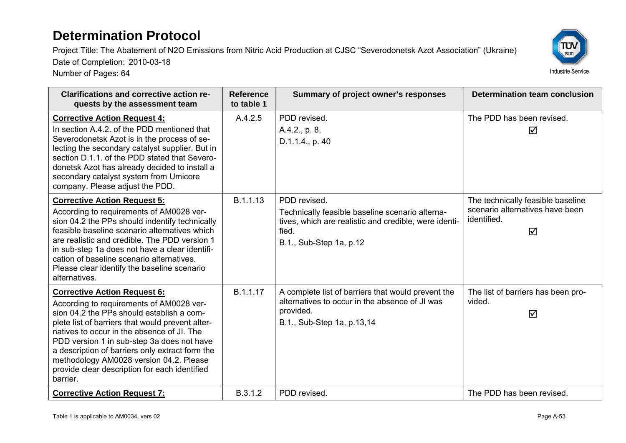Project Title: The Abatement of N2O Emissions from Nitric Acid Production at CJSC "Severodonetsk Azot Association" (Ukraine)

Date of Completion: 2010-03-18

| <b>Clarifications and corrective action re-</b><br>quests by the assessment team                                                                                                                                                                                                                                                                                                                                                        | <b>Reference</b><br>to table 1 | Summary of project owner's responses                                                                                                                         | <b>Determination team conclusion</b>                                                     |
|-----------------------------------------------------------------------------------------------------------------------------------------------------------------------------------------------------------------------------------------------------------------------------------------------------------------------------------------------------------------------------------------------------------------------------------------|--------------------------------|--------------------------------------------------------------------------------------------------------------------------------------------------------------|------------------------------------------------------------------------------------------|
| <b>Corrective Action Request 4:</b><br>In section A.4.2, of the PDD mentioned that<br>Severodonetsk Azot is in the process of se-<br>lecting the secondary catalyst supplier. But in<br>section D.1.1, of the PDD stated that Severo-<br>donetsk Azot has already decided to install a<br>secondary catalyst system from Umicore<br>company. Please adjust the PDD.                                                                     | A.4.2.5                        | PDD revised.<br>A.4.2., p. 8,<br>D.1.1.4., p. 40                                                                                                             | The PDD has been revised.<br>☑                                                           |
| <b>Corrective Action Request 5:</b><br>According to requirements of AM0028 ver-<br>sion 04.2 the PPs should indentify technically<br>feasible baseline scenario alternatives which<br>are realistic and credible. The PDD version 1<br>in sub-step 1a does not have a clear identifi-<br>cation of baseline scenario alternatives.<br>Please clear identify the baseline scenario<br>alternatives.                                      | B.1.1.13                       | PDD revised.<br>Technically feasible baseline scenario alterna-<br>tives, which are realistic and credible, were identi-<br>fied.<br>B.1., Sub-Step 1a, p.12 | The technically feasible baseline<br>scenario alternatives have been<br>identified.<br>☑ |
| <b>Corrective Action Request 6:</b><br>According to requirements of AM0028 ver-<br>sion 04.2 the PPs should establish a com-<br>plete list of barriers that would prevent alter-<br>natives to occur in the absence of JI. The<br>PDD version 1 in sub-step 3a does not have<br>a description of barriers only extract form the<br>methodology AM0028 version 04.2. Please<br>provide clear description for each identified<br>barrier. | B.1.1.17                       | A complete list of barriers that would prevent the<br>alternatives to occur in the absence of JI was<br>provided.<br>B.1., Sub-Step 1a, p.13,14              | The list of barriers has been pro-<br>vided.<br>☑                                        |
| <b>Corrective Action Request 7:</b>                                                                                                                                                                                                                                                                                                                                                                                                     | B.3.1.2                        | PDD revised.                                                                                                                                                 | The PDD has been revised.                                                                |

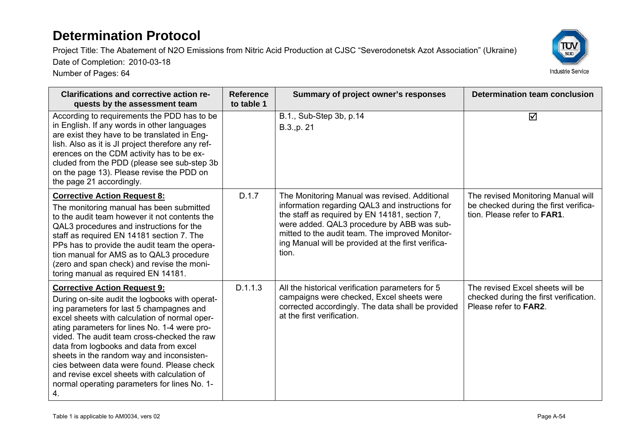Project Title: The Abatement of N2O Emissions from Nitric Acid Production at CJSC "Severodonetsk Azot Association" (Ukraine)

Date of Completion: 2010-03-18



| <b>Clarifications and corrective action re-</b><br>quests by the assessment team                                                                                                                                                                                                                                                                                                                                                                                                                                      | <b>Reference</b><br>to table 1 | Summary of project owner's responses                                                                                                                                                                                                                                                                              | <b>Determination team conclusion</b>                                                                               |
|-----------------------------------------------------------------------------------------------------------------------------------------------------------------------------------------------------------------------------------------------------------------------------------------------------------------------------------------------------------------------------------------------------------------------------------------------------------------------------------------------------------------------|--------------------------------|-------------------------------------------------------------------------------------------------------------------------------------------------------------------------------------------------------------------------------------------------------------------------------------------------------------------|--------------------------------------------------------------------------------------------------------------------|
| According to requirements the PDD has to be<br>in English. If any words in other languages<br>are exist they have to be translated in Eng-<br>lish. Also as it is JI project therefore any ref-<br>erences on the CDM activity has to be ex-<br>cluded from the PDD (please see sub-step 3b)<br>on the page 13). Please revise the PDD on<br>the page 21 accordingly.                                                                                                                                                 |                                | B.1., Sub-Step 3b, p.14<br>B.3., p. 21                                                                                                                                                                                                                                                                            | ☑                                                                                                                  |
| <b>Corrective Action Request 8:</b><br>The monitoring manual has been submitted<br>to the audit team however it not contents the<br>QAL3 procedures and instructions for the<br>staff as required EN 14181 section 7. The<br>PPs has to provide the audit team the opera-<br>tion manual for AMS as to QAL3 procedure<br>(zero and span check) and revise the moni-<br>toring manual as required EN 14181.                                                                                                            | D.1.7                          | The Monitoring Manual was revised. Additional<br>information regarding QAL3 and instructions for<br>the staff as required by EN 14181, section 7,<br>were added. QAL3 procedure by ABB was sub-<br>mitted to the audit team. The improved Monitor-<br>ing Manual will be provided at the first verifica-<br>tion. | The revised Monitoring Manual will<br>be checked during the first verifica-<br>tion. Please refer to <b>FAR1</b> . |
| <b>Corrective Action Request 9:</b><br>During on-site audit the logbooks with operat-<br>ing parameters for last 5 champagnes and<br>excel sheets with calculation of normal oper-<br>ating parameters for lines No. 1-4 were pro-<br>vided. The audit team cross-checked the raw<br>data from logbooks and data from excel<br>sheets in the random way and inconsisten-<br>cies between data were found. Please check<br>and revise excel sheets with calculation of<br>normal operating parameters for lines No. 1- | D.1.1.3                        | All the historical verification parameters for 5<br>campaigns were checked, Excel sheets were<br>corrected accordingly. The data shall be provided<br>at the first verification.                                                                                                                                  | The revised Excel sheets will be<br>checked during the first verification.<br>Please refer to <b>FAR2</b> .        |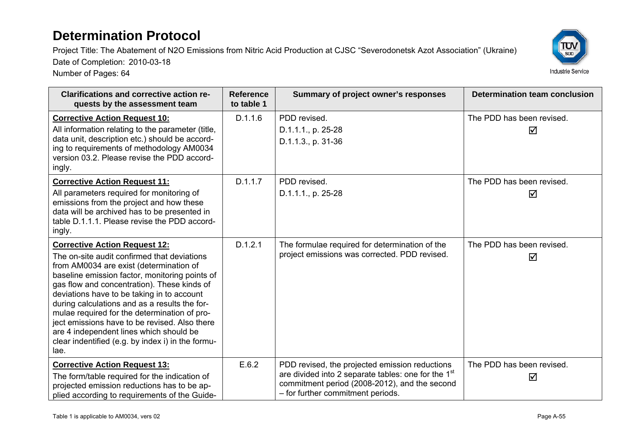Project Title: The Abatement of N2O Emissions from Nitric Acid Production at CJSC "Severodonetsk Azot Association" (Ukraine)

Date of Completion: 2010-03-18



| <b>Clarifications and corrective action re-</b><br><b>Reference</b><br>to table 1<br>quests by the assessment team                                                                                                                                                                                                                                                                                                                                                                                                                      |         | Summary of project owner's responses                                                                                                                                                                    | <b>Determination team conclusion</b> |  |  |
|-----------------------------------------------------------------------------------------------------------------------------------------------------------------------------------------------------------------------------------------------------------------------------------------------------------------------------------------------------------------------------------------------------------------------------------------------------------------------------------------------------------------------------------------|---------|---------------------------------------------------------------------------------------------------------------------------------------------------------------------------------------------------------|--------------------------------------|--|--|
| <b>Corrective Action Request 10:</b><br>All information relating to the parameter (title,<br>data unit, description etc.) should be accord-<br>ing to requirements of methodology AM0034<br>version 03.2. Please revise the PDD accord-<br>ingly.                                                                                                                                                                                                                                                                                       | D.1.1.6 | PDD revised.<br>D.1.1.1., p. 25-28<br>D.1.1.3., p. 31-36                                                                                                                                                | The PDD has been revised.<br>☑       |  |  |
| <b>Corrective Action Request 11:</b><br>All parameters required for monitoring of<br>emissions from the project and how these<br>data will be archived has to be presented in<br>table D.1.1.1. Please revise the PDD accord-<br>ingly.                                                                                                                                                                                                                                                                                                 | D.1.1.7 | PDD revised.<br>D.1.1.1., p. 25-28                                                                                                                                                                      | The PDD has been revised.<br>☑       |  |  |
| <b>Corrective Action Request 12:</b><br>The on-site audit confirmed that deviations<br>from AM0034 are exist (determination of<br>baseline emission factor, monitoring points of<br>gas flow and concentration). These kinds of<br>deviations have to be taking in to account<br>during calculations and as a results the for-<br>mulae required for the determination of pro-<br>ject emissions have to be revised. Also there<br>are 4 independent lines which should be<br>clear indentified (e.g. by index i) in the formu-<br>lae. | D.1.2.1 | The formulae required for determination of the<br>project emissions was corrected. PDD revised.                                                                                                         | The PDD has been revised.<br>☑       |  |  |
| <b>Corrective Action Request 13:</b><br>The form/table required for the indication of<br>projected emission reductions has to be ap-<br>plied according to requirements of the Guide-                                                                                                                                                                                                                                                                                                                                                   | E.6.2   | PDD revised, the projected emission reductions<br>are divided into 2 separate tables: one for the 1 <sup>st</sup><br>commitment period (2008-2012), and the second<br>- for further commitment periods. | The PDD has been revised.<br>☑       |  |  |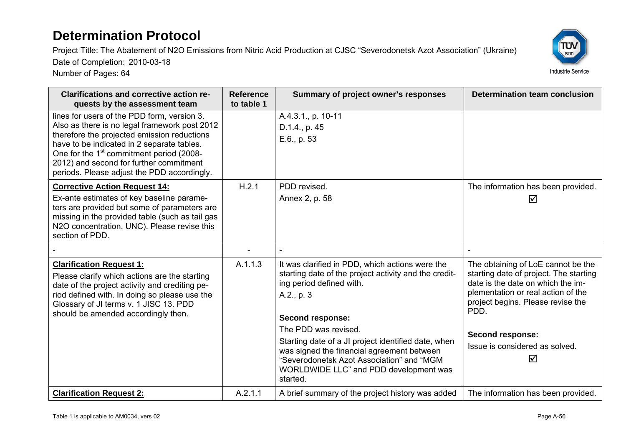Project Title: The Abatement of N2O Emissions from Nitric Acid Production at CJSC "Severodonetsk Azot Association" (Ukraine)

Date of Completion: 2010-03-18



| <b>Clarifications and corrective action re-</b><br>quests by the assessment team                                                                                                                                                                                                                                                            | <b>Reference</b><br>to table 1 | Summary of project owner's responses                                                                                                                                                                                         | <b>Determination team conclusion</b>                                                                                                                                                                 |
|---------------------------------------------------------------------------------------------------------------------------------------------------------------------------------------------------------------------------------------------------------------------------------------------------------------------------------------------|--------------------------------|------------------------------------------------------------------------------------------------------------------------------------------------------------------------------------------------------------------------------|------------------------------------------------------------------------------------------------------------------------------------------------------------------------------------------------------|
| lines for users of the PDD form, version 3.<br>Also as there is no legal framework post 2012<br>therefore the projected emission reductions<br>have to be indicated in 2 separate tables.<br>One for the 1 <sup>st</sup> commitment period (2008-<br>2012) and second for further commitment<br>periods. Please adjust the PDD accordingly. |                                | A.4.3.1., p. 10-11<br>D.1.4., p. 45<br>E.6., p. 53                                                                                                                                                                           |                                                                                                                                                                                                      |
| <b>Corrective Action Request 14:</b><br>Ex-ante estimates of key baseline parame-<br>ters are provided but some of parameters are<br>missing in the provided table (such as tail gas<br>N2O concentration, UNC). Please revise this<br>section of PDD.                                                                                      | H.2.1                          | PDD revised.<br>Annex 2, p. 58                                                                                                                                                                                               | The information has been provided.<br>☑                                                                                                                                                              |
|                                                                                                                                                                                                                                                                                                                                             |                                |                                                                                                                                                                                                                              |                                                                                                                                                                                                      |
| <b>Clarification Request 1:</b><br>Please clarify which actions are the starting<br>date of the project activity and crediting pe-<br>riod defined with. In doing so please use the<br>Glossary of JI terms v. 1 JISC 13. PDD<br>should be amended accordingly then.                                                                        | A.1.1.3                        | It was clarified in PDD, which actions were the<br>starting date of the project activity and the credit-<br>ing period defined with.<br>A.2., p. 3<br><b>Second response:</b>                                                | The obtaining of LoE cannot be the<br>starting date of project. The starting<br>date is the date on which the im-<br>plementation or real action of the<br>project begins. Please revise the<br>PDD. |
|                                                                                                                                                                                                                                                                                                                                             |                                | The PDD was revised.<br>Starting date of a JI project identified date, when<br>was signed the financial agreement between<br>"Severodonetsk Azot Association" and "MGM<br>WORLDWIDE LLC" and PDD development was<br>started. | Second response:<br>Issue is considered as solved.<br>☑                                                                                                                                              |
| <b>Clarification Request 2:</b>                                                                                                                                                                                                                                                                                                             | A.2.1.1                        | A brief summary of the project history was added                                                                                                                                                                             | The information has been provided.                                                                                                                                                                   |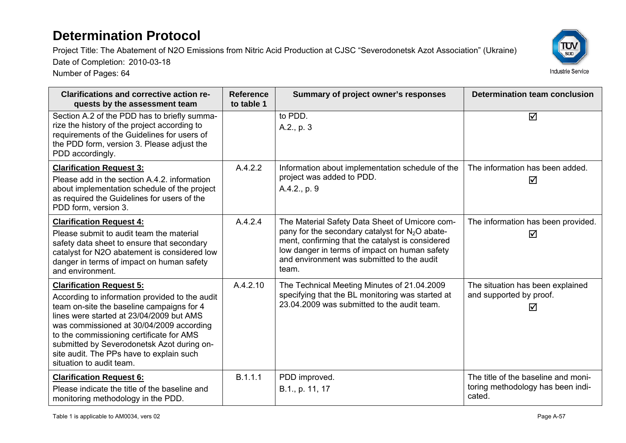Project Title: The Abatement of N2O Emissions from Nitric Acid Production at CJSC "Severodonetsk Azot Association" (Ukraine)



Date of Completion: 2010-03-18

| <b>Clarifications and corrective action re-</b><br>quests by the assessment team                                                                                                                                                                                                                                                                                                         | <b>Reference</b><br>to table 1 | Summary of project owner's responses                                                                                                                                                                                                                            | <b>Determination team conclusion</b>                                               |
|------------------------------------------------------------------------------------------------------------------------------------------------------------------------------------------------------------------------------------------------------------------------------------------------------------------------------------------------------------------------------------------|--------------------------------|-----------------------------------------------------------------------------------------------------------------------------------------------------------------------------------------------------------------------------------------------------------------|------------------------------------------------------------------------------------|
| Section A.2 of the PDD has to briefly summa-<br>rize the history of the project according to<br>requirements of the Guidelines for users of<br>the PDD form, version 3. Please adjust the<br>PDD accordingly.                                                                                                                                                                            |                                | to PDD.<br>A.2., p. 3                                                                                                                                                                                                                                           | ☑                                                                                  |
| <b>Clarification Request 3:</b><br>Please add in the section A.4.2. information<br>about implementation schedule of the project<br>as required the Guidelines for users of the<br>PDD form, version 3.                                                                                                                                                                                   | A.4.2.2                        | Information about implementation schedule of the<br>project was added to PDD.<br>A.4.2., p. 9                                                                                                                                                                   | The information has been added.<br>☑                                               |
| <b>Clarification Request 4:</b><br>Please submit to audit team the material<br>safety data sheet to ensure that secondary<br>catalyst for N2O abatement is considered low<br>danger in terms of impact on human safety<br>and environment.                                                                                                                                               | A.4.2.4                        | The Material Safety Data Sheet of Umicore com-<br>pany for the secondary catalyst for $N_2O$ abate-<br>ment, confirming that the catalyst is considered<br>low danger in terms of impact on human safety<br>and environment was submitted to the audit<br>team. | The information has been provided.<br>☑                                            |
| <b>Clarification Request 5:</b><br>According to information provided to the audit<br>team on-site the baseline campaigns for 4<br>lines were started at 23/04/2009 but AMS<br>was commissioned at 30/04/2009 according<br>to the commissioning certificate for AMS<br>submitted by Severodonetsk Azot during on-<br>site audit. The PPs have to explain such<br>situation to audit team. | A.4.2.10                       | The Technical Meeting Minutes of 21.04.2009<br>specifying that the BL monitoring was started at<br>23.04.2009 was submitted to the audit team.                                                                                                                  | The situation has been explained<br>and supported by proof.<br>☑                   |
| <b>Clarification Request 6:</b><br>Please indicate the title of the baseline and<br>monitoring methodology in the PDD.                                                                                                                                                                                                                                                                   | B.1.1.1                        | PDD improved.<br>B.1., p. 11, 17                                                                                                                                                                                                                                | The title of the baseline and moni-<br>toring methodology has been indi-<br>cated. |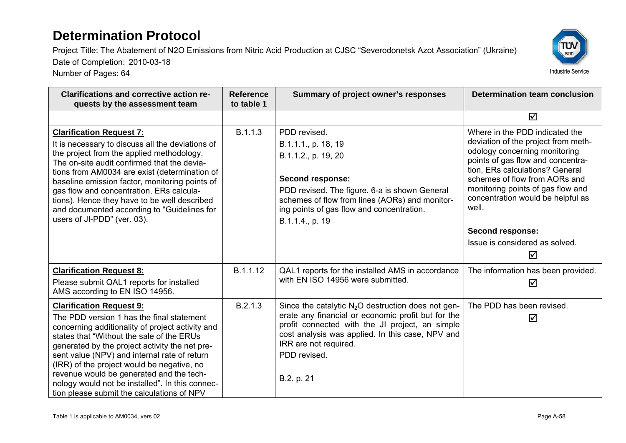Project Title: The Abatement of N2O Emissions from Nitric Acid Production at CJSC "Severodonetsk Azot Association" (Ukraine)

Date of Completion: 2010-03-18



| <b>Clarifications and corrective action re-</b><br>quests by the assessment team                                                                                                                                                                                                                                                                                                                                                                                           | <b>Reference</b><br>to table 1 | Summary of project owner's responses                                                                                                                                                                                                                                     | <b>Determination team conclusion</b>                                                                                                                                                                                                                                                                                                                                 |
|----------------------------------------------------------------------------------------------------------------------------------------------------------------------------------------------------------------------------------------------------------------------------------------------------------------------------------------------------------------------------------------------------------------------------------------------------------------------------|--------------------------------|--------------------------------------------------------------------------------------------------------------------------------------------------------------------------------------------------------------------------------------------------------------------------|----------------------------------------------------------------------------------------------------------------------------------------------------------------------------------------------------------------------------------------------------------------------------------------------------------------------------------------------------------------------|
|                                                                                                                                                                                                                                                                                                                                                                                                                                                                            |                                |                                                                                                                                                                                                                                                                          | ☑                                                                                                                                                                                                                                                                                                                                                                    |
| <b>Clarification Request 7:</b><br>It is necessary to discuss all the deviations of<br>the project from the applied methodology.<br>The on-site audit confirmed that the devia-<br>tions from AM0034 are exist (determination of<br>baseline emission factor, monitoring points of<br>gas flow and concentration, ERs calcula-<br>tions). Hence they have to be well described<br>and documented according to "Guidelines for<br>users of JI-PDD" (ver. 03).               | B.1.1.3                        | PDD revised.<br>B.1.1.1., p. 18, 19<br>B.1.1.2., p. 19, 20<br><b>Second response:</b><br>PDD revised. The figure. 6-a is shown General<br>schemes of flow from lines (AORs) and monitor-<br>ing points of gas flow and concentration.<br>B.1.1.4., p. 19                 | Where in the PDD indicated the<br>deviation of the project from meth-<br>odology concerning monitoring<br>points of gas flow and concentra-<br>tion, ERs calculations? General<br>schemes of flow from AORs and<br>monitoring points of gas flow and<br>concentration would be helpful as<br>well.<br><b>Second response:</b><br>Issue is considered as solved.<br>☑ |
| <b>Clarification Request 8:</b><br>Please submit QAL1 reports for installed<br>AMS according to EN ISO 14956.                                                                                                                                                                                                                                                                                                                                                              | B.1.1.12                       | QAL1 reports for the installed AMS in accordance<br>with EN ISO 14956 were submitted.                                                                                                                                                                                    | The information has been provided.<br>☑                                                                                                                                                                                                                                                                                                                              |
| <b>Clarification Request 9:</b><br>The PDD version 1 has the final statement<br>concerning additionality of project activity and<br>states that "Without the sale of the ERUs<br>generated by the project activity the net pre-<br>sent value (NPV) and internal rate of return<br>(IRR) of the project would be negative, no<br>revenue would be generated and the tech-<br>nology would not be installed". In this connec-<br>tion please submit the calculations of NPV | B.2.1.3                        | Since the catalytic $N_2O$ destruction does not gen-<br>erate any financial or economic profit but for the<br>profit connected with the JI project, an simple<br>cost analysis was applied. In this case, NPV and<br>IRR are not required.<br>PDD revised.<br>B.2. p. 21 | The PDD has been revised.<br>☑                                                                                                                                                                                                                                                                                                                                       |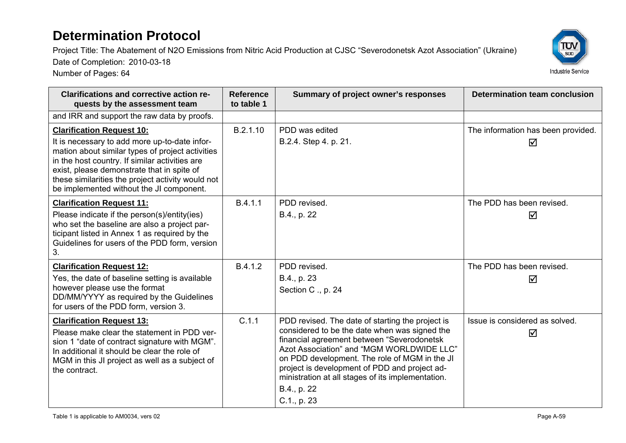Project Title: The Abatement of N2O Emissions from Nitric Acid Production at CJSC "Severodonetsk Azot Association" (Ukraine)

Date of Completion: 2010-03-18



| <b>Clarifications and corrective action re-</b><br>quests by the assessment team                                                                                                                                                                    | <b>Reference</b><br>to table 1 | Summary of project owner's responses                                                                                                                                                                                                                                                                                                                                              | Determination team conclusion           |
|-----------------------------------------------------------------------------------------------------------------------------------------------------------------------------------------------------------------------------------------------------|--------------------------------|-----------------------------------------------------------------------------------------------------------------------------------------------------------------------------------------------------------------------------------------------------------------------------------------------------------------------------------------------------------------------------------|-----------------------------------------|
| and IRR and support the raw data by proofs.                                                                                                                                                                                                         |                                |                                                                                                                                                                                                                                                                                                                                                                                   |                                         |
| <b>Clarification Request 10:</b><br>It is necessary to add more up-to-date infor-<br>mation about similar types of project activities<br>in the host country. If similar activities are                                                             | B.2.1.10                       | PDD was edited<br>B.2.4. Step 4. p. 21.                                                                                                                                                                                                                                                                                                                                           | The information has been provided.<br>☑ |
| exist, please demonstrate that in spite of<br>these similarities the project activity would not<br>be implemented without the JI component.                                                                                                         |                                |                                                                                                                                                                                                                                                                                                                                                                                   |                                         |
| <b>Clarification Request 11:</b><br>Please indicate if the person(s)/entity(ies)<br>who set the baseline are also a project par-<br>ticipant listed in Annex 1 as required by the<br>Guidelines for users of the PDD form, version<br>3.            | B.4.1.1                        | PDD revised.<br>B.4., p. 22                                                                                                                                                                                                                                                                                                                                                       | The PDD has been revised.<br>☑          |
| <b>Clarification Request 12:</b><br>Yes, the date of baseline setting is available<br>however please use the format<br>DD/MM/YYYY as required by the Guidelines<br>for users of the PDD form, version 3.                                            | B.4.1.2                        | PDD revised.<br>B.4., p. 23<br>Section C., p. 24                                                                                                                                                                                                                                                                                                                                  | The PDD has been revised.<br>☑          |
| <b>Clarification Request 13:</b><br>Please make clear the statement in PDD ver-<br>sion 1 "date of contract signature with MGM".<br>In additional it should be clear the role of<br>MGM in this JI project as well as a subject of<br>the contract. | C.1.1                          | PDD revised. The date of starting the project is<br>considered to be the date when was signed the<br>financial agreement between "Severodonetsk<br>Azot Association" and "MGM WORLDWIDE LLC"<br>on PDD development. The role of MGM in the JI<br>project is development of PDD and project ad-<br>ministration at all stages of its implementation.<br>B.4., p. 22<br>C.1., p. 23 | Issue is considered as solved.<br>☑     |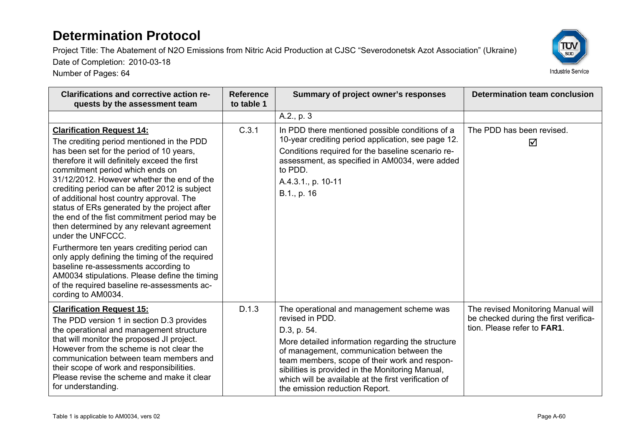Project Title: The Abatement of N2O Emissions from Nitric Acid Production at CJSC "Severodonetsk Azot Association" (Ukraine)

Date of Completion: 2010-03-18



| <b>Clarifications and corrective action re-</b><br>quests by the assessment team                                                                                                                                                                                                                                                                                                                                                                                                                                                                                                                                                                                                                                                                                                         | <b>Reference</b><br>to table 1 | Summary of project owner's responses                                                                                                                                                                                                                                                                                                                                        | <b>Determination team conclusion</b>                                                                               |
|------------------------------------------------------------------------------------------------------------------------------------------------------------------------------------------------------------------------------------------------------------------------------------------------------------------------------------------------------------------------------------------------------------------------------------------------------------------------------------------------------------------------------------------------------------------------------------------------------------------------------------------------------------------------------------------------------------------------------------------------------------------------------------------|--------------------------------|-----------------------------------------------------------------------------------------------------------------------------------------------------------------------------------------------------------------------------------------------------------------------------------------------------------------------------------------------------------------------------|--------------------------------------------------------------------------------------------------------------------|
|                                                                                                                                                                                                                                                                                                                                                                                                                                                                                                                                                                                                                                                                                                                                                                                          |                                | A.2., p. 3                                                                                                                                                                                                                                                                                                                                                                  |                                                                                                                    |
| <b>Clarification Request 14:</b><br>The crediting period mentioned in the PDD<br>has been set for the period of 10 years,<br>therefore it will definitely exceed the first<br>commitment period which ends on<br>31/12/2012. However whether the end of the<br>crediting period can be after 2012 is subject<br>of additional host country approval. The<br>status of ERs generated by the project after<br>the end of the fist commitment period may be<br>then determined by any relevant agreement<br>under the UNFCCC.<br>Furthermore ten years crediting period can<br>only apply defining the timing of the required<br>baseline re-assessments according to<br>AM0034 stipulations. Please define the timing<br>of the required baseline re-assessments ac-<br>cording to AM0034. | C.3.1                          | In PDD there mentioned possible conditions of a<br>10-year crediting period application, see page 12.<br>Conditions required for the baseline scenario re-<br>assessment, as specified in AM0034, were added<br>to PDD.<br>A.4.3.1., p. 10-11<br>B.1., p. 16                                                                                                                | The PDD has been revised.<br>☑                                                                                     |
| <b>Clarification Request 15:</b><br>The PDD version 1 in section D.3 provides<br>the operational and management structure<br>that will monitor the proposed JI project.<br>However from the scheme is not clear the<br>communication between team members and<br>their scope of work and responsibilities.<br>Please revise the scheme and make it clear<br>for understanding.                                                                                                                                                                                                                                                                                                                                                                                                           | D.1.3                          | The operational and management scheme was<br>revised in PDD.<br>D.3, p. 54.<br>More detailed information regarding the structure<br>of management, communication between the<br>team members, scope of their work and respon-<br>sibilities is provided in the Monitoring Manual,<br>which will be available at the first verification of<br>the emission reduction Report. | The revised Monitoring Manual will<br>be checked during the first verifica-<br>tion. Please refer to <b>FAR1</b> . |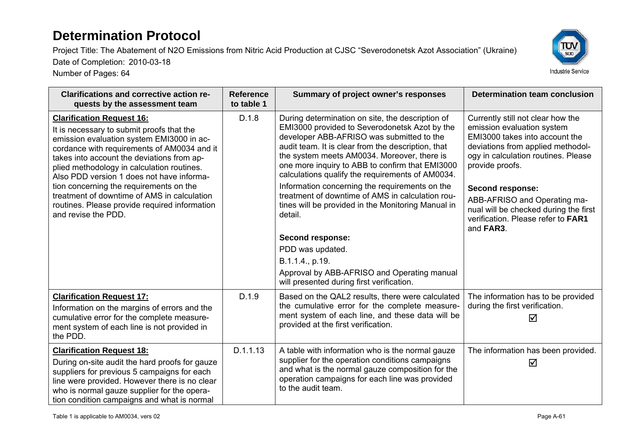Date of Completion: 2010-03-18

Number of Pages: 64

Project Title: The Abatement of N2O Emissions from Nitric Acid Production at CJSC "Severodonetsk Azot Association" (Ukraine)

ΤÜΝ  $\overline{\text{sub}}$ 



| <b>Clarifications and corrective action re-</b>                                                                                                                                                                                                                                                                    | <b>Reference</b> | Summary of project owner's responses                                                                                                                                                                                                                                                                                                                       | <b>Determination team conclusion</b>                                                                                                                                                             |
|--------------------------------------------------------------------------------------------------------------------------------------------------------------------------------------------------------------------------------------------------------------------------------------------------------------------|------------------|------------------------------------------------------------------------------------------------------------------------------------------------------------------------------------------------------------------------------------------------------------------------------------------------------------------------------------------------------------|--------------------------------------------------------------------------------------------------------------------------------------------------------------------------------------------------|
| quests by the assessment team                                                                                                                                                                                                                                                                                      | to table 1       |                                                                                                                                                                                                                                                                                                                                                            |                                                                                                                                                                                                  |
| <b>Clarification Request 16:</b><br>It is necessary to submit proofs that the<br>emission evaluation system EMI3000 in ac-<br>cordance with requirements of AM0034 and it<br>takes into account the deviations from ap-<br>plied methodology in calculation routines.<br>Also PDD version 1 does not have informa- | D.1.8            | During determination on site, the description of<br>EMI3000 provided to Severodonetsk Azot by the<br>developer ABB-AFRISO was submitted to the<br>audit team. It is clear from the description, that<br>the system meets AM0034. Moreover, there is<br>one more inquiry to ABB to confirm that EMI3000<br>calculations qualify the requirements of AM0034. | Currently still not clear how the<br>emission evaluation system<br>EMI3000 takes into account the<br>deviations from applied methodol-<br>ogy in calculation routines. Please<br>provide proofs. |
| tion concerning the requirements on the<br>treatment of downtime of AMS in calculation<br>routines. Please provide required information<br>and revise the PDD.                                                                                                                                                     |                  | Information concerning the requirements on the<br>treatment of downtime of AMS in calculation rou-<br>tines will be provided in the Monitoring Manual in<br>detail.                                                                                                                                                                                        | Second response:<br>ABB-AFRISO and Operating ma-<br>nual will be checked during the first<br>verification. Please refer to FAR1<br>and FAR3.                                                     |
|                                                                                                                                                                                                                                                                                                                    |                  | Second response:                                                                                                                                                                                                                                                                                                                                           |                                                                                                                                                                                                  |
|                                                                                                                                                                                                                                                                                                                    |                  | PDD was updated.                                                                                                                                                                                                                                                                                                                                           |                                                                                                                                                                                                  |
|                                                                                                                                                                                                                                                                                                                    |                  | B.1.1.4., p.19.                                                                                                                                                                                                                                                                                                                                            |                                                                                                                                                                                                  |
|                                                                                                                                                                                                                                                                                                                    |                  | Approval by ABB-AFRISO and Operating manual<br>will presented during first verification.                                                                                                                                                                                                                                                                   |                                                                                                                                                                                                  |
| <b>Clarification Request 17:</b><br>Information on the margins of errors and the<br>cumulative error for the complete measure-<br>ment system of each line is not provided in<br>the PDD.                                                                                                                          | D.1.9            | Based on the QAL2 results, there were calculated<br>the cumulative error for the complete measure-<br>ment system of each line, and these data will be<br>provided at the first verification.                                                                                                                                                              | The information has to be provided<br>during the first verification.<br>☑                                                                                                                        |
| <b>Clarification Request 18:</b><br>During on-site audit the hard proofs for gauze<br>suppliers for previous 5 campaigns for each<br>line were provided. However there is no clear<br>who is normal gauze supplier for the opera-<br>tion condition campaigns and what is normal                                   | D.1.1.13         | A table with information who is the normal gauze<br>supplier for the operation conditions campaigns<br>and what is the normal gauze composition for the<br>operation campaigns for each line was provided<br>to the audit team.                                                                                                                            | The information has been provided.<br>☑                                                                                                                                                          |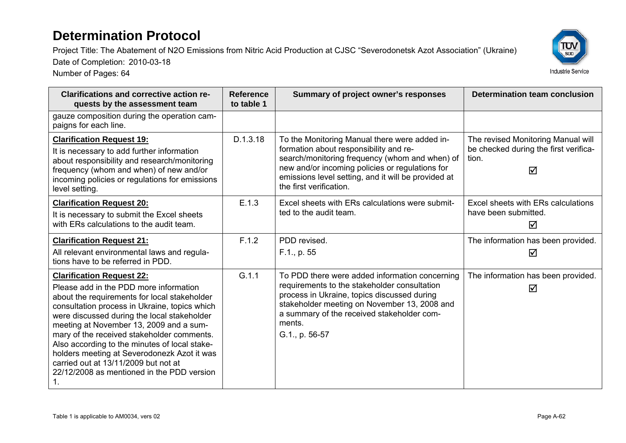Project Title: The Abatement of N2O Emissions from Nitric Acid Production at CJSC "Severodonetsk Azot Association" (Ukraine)

Date of Completion: 2010-03-18



| <b>Clarifications and corrective action re-</b><br>quests by the assessment team                                                                                                                                                                                                                                                                                                                                                                                                                                | <b>Reference</b><br>to table 1 | Summary of project owner's responses                                                                                                                                                                                                                                           | <b>Determination team conclusion</b>                                                      |
|-----------------------------------------------------------------------------------------------------------------------------------------------------------------------------------------------------------------------------------------------------------------------------------------------------------------------------------------------------------------------------------------------------------------------------------------------------------------------------------------------------------------|--------------------------------|--------------------------------------------------------------------------------------------------------------------------------------------------------------------------------------------------------------------------------------------------------------------------------|-------------------------------------------------------------------------------------------|
| gauze composition during the operation cam-<br>paigns for each line.                                                                                                                                                                                                                                                                                                                                                                                                                                            |                                |                                                                                                                                                                                                                                                                                |                                                                                           |
| <b>Clarification Request 19:</b><br>It is necessary to add further information<br>about responsibility and research/monitoring<br>frequency (whom and when) of new and/or<br>incoming policies or regulations for emissions<br>level setting.                                                                                                                                                                                                                                                                   | D.1.3.18                       | To the Monitoring Manual there were added in-<br>formation about responsibility and re-<br>search/monitoring frequency (whom and when) of<br>new and/or incoming policies or regulations for<br>emissions level setting, and it will be provided at<br>the first verification. | The revised Monitoring Manual will<br>be checked during the first verifica-<br>tion.<br>⊠ |
| <b>Clarification Request 20:</b><br>It is necessary to submit the Excel sheets<br>with ERs calculations to the audit team.                                                                                                                                                                                                                                                                                                                                                                                      | E.1.3                          | Excel sheets with ERs calculations were submit-<br>ted to the audit team.                                                                                                                                                                                                      | Excel sheets with ERs calculations<br>have been submitted.<br>$\triangledown$             |
| <b>Clarification Request 21:</b><br>All relevant environmental laws and regula-<br>tions have to be referred in PDD.                                                                                                                                                                                                                                                                                                                                                                                            | F.1.2                          | PDD revised.<br>F.1., p. 55                                                                                                                                                                                                                                                    | The information has been provided.<br>☑                                                   |
| <b>Clarification Request 22:</b><br>Please add in the PDD more information<br>about the requirements for local stakeholder<br>consultation process in Ukraine, topics which<br>were discussed during the local stakeholder<br>meeting at November 13, 2009 and a sum-<br>mary of the received stakeholder comments.<br>Also according to the minutes of local stake-<br>holders meeting at Severodonezk Azot it was<br>carried out at 13/11/2009 but not at<br>22/12/2008 as mentioned in the PDD version<br>1. | G.1.1                          | To PDD there were added information concerning<br>requirements to the stakeholder consultation<br>process in Ukraine, topics discussed during<br>stakeholder meeting on November 13, 2008 and<br>a summary of the received stakeholder com-<br>ments.<br>G.1., p. 56-57        | The information has been provided.<br>⊠                                                   |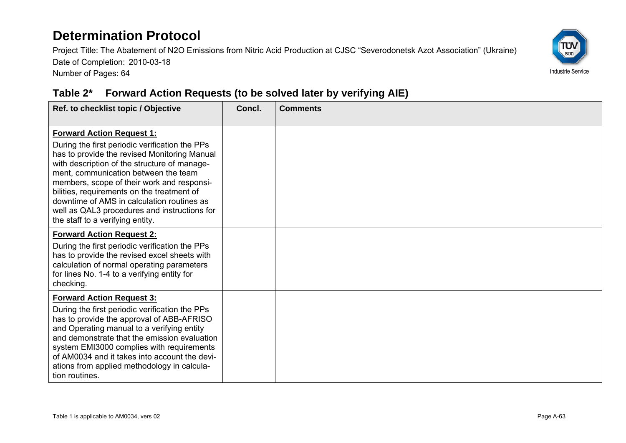Project Title: The Abatement of N2O Emissions from Nitric Acid Production at CJSC "Severodonetsk Azot Association" (Ukraine) Date of Completion: 2010-03-18 Number of Pages: 64



#### **Table 2\* Forward Action Requests (to be solved later by verifying AIE)**

| Ref. to checklist topic / Objective                                                                                                                                                                                                                                                                                                                                                                                                                      | Concl. | <b>Comments</b> |
|----------------------------------------------------------------------------------------------------------------------------------------------------------------------------------------------------------------------------------------------------------------------------------------------------------------------------------------------------------------------------------------------------------------------------------------------------------|--------|-----------------|
| <b>Forward Action Request 1:</b><br>During the first periodic verification the PPs<br>has to provide the revised Monitoring Manual<br>with description of the structure of manage-<br>ment, communication between the team<br>members, scope of their work and responsi-<br>bilities, requirements on the treatment of<br>downtime of AMS in calculation routines as<br>well as QAL3 procedures and instructions for<br>the staff to a verifying entity. |        |                 |
| <b>Forward Action Request 2:</b><br>During the first periodic verification the PPs<br>has to provide the revised excel sheets with<br>calculation of normal operating parameters<br>for lines No. 1-4 to a verifying entity for<br>checking.                                                                                                                                                                                                             |        |                 |
| <b>Forward Action Request 3:</b><br>During the first periodic verification the PPs<br>has to provide the approval of ABB-AFRISO<br>and Operating manual to a verifying entity<br>and demonstrate that the emission evaluation<br>system EMI3000 complies with requirements<br>of AM0034 and it takes into account the devi-<br>ations from applied methodology in calcula-<br>tion routines.                                                             |        |                 |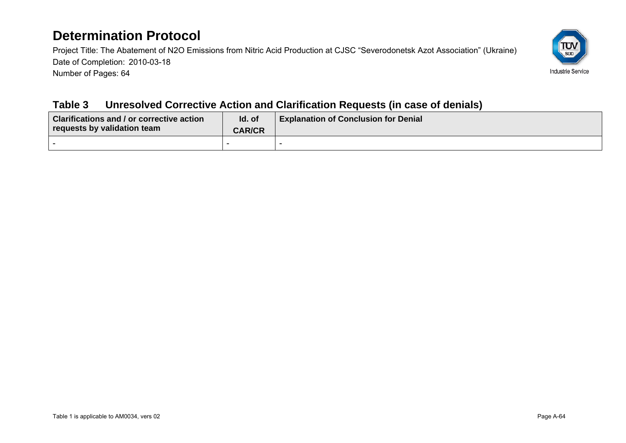Project Title: The Abatement of N2O Emissions from Nitric Acid Production at CJSC "Severodonetsk Azot Association" (Ukraine) Date of Completion: 2010-03-18 Number of Pages: 64



#### **Table 3 Unresolved Corrective Action and Clarification Requests (in case of denials)**

| <b>Clarifications and / or corrective action</b><br>requests by validation team | Id. of<br><b>CAR/CR</b> | <b>Explanation of Conclusion for Denial</b> |
|---------------------------------------------------------------------------------|-------------------------|---------------------------------------------|
|                                                                                 |                         |                                             |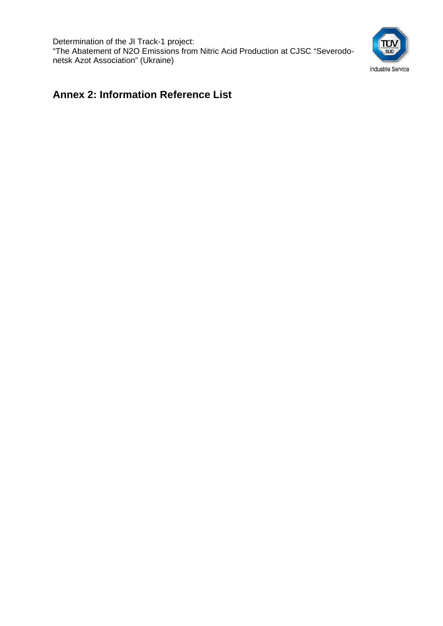Determination of the JI Track-1 project: "The Abatement of N2O Emissions from Nitric Acid Production at CJSC "Severodonetsk Azot Association" (Ukraine)



#### **Annex 2: Information Reference List**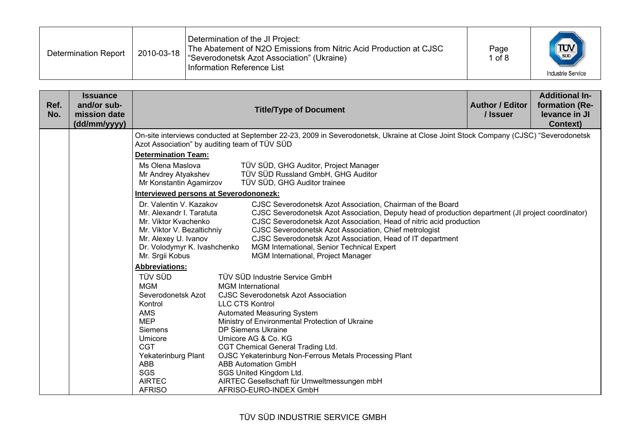| Determination Report | 2010-03-18 | Determination of the JI Project:<br>The Abatement of N2O Emissions from Nitric Acid Production at CJSC<br>Severodonetsk Azot Association" (Ukraine)<br>Information Reference List | Page<br>1 of $8$ | $\frac{1}{\sqrt{\frac{1}{500}}}$<br><b>Industrie Service</b> |
|----------------------|------------|-----------------------------------------------------------------------------------------------------------------------------------------------------------------------------------|------------------|--------------------------------------------------------------|
|----------------------|------------|-----------------------------------------------------------------------------------------------------------------------------------------------------------------------------------|------------------|--------------------------------------------------------------|

| Ref.<br>No. | <b>Issuance</b><br>and/or sub-<br>mission date<br>(dd/mm/yyyy) |                                                                                                                                                                                      | <b>Title/Type of Document</b>                                                                                                                                                                                                                                                                                                                                                                                                                       | <b>Author / Editor</b><br>/ Issuer | <b>Additional In-</b><br>formation (Re-<br>levance in JI<br><b>Context)</b> |  |  |  |
|-------------|----------------------------------------------------------------|--------------------------------------------------------------------------------------------------------------------------------------------------------------------------------------|-----------------------------------------------------------------------------------------------------------------------------------------------------------------------------------------------------------------------------------------------------------------------------------------------------------------------------------------------------------------------------------------------------------------------------------------------------|------------------------------------|-----------------------------------------------------------------------------|--|--|--|
|             |                                                                | Azot Association" by auditing team of TÜV SÜD                                                                                                                                        | On-site interviews conducted at September 22-23, 2009 in Severodonetsk, Ukraine at Close Joint Stock Company (CJSC) "Severodonetsk                                                                                                                                                                                                                                                                                                                  |                                    |                                                                             |  |  |  |
|             |                                                                | <b>Determination Team:</b>                                                                                                                                                           |                                                                                                                                                                                                                                                                                                                                                                                                                                                     |                                    |                                                                             |  |  |  |
|             |                                                                | Ms Olena Maslova<br>Mr Andrey Atyakshev<br>Mr Konstantin Agamirzov                                                                                                                   | TÜV SÜD, GHG Auditor, Project Manager<br>TÜV SÜD Russland GmbH, GHG Auditor<br>TÜV SÜD, GHG Auditor trainee                                                                                                                                                                                                                                                                                                                                         |                                    |                                                                             |  |  |  |
|             |                                                                | <b>Interviewed persons at Severodononezk:</b>                                                                                                                                        |                                                                                                                                                                                                                                                                                                                                                                                                                                                     |                                    |                                                                             |  |  |  |
|             |                                                                | Dr. Valentin V. Kazakov<br>Mr. Alexandr I. Taratuta<br>Mr. Viktor Kvachenko<br>Mr. Viktor V. Bezaltichniy<br>Mr. Alexey U. Ivanov<br>Dr. Volodymyr K. Ivashchenko<br>Mr. Srgii Kobus | CJSC Severodonetsk Azot Association, Chairman of the Board<br>CJSC Severodonetsk Azot Association, Deputy head of production department (JI project coordinator)<br>CJSC Severodonetsk Azot Association, Head of nitric acid production<br>CJSC Severodonetsk Azot Association, Chief metrologist<br>CJSC Severodonetsk Azot Association, Head of IT department<br>MGM International, Senior Technical Expert<br>MGM International, Project Manager |                                    |                                                                             |  |  |  |
|             |                                                                | <b>Abbreviations:</b>                                                                                                                                                                |                                                                                                                                                                                                                                                                                                                                                                                                                                                     |                                    |                                                                             |  |  |  |
|             |                                                                | <b>TÜV SÜD</b><br><b>MGM</b><br>Severodonetsk Azot                                                                                                                                   | TÜV SÜD Industrie Service GmbH<br><b>MGM</b> International<br><b>CJSC Severodonetsk Azot Association</b>                                                                                                                                                                                                                                                                                                                                            |                                    |                                                                             |  |  |  |
|             |                                                                | Kontrol                                                                                                                                                                              | <b>LLC CTS Kontrol</b>                                                                                                                                                                                                                                                                                                                                                                                                                              |                                    |                                                                             |  |  |  |
|             |                                                                | <b>AMS</b>                                                                                                                                                                           | Automated Measuring System                                                                                                                                                                                                                                                                                                                                                                                                                          |                                    |                                                                             |  |  |  |
|             |                                                                | <b>MEP</b><br><b>Siemens</b>                                                                                                                                                         | Ministry of Environmental Protection of Ukraine<br><b>DP Siemens Ukraine</b>                                                                                                                                                                                                                                                                                                                                                                        |                                    |                                                                             |  |  |  |
|             |                                                                | Umicore                                                                                                                                                                              | Umicore AG & Co. KG                                                                                                                                                                                                                                                                                                                                                                                                                                 |                                    |                                                                             |  |  |  |
|             |                                                                | <b>CGT</b>                                                                                                                                                                           | CGT Chemical General Trading Ltd.                                                                                                                                                                                                                                                                                                                                                                                                                   |                                    |                                                                             |  |  |  |
|             |                                                                |                                                                                                                                                                                      | OJSC Yekaterinburg Non-Ferrous Metals Processing Plant<br>Yekaterinburg Plant                                                                                                                                                                                                                                                                                                                                                                       |                                    |                                                                             |  |  |  |
|             |                                                                | ABB<br>SGS                                                                                                                                                                           | <b>ABB Automation GmbH</b><br>SGS United Kingdom Ltd.                                                                                                                                                                                                                                                                                                                                                                                               |                                    |                                                                             |  |  |  |
|             |                                                                | <b>AIRTEC</b><br><b>AFRISO</b>                                                                                                                                                       | AIRTEC Gesellschaft für Umweltmessungen mbH<br>AFRISO-EURO-INDEX GmbH                                                                                                                                                                                                                                                                                                                                                                               |                                    |                                                                             |  |  |  |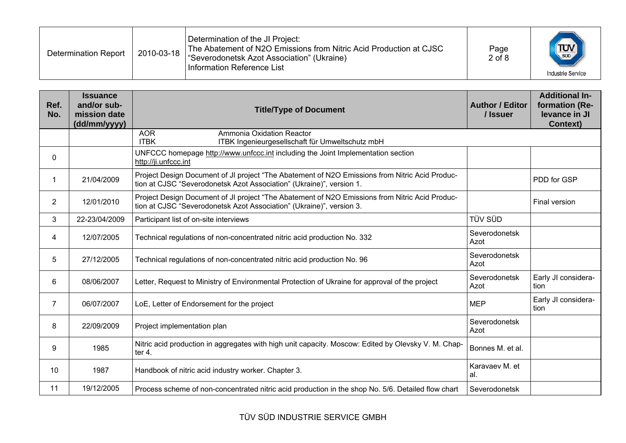| <b>Determination Report</b> | 2010-03-18 | Determination of the JI Project:<br>The Abatement of N2O Emissions from Nitric Acid Production at CJSC<br>"Severodonetsk Azot Association" (Ukraine)<br>Information Reference List | Page<br>$2$ of $8$ | $\frac{1}{\sqrt{\frac{1}{500}}}$<br>Industrie Service |
|-----------------------------|------------|------------------------------------------------------------------------------------------------------------------------------------------------------------------------------------|--------------------|-------------------------------------------------------|
|-----------------------------|------------|------------------------------------------------------------------------------------------------------------------------------------------------------------------------------------|--------------------|-------------------------------------------------------|

| Ref.<br>No.    | <b>Issuance</b><br>and/or sub-<br>mission date<br>(dd/mm/yyyy) | <b>Title/Type of Document</b>                                                                                                                                          | <b>Author / Editor</b><br>/ Issuer | <b>Additional In-</b><br>formation (Re-<br>levance in JI<br><b>Context)</b> |
|----------------|----------------------------------------------------------------|------------------------------------------------------------------------------------------------------------------------------------------------------------------------|------------------------------------|-----------------------------------------------------------------------------|
|                |                                                                | <b>AOR</b><br>Ammonia Oxidation Reactor<br><b>ITBK</b><br>ITBK Ingenieurgesellschaft für Umweltschutz mbH                                                              |                                    |                                                                             |
| 0              |                                                                | UNFCCC homepage http://www.unfccc.int including the Joint Implementation section<br>http://ji.unfccc.int                                                               |                                    |                                                                             |
|                | 21/04/2009                                                     | Project Design Document of JI project "The Abatement of N2O Emissions from Nitric Acid Produc-<br>tion at CJSC "Severodonetsk Azot Association" (Ukraine)", version 1. |                                    | PDD for GSP                                                                 |
| $\overline{2}$ | 12/01/2010                                                     | Project Design Document of JI project "The Abatement of N2O Emissions from Nitric Acid Produc-<br>tion at CJSC "Severodonetsk Azot Association" (Ukraine)", version 3. |                                    | Final version                                                               |
| 3              | 22-23/04/2009                                                  | Participant list of on-site interviews                                                                                                                                 | TÜV SÜD                            |                                                                             |
| 4              | 12/07/2005                                                     | Technical regulations of non-concentrated nitric acid production No. 332                                                                                               | Severodonetsk<br>Azot              |                                                                             |
| 5              | 27/12/2005                                                     | Technical regulations of non-concentrated nitric acid production No. 96                                                                                                | Severodonetsk<br>Azot              |                                                                             |
| 6              | 08/06/2007                                                     | Letter, Request to Ministry of Environmental Protection of Ukraine for approval of the project                                                                         | Severodonetsk<br>Azot              | Early JI considera-<br>tion                                                 |
| $\overline{7}$ | 06/07/2007                                                     | LoE, Letter of Endorsement for the project                                                                                                                             | <b>MEP</b>                         | Early JI considera-<br>tion                                                 |
| 8              | 22/09/2009                                                     | Project implementation plan                                                                                                                                            | Severodonetsk<br>Azot              |                                                                             |
| 9              | 1985                                                           | Nitric acid production in aggregates with high unit capacity. Moscow: Edited by Olevsky V. M. Chap-<br>ter 4.                                                          | Bonnes M. et al.                   |                                                                             |
| 10             | 1987                                                           | Handbook of nitric acid industry worker. Chapter 3.                                                                                                                    | Karavaev M. et<br>al.              |                                                                             |
| 11             | 19/12/2005                                                     | Process scheme of non-concentrated nitric acid production in the shop No. 5/6. Detailed flow chart                                                                     | Severodonetsk                      |                                                                             |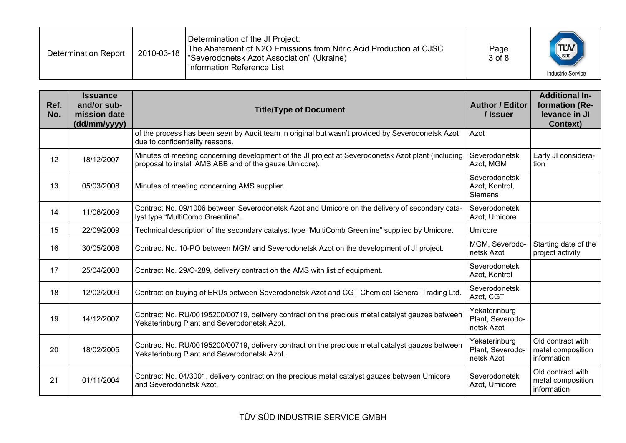| <b>Determination Report</b> | 2010-03-18 | Determination of the JI Project:<br>The Abatement of N2O Emissions from Nitric Acid Production at CJSC<br>"Severodonetsk Azot Association" (Ukraine)<br>l Information Reference List | Page<br>3 of 8 | $T_{\text{sub}}$<br><b>Industrie Service</b> |
|-----------------------------|------------|--------------------------------------------------------------------------------------------------------------------------------------------------------------------------------------|----------------|----------------------------------------------|
|-----------------------------|------------|--------------------------------------------------------------------------------------------------------------------------------------------------------------------------------------|----------------|----------------------------------------------|

| Ref.<br>No. | <b>Issuance</b><br>and/or sub-<br>mission date<br>(dd/mm/yyyy) | <b>Title/Type of Document</b>                                                                                                                                | <b>Author / Editor</b><br>/ Issuer              | <b>Additional In-</b><br>formation (Re-<br>levance in JI<br><b>Context)</b> |
|-------------|----------------------------------------------------------------|--------------------------------------------------------------------------------------------------------------------------------------------------------------|-------------------------------------------------|-----------------------------------------------------------------------------|
|             |                                                                | of the process has been seen by Audit team in original but wasn't provided by Severodonetsk Azot<br>due to confidentiality reasons.                          | Azot                                            |                                                                             |
| 12          | 18/12/2007                                                     | Minutes of meeting concerning development of the JI project at Severodonetsk Azot plant (including<br>proposal to install AMS ABB and of the gauze Umicore). | Severodonetsk<br>Azot, MGM                      | Early JI considera-<br>tion                                                 |
| 13          | 05/03/2008                                                     | Minutes of meeting concerning AMS supplier.                                                                                                                  | Severodonetsk<br>Azot, Kontrol,<br>Siemens      |                                                                             |
| 14          | 11/06/2009                                                     | Contract No. 09/1006 between Severodonetsk Azot and Umicore on the delivery of secondary cata-<br>lyst type "MultiComb Greenline".                           | Severodonetsk<br>Azot, Umicore                  |                                                                             |
| 15          | 22/09/2009                                                     | Technical description of the secondary catalyst type "MultiComb Greenline" supplied by Umicore.                                                              | Umicore                                         |                                                                             |
| 16          | 30/05/2008                                                     | Contract No. 10-PO between MGM and Severodonetsk Azot on the development of JI project.                                                                      | MGM, Severodo-<br>netsk Azot                    | Starting date of the<br>project activity                                    |
| 17          | 25/04/2008                                                     | Contract No. 29/O-289, delivery contract on the AMS with list of equipment.                                                                                  | Severodonetsk<br>Azot, Kontrol                  |                                                                             |
| 18          | 12/02/2009                                                     | Contract on buying of ERUs between Severodonetsk Azot and CGT Chemical General Trading Ltd.                                                                  | Severodonetsk<br>Azot, CGT                      |                                                                             |
| 19          | 14/12/2007                                                     | Contract No. RU/00195200/00719, delivery contract on the precious metal catalyst gauzes between<br>Yekaterinburg Plant and Severodonetsk Azot.               | Yekaterinburg<br>Plant, Severodo-<br>netsk Azot |                                                                             |
| 20          | 18/02/2005                                                     | Contract No. RU/00195200/00719, delivery contract on the precious metal catalyst gauzes between<br>Yekaterinburg Plant and Severodonetsk Azot.               | Yekaterinburg<br>Plant, Severodo-<br>netsk Azot | Old contract with<br>metal composition<br>information                       |
| 21          | 01/11/2004                                                     | Contract No. 04/3001, delivery contract on the precious metal catalyst gauzes between Umicore<br>and Severodonetsk Azot.                                     | Severodonetsk<br>Azot, Umicore                  | Old contract with<br>metal composition<br>information                       |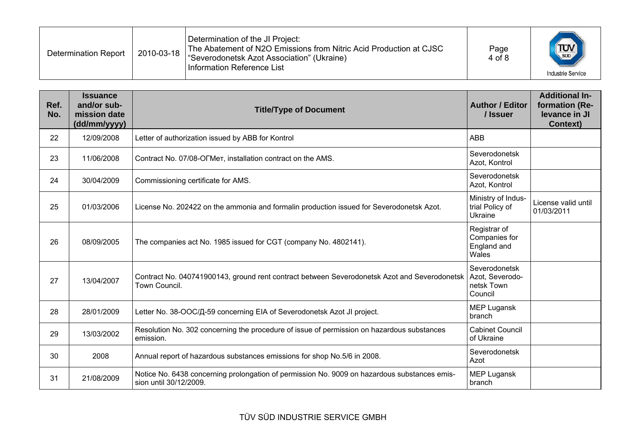| <b>Determination Report</b> | 2010-03-18 | Determination of the JI Project:<br>The Abatement of N2O Emissions from Nitric Acid Production at CJSC<br>"Severodonetsk Azot Association" (Ukraine)<br>Information Reference List | Page<br>4 of 8 | $\frac{1}{\sqrt{\frac{1}{500}}}$<br>Industrie Service |
|-----------------------------|------------|------------------------------------------------------------------------------------------------------------------------------------------------------------------------------------|----------------|-------------------------------------------------------|
|-----------------------------|------------|------------------------------------------------------------------------------------------------------------------------------------------------------------------------------------|----------------|-------------------------------------------------------|

| Ref.<br>No. | <b>Issuance</b><br>and/or sub-<br>mission date<br>(dd/mm/yyyy) | <b>Title/Type of Document</b>                                                                                                   | <b>Author / Editor</b><br>/ Issuer                    | <b>Additional In-</b><br>formation (Re-<br>levance in JI<br><b>Context)</b> |
|-------------|----------------------------------------------------------------|---------------------------------------------------------------------------------------------------------------------------------|-------------------------------------------------------|-----------------------------------------------------------------------------|
| 22          | 12/09/2008                                                     | Letter of authorization issued by ABB for Kontrol                                                                               | <b>ABB</b>                                            |                                                                             |
| 23          | 11/06/2008                                                     | Contract No. 07/08-OFMer, installation contract on the AMS.                                                                     | Severodonetsk<br>Azot, Kontrol                        |                                                                             |
| 24          | 30/04/2009                                                     | Commissioning certificate for AMS.                                                                                              | Severodonetsk<br>Azot, Kontrol                        |                                                                             |
| 25          | 01/03/2006                                                     | License No. 202422 on the ammonia and formalin production issued for Severodonetsk Azot.                                        | Ministry of Indus-<br>trial Policy of<br>Ukraine      | License valid until<br>01/03/2011                                           |
| 26          | 08/09/2005                                                     | The companies act No. 1985 issued for CGT (company No. 4802141).                                                                | Registrar of<br>Companies for<br>England and<br>Wales |                                                                             |
| 27          | 13/04/2007                                                     | Contract No. 040741900143, ground rent contract between Severodonetsk Azot and Severodonetsk   Azot, Severodo-<br>Town Council. | Severodonetsk<br>netsk Town<br>Council                |                                                                             |
| 28          | 28/01/2009                                                     | Letter No. 38-ООС/Д-59 concerning EIA of Severodonetsk Azot JI project.                                                         | <b>MEP Lugansk</b><br>branch                          |                                                                             |
| 29          | 13/03/2002                                                     | Resolution No. 302 concerning the procedure of issue of permission on hazardous substances<br>emission.                         | <b>Cabinet Council</b><br>of Ukraine                  |                                                                             |
| 30          | 2008                                                           | Annual report of hazardous substances emissions for shop No.5/6 in 2008.                                                        | Severodonetsk<br>Azot                                 |                                                                             |
| 31          | 21/08/2009                                                     | Notice No. 6438 concerning prolongation of permission No. 9009 on hazardous substances emis-<br>sion until 30/12/2009.          | <b>MEP Lugansk</b><br>branch                          |                                                                             |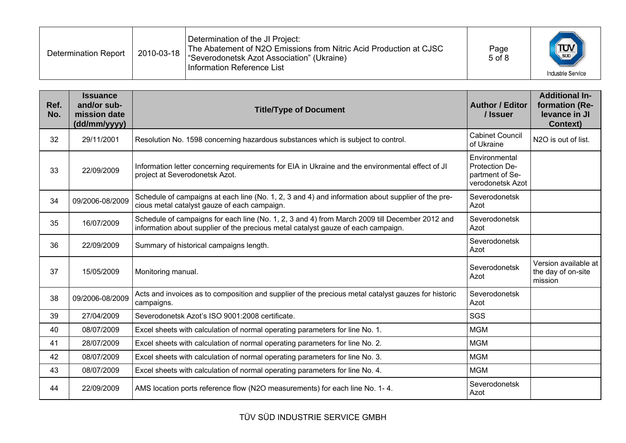| <b>Determination Report</b> | 2010-03-18 | Determination of the JI Project:<br>The Abatement of N2O Emissions from Nitric Acid Production at CJSC<br>"Severodonetsk Azot Association" (Ukraine)<br>Information Reference List | Page<br>$5$ of $8$ | $\left(\frac{1}{\sqrt{2}}\right)$<br><b>Industrie Service</b> |
|-----------------------------|------------|------------------------------------------------------------------------------------------------------------------------------------------------------------------------------------|--------------------|---------------------------------------------------------------|
|-----------------------------|------------|------------------------------------------------------------------------------------------------------------------------------------------------------------------------------------|--------------------|---------------------------------------------------------------|

| Ref.<br>No. | <b>Issuance</b><br>and/or sub-<br>mission date<br>(dd/mm/yyyy) | <b>Title/Type of Document</b>                                                                                                                                                       | <b>Author / Editor</b><br>/ Issuer                                     | <b>Additional In-</b><br>formation (Re-<br>levance in JI<br><b>Context)</b> |
|-------------|----------------------------------------------------------------|-------------------------------------------------------------------------------------------------------------------------------------------------------------------------------------|------------------------------------------------------------------------|-----------------------------------------------------------------------------|
| 32          | 29/11/2001                                                     | Resolution No. 1598 concerning hazardous substances which is subject to control.                                                                                                    | <b>Cabinet Council</b><br>of Ukraine                                   | N2O is out of list.                                                         |
| 33          | 22/09/2009                                                     | Information letter concerning requirements for EIA in Ukraine and the environmental effect of JI<br>project at Severodonetsk Azot.                                                  | Environmental<br>Protection De-<br>partment of Se-<br>verodonetsk Azot |                                                                             |
| 34          | 09/2006-08/2009                                                | Schedule of campaigns at each line (No. 1, 2, 3 and 4) and information about supplier of the pre-<br>cious metal catalyst gauze of each campaign.                                   | Severodonetsk<br>Azot                                                  |                                                                             |
| 35          | 16/07/2009                                                     | Schedule of campaigns for each line (No. 1, 2, 3 and 4) from March 2009 till December 2012 and<br>information about supplier of the precious metal catalyst gauze of each campaign. | Severodonetsk<br>Azot                                                  |                                                                             |
| 36          | 22/09/2009                                                     | Summary of historical campaigns length.                                                                                                                                             | Severodonetsk<br>Azot                                                  |                                                                             |
| 37          | 15/05/2009                                                     | Monitoring manual.                                                                                                                                                                  | Severodonetsk<br>Azot                                                  | Version available at<br>the day of on-site<br>mission                       |
| 38          | 09/2006-08/2009                                                | Acts and invoices as to composition and supplier of the precious metal catalyst gauzes for historic<br>campaigns.                                                                   | Severodonetsk<br>Azot                                                  |                                                                             |
| 39          | 27/04/2009                                                     | Severodonetsk Azot's ISO 9001:2008 certificate.                                                                                                                                     | SGS                                                                    |                                                                             |
| 40          | 08/07/2009                                                     | Excel sheets with calculation of normal operating parameters for line No. 1.                                                                                                        | <b>MGM</b>                                                             |                                                                             |
| 41          | 28/07/2009                                                     | Excel sheets with calculation of normal operating parameters for line No. 2.                                                                                                        | <b>MGM</b>                                                             |                                                                             |
| 42          | 08/07/2009                                                     | Excel sheets with calculation of normal operating parameters for line No. 3.                                                                                                        | <b>MGM</b>                                                             |                                                                             |
| 43          | 08/07/2009                                                     | Excel sheets with calculation of normal operating parameters for line No. 4.                                                                                                        | <b>MGM</b>                                                             |                                                                             |
| 44          | 22/09/2009                                                     | AMS location ports reference flow (N2O measurements) for each line No. 1-4.                                                                                                         | Severodonetsk<br>Azot                                                  |                                                                             |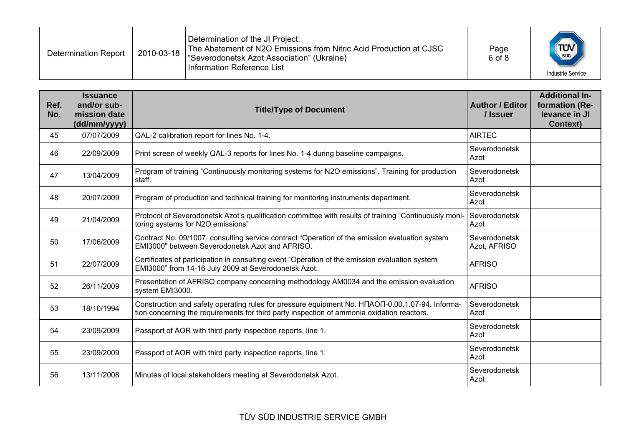| <b>Determination Report</b> | 2010-03-18 | Determination of the JI Project:<br>The Abatement of N2O Emissions from Nitric Acid Production at CJSC<br>"Severodonetsk Azot Association" (Ukraine)<br>Information Reference List | Page<br>6 of 8 | $\frac{1}{\sqrt{\frac{1}{500}}}$<br><b>Industrie Service</b> |
|-----------------------------|------------|------------------------------------------------------------------------------------------------------------------------------------------------------------------------------------|----------------|--------------------------------------------------------------|
|-----------------------------|------------|------------------------------------------------------------------------------------------------------------------------------------------------------------------------------------|----------------|--------------------------------------------------------------|

| Ref.<br>No. | <b>Issuance</b><br>and/or sub-<br>mission date<br>(dd/mm/yyyy) | <b>Title/Type of Document</b>                                                                                                                                                                              | <b>Author / Editor</b><br>/ Issuer | <b>Additional In-</b><br>formation (Re-<br>levance in JI<br><b>Context)</b> |
|-------------|----------------------------------------------------------------|------------------------------------------------------------------------------------------------------------------------------------------------------------------------------------------------------------|------------------------------------|-----------------------------------------------------------------------------|
| 45          | 07/07/2009                                                     | QAL-2 calibration report for lines No. 1-4.                                                                                                                                                                | <b>AIRTEC</b>                      |                                                                             |
| 46          | 22/09/2009                                                     | Print screen of weekly QAL-3 reports for lines No. 1-4 during baseline campaigns.                                                                                                                          | Severodonetsk<br>Azot              |                                                                             |
| 47          | 13/04/2009                                                     | Program of training "Continuously monitoring systems for N2O emissions". Training for production<br>staff.                                                                                                 | Severodonetsk<br>Azot              |                                                                             |
| 48          | 20/07/2009                                                     | Program of production and technical training for monitoring instruments department.                                                                                                                        | Severodonetsk<br>Azot              |                                                                             |
| 49          | 21/04/2009                                                     | Protocol of Severodonetsk Azot's qualification committee with results of training "Continuously moni-<br>toring systems for N2O emissions"                                                                 | Severodonetsk<br>Azot              |                                                                             |
| 50          | 17/06/2009                                                     | Contract No. 09/1007, consulting service contract "Operation of the emission evaluation system<br>EMI3000" between Severodonetsk Azot and AFRISO.                                                          | Severodonetsk<br>Azot, AFRISO      |                                                                             |
| 51          | 22/07/2009                                                     | Certificates of participation in consulting event "Operation of the emission evaluation system<br>EMI3000" from 14-16 July 2009 at Severodonetsk Azot.                                                     | <b>AFRISO</b>                      |                                                                             |
| 52          | 26/11/2009                                                     | Presentation of AFRISO company concerning methodology AM0034 and the emission evaluation<br>system EMI3000.                                                                                                | <b>AFRISO</b>                      |                                                                             |
| 53          | 18/10/1994                                                     | Construction and safety operating rules for pressure equipment No. H <sub>NAO</sub> N-0.00.1.07-94. Informa-<br>tion concerning the requirements for third party inspection of ammonia oxidation reactors. | Severodonetsk<br>Azot              |                                                                             |
| 54          | 23/09/2009                                                     | Passport of AOR with third party inspection reports, line 1.                                                                                                                                               | Severodonetsk<br>Azot              |                                                                             |
| 55          | 23/09/2009                                                     | Passport of AOR with third party inspection reports, line 1.                                                                                                                                               | Severodonetsk<br>Azot              |                                                                             |
| 56          | 13/11/2008                                                     | Minutes of local stakeholders meeting at Severodonetsk Azot.                                                                                                                                               | Severodonetsk<br>Azot              |                                                                             |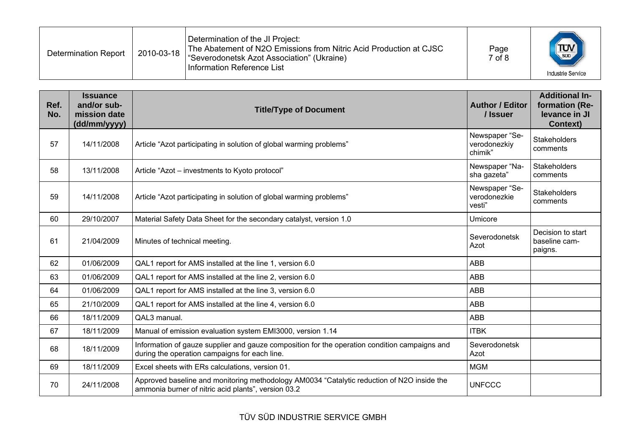| <b>Determination Report</b> | 2010-03-18 | Determination of the JI Project:<br>The Abatement of N2O Emissions from Nitric Acid Production at CJSC<br>"Severodonetsk Azot Association" (Ukraine)<br>Information Reference List | Page<br>$7$ of $8$ | $T_{\text{sub}}$<br>Industrie Service |
|-----------------------------|------------|------------------------------------------------------------------------------------------------------------------------------------------------------------------------------------|--------------------|---------------------------------------|
|-----------------------------|------------|------------------------------------------------------------------------------------------------------------------------------------------------------------------------------------|--------------------|---------------------------------------|

| Ref.<br>No. | <b>Issuance</b><br>and/or sub-<br>mission date<br>(dd/mm/yyyy) | <b>Title/Type of Document</b>                                                                                                                     | <b>Author / Editor</b><br>/ Issuer        | <b>Additional In-</b><br>formation (Re-<br>levance in JI<br><b>Context)</b> |
|-------------|----------------------------------------------------------------|---------------------------------------------------------------------------------------------------------------------------------------------------|-------------------------------------------|-----------------------------------------------------------------------------|
| 57          | 14/11/2008                                                     | Article "Azot participating in solution of global warming problems"                                                                               | Newspaper "Se-<br>verodonezkiy<br>chimik" | <b>Stakeholders</b><br>comments                                             |
| 58          | 13/11/2008                                                     | Article "Azot – investments to Kyoto protocol"                                                                                                    | Newspaper "Na-<br>sha gazeta"             | <b>Stakeholders</b><br>comments                                             |
| 59          | 14/11/2008                                                     | Article "Azot participating in solution of global warming problems"                                                                               | Newspaper "Se-<br>verodonezkie<br>vesti"  | <b>Stakeholders</b><br>comments                                             |
| 60          | 29/10/2007                                                     | Material Safety Data Sheet for the secondary catalyst, version 1.0                                                                                | Umicore                                   |                                                                             |
| 61          | 21/04/2009                                                     | Minutes of technical meeting.                                                                                                                     | Severodonetsk<br>Azot                     | Decision to start<br>baseline cam-<br>paigns.                               |
| 62          | 01/06/2009                                                     | QAL1 report for AMS installed at the line 1, version 6.0                                                                                          | <b>ABB</b>                                |                                                                             |
| 63          | 01/06/2009                                                     | QAL1 report for AMS installed at the line 2, version 6.0                                                                                          | <b>ABB</b>                                |                                                                             |
| 64          | 01/06/2009                                                     | QAL1 report for AMS installed at the line 3, version 6.0                                                                                          | <b>ABB</b>                                |                                                                             |
| 65          | 21/10/2009                                                     | QAL1 report for AMS installed at the line 4, version 6.0                                                                                          | <b>ABB</b>                                |                                                                             |
| 66          | 18/11/2009                                                     | QAL3 manual.                                                                                                                                      | <b>ABB</b>                                |                                                                             |
| 67          | 18/11/2009                                                     | Manual of emission evaluation system EMI3000, version 1.14                                                                                        | <b>ITBK</b>                               |                                                                             |
| 68          | 18/11/2009                                                     | Information of gauze supplier and gauze composition for the operation condition campaigns and<br>during the operation campaigns for each line.    | Severodonetsk<br>Azot                     |                                                                             |
| 69          | 18/11/2009                                                     | Excel sheets with ERs calculations, version 01.                                                                                                   | <b>MGM</b>                                |                                                                             |
| 70          | 24/11/2008                                                     | Approved baseline and monitoring methodology AM0034 "Catalytic reduction of N2O inside the<br>ammonia burner of nitric acid plants", version 03.2 | <b>UNFCCC</b>                             |                                                                             |